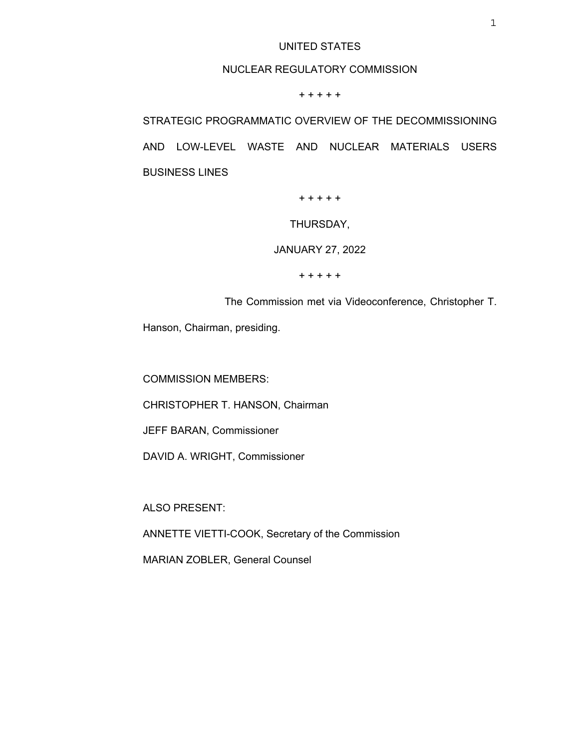## UNITED STATES

## NUCLEAR REGULATORY COMMISSION

+ + + + +

STRATEGIC PROGRAMMATIC OVERVIEW OF THE DECOMMISSIONING AND LOW-LEVEL WASTE AND NUCLEAR MATERIALS USERS BUSINESS LINES

+ + + + +

THURSDAY,

JANUARY 27, 2022

+ + + + +

The Commission met via Videoconference, Christopher T.

Hanson, Chairman, presiding.

COMMISSION MEMBERS:

CHRISTOPHER T. HANSON, Chairman

JEFF BARAN, Commissioner

DAVID A. WRIGHT, Commissioner

ALSO PRESENT:

ANNETTE VIETTI-COOK, Secretary of the Commission

MARIAN ZOBLER, General Counsel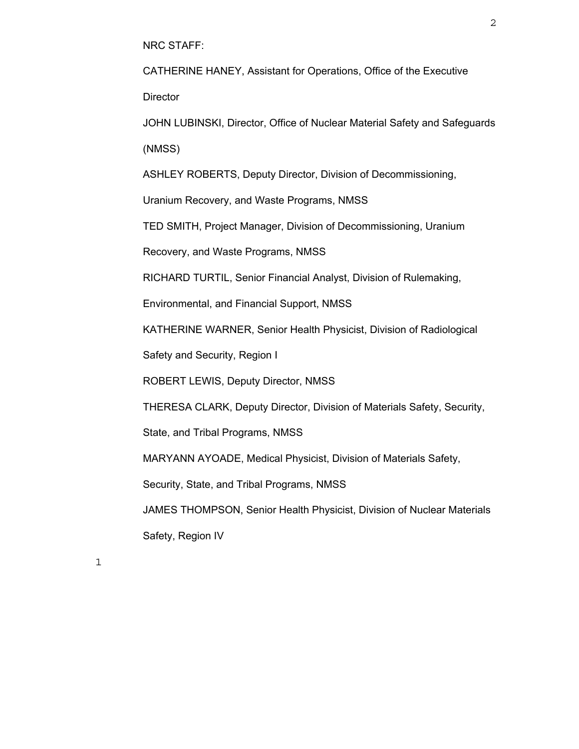NRC STAFF:

CATHERINE HANEY, Assistant for Operations, Office of the Executive **Director** 

JOHN LUBINSKI, Director, Office of Nuclear Material Safety and Safeguards (NMSS)

ASHLEY ROBERTS, Deputy Director, Division of Decommissioning,

Uranium Recovery, and Waste Programs, NMSS

TED SMITH, Project Manager, Division of Decommissioning, Uranium

Recovery, and Waste Programs, NMSS

RICHARD TURTIL, Senior Financial Analyst, Division of Rulemaking,

Environmental, and Financial Support, NMSS

KATHERINE WARNER, Senior Health Physicist, Division of Radiological

Safety and Security, Region I

ROBERT LEWIS, Deputy Director, NMSS

THERESA CLARK, Deputy Director, Division of Materials Safety, Security,

State, and Tribal Programs, NMSS

MARYANN AYOADE, Medical Physicist, Division of Materials Safety,

Security, State, and Tribal Programs, NMSS

JAMES THOMPSON, Senior Health Physicist, Division of Nuclear Materials Safety, Region IV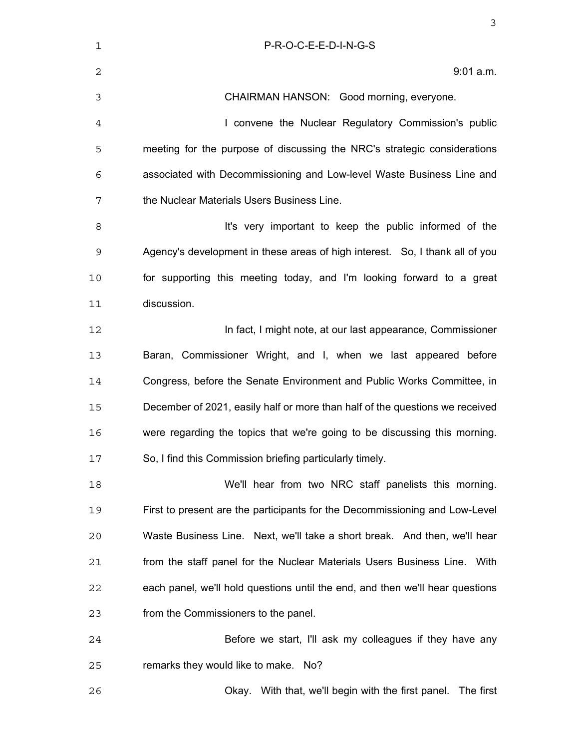| $\mathbf 1$  | P-R-O-C-E-E-D-I-N-G-S                                                         |
|--------------|-------------------------------------------------------------------------------|
| $\mathbf{2}$ | 9:01 a.m.                                                                     |
| 3            | CHAIRMAN HANSON: Good morning, everyone.                                      |
| 4            | I convene the Nuclear Regulatory Commission's public                          |
| 5            | meeting for the purpose of discussing the NRC's strategic considerations      |
| 6            | associated with Decommissioning and Low-level Waste Business Line and         |
| 7            | the Nuclear Materials Users Business Line.                                    |
| 8            | It's very important to keep the public informed of the                        |
| 9            | Agency's development in these areas of high interest. So, I thank all of you  |
| 10           | for supporting this meeting today, and I'm looking forward to a great         |
| 11           | discussion.                                                                   |
| 12           | In fact, I might note, at our last appearance, Commissioner                   |
| 13           | Baran, Commissioner Wright, and I, when we last appeared before               |
| 14           | Congress, before the Senate Environment and Public Works Committee, in        |
| 15           | December of 2021, easily half or more than half of the questions we received  |
| 16           | were regarding the topics that we're going to be discussing this morning.     |
| 17           | So, I find this Commission briefing particularly timely.                      |
| 18           | We'll hear from two NRC staff panelists this morning.                         |
| 19           | First to present are the participants for the Decommissioning and Low-Level   |
| 20           | Waste Business Line. Next, we'll take a short break. And then, we'll hear     |
| 21           | from the staff panel for the Nuclear Materials Users Business Line. With      |
| 22           | each panel, we'll hold questions until the end, and then we'll hear questions |
| 23           | from the Commissioners to the panel.                                          |
| 24           | Before we start, I'll ask my colleagues if they have any                      |
| 25           | remarks they would like to make. No?                                          |
| 26           | Okay. With that, we'll begin with the first panel. The first                  |
|              |                                                                               |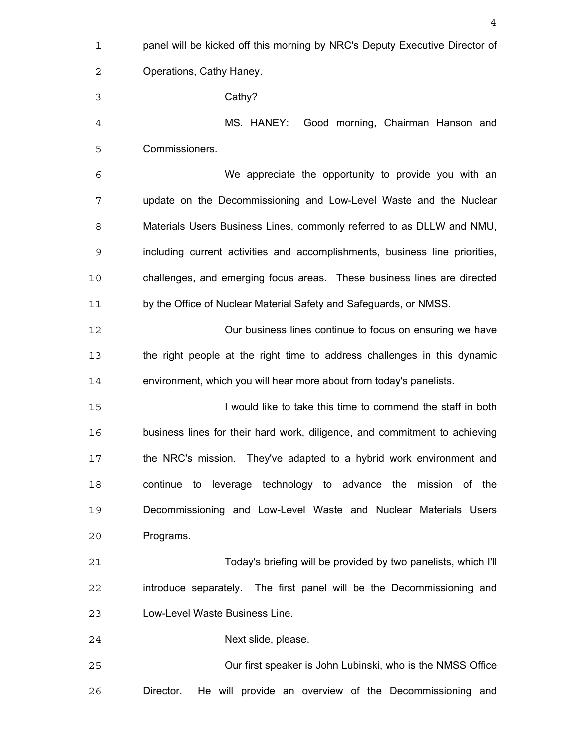panel will be kicked off this morning by NRC's Deputy Executive Director of Operations, Cathy Haney. Cathy? MS. HANEY: Good morning, Chairman Hanson and Commissioners. We appreciate the opportunity to provide you with an update on the Decommissioning and Low-Level Waste and the Nuclear Materials Users Business Lines, commonly referred to as DLLW and NMU, including current activities and accomplishments, business line priorities, challenges, and emerging focus areas. These business lines are directed by the Office of Nuclear Material Safety and Safeguards, or NMSS. Our business lines continue to focus on ensuring we have the right people at the right time to address challenges in this dynamic environment, which you will hear more about from today's panelists. I would like to take this time to commend the staff in both business lines for their hard work, diligence, and commitment to achieving the NRC's mission. They've adapted to a hybrid work environment and continue to leverage technology to advance the mission of the Decommissioning and Low-Level Waste and Nuclear Materials Users Programs. Today's briefing will be provided by two panelists, which I'll introduce separately. The first panel will be the Decommissioning and Low-Level Waste Business Line. Next slide, please. Our first speaker is John Lubinski, who is the NMSS Office Director. He will provide an overview of the Decommissioning and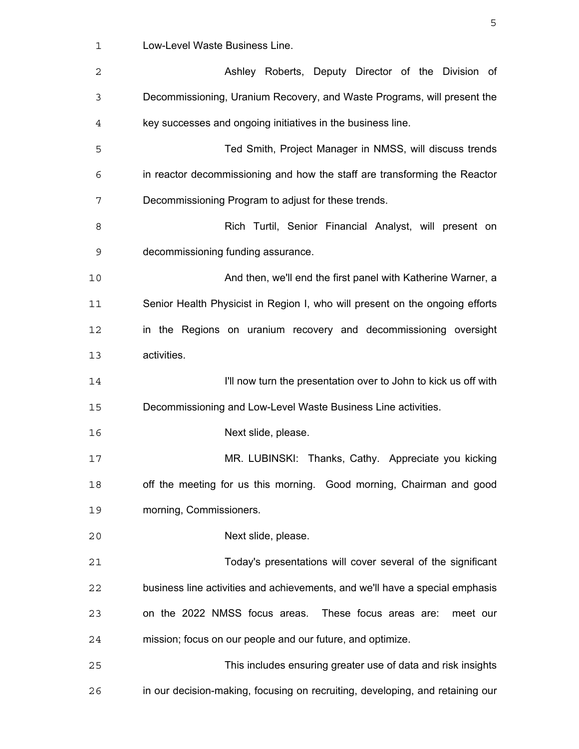Low-Level Waste Business Line.

| $\mathbf{2}$ | Ashley Roberts, Deputy Director of the Division of                            |
|--------------|-------------------------------------------------------------------------------|
| 3            | Decommissioning, Uranium Recovery, and Waste Programs, will present the       |
| 4            | key successes and ongoing initiatives in the business line.                   |
| 5            | Ted Smith, Project Manager in NMSS, will discuss trends                       |
| 6            | in reactor decommissioning and how the staff are transforming the Reactor     |
| 7            | Decommissioning Program to adjust for these trends.                           |
| 8            | Rich Turtil, Senior Financial Analyst, will present on                        |
| 9            | decommissioning funding assurance.                                            |
| 10           | And then, we'll end the first panel with Katherine Warner, a                  |
| 11           | Senior Health Physicist in Region I, who will present on the ongoing efforts  |
| 12           | in the Regions on uranium recovery and decommissioning oversight              |
| 13           | activities.                                                                   |
| 14           | I'll now turn the presentation over to John to kick us off with               |
| 15           | Decommissioning and Low-Level Waste Business Line activities.                 |
| 16           | Next slide, please.                                                           |
| 17           | MR. LUBINSKI: Thanks, Cathy. Appreciate you kicking                           |
| 18           | off the meeting for us this morning. Good morning, Chairman and good          |
| 19           | morning, Commissioners.                                                       |
| 20           | Next slide, please.                                                           |
| 21           | Today's presentations will cover several of the significant                   |
| 22           | business line activities and achievements, and we'll have a special emphasis  |
| 23           | on the 2022 NMSS focus areas.<br>These focus areas are:<br>meet our           |
| 24           | mission; focus on our people and our future, and optimize.                    |
| 25           | This includes ensuring greater use of data and risk insights                  |
| 26           | in our decision-making, focusing on recruiting, developing, and retaining our |

 $\sim$  5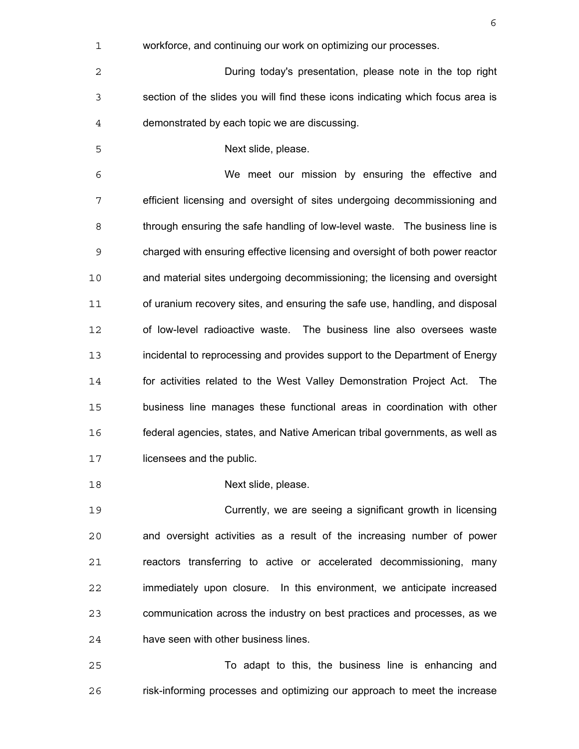- workforce, and continuing our work on optimizing our processes. During today's presentation, please note in the top right section of the slides you will find these icons indicating which focus area is demonstrated by each topic we are discussing. Next slide, please. We meet our mission by ensuring the effective and efficient licensing and oversight of sites undergoing decommissioning and through ensuring the safe handling of low-level waste. The business line is charged with ensuring effective licensing and oversight of both power reactor and material sites undergoing decommissioning; the licensing and oversight of uranium recovery sites, and ensuring the safe use, handling, and disposal of low-level radioactive waste. The business line also oversees waste incidental to reprocessing and provides support to the Department of Energy for activities related to the West Valley Demonstration Project Act. The business line manages these functional areas in coordination with other federal agencies, states, and Native American tribal governments, as well as licensees and the public.
- Next slide, please.

Currently, we are seeing a significant growth in licensing and oversight activities as a result of the increasing number of power reactors transferring to active or accelerated decommissioning, many immediately upon closure. In this environment, we anticipate increased communication across the industry on best practices and processes, as we have seen with other business lines.

To adapt to this, the business line is enhancing and risk-informing processes and optimizing our approach to meet the increase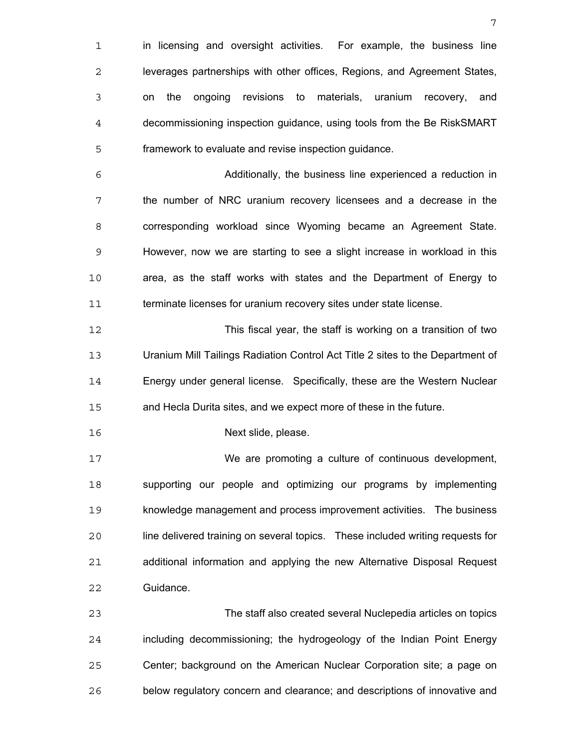1 in licensing and oversight activities. For example, the business line leverages partnerships with other offices, Regions, and Agreement States, on the ongoing revisions to materials, uranium recovery, and decommissioning inspection guidance, using tools from the Be RiskSMART framework to evaluate and revise inspection guidance. Additionally, the business line experienced a reduction in the number of NRC uranium recovery licensees and a decrease in the corresponding workload since Wyoming became an Agreement State. However, now we are starting to see a slight increase in workload in this area, as the staff works with states and the Department of Energy to terminate licenses for uranium recovery sites under state license. This fiscal year, the staff is working on a transition of two Uranium Mill Tailings Radiation Control Act Title 2 sites to the Department of Energy under general license. Specifically, these are the Western Nuclear and Hecla Durita sites, and we expect more of these in the future. Next slide, please. We are promoting a culture of continuous development, supporting our people and optimizing our programs by implementing knowledge management and process improvement activities. The business line delivered training on several topics. These included writing requests for additional information and applying the new Alternative Disposal Request Guidance. The staff also created several Nuclepedia articles on topics including decommissioning; the hydrogeology of the Indian Point Energy Center; background on the American Nuclear Corporation site; a page on

below regulatory concern and clearance; and descriptions of innovative and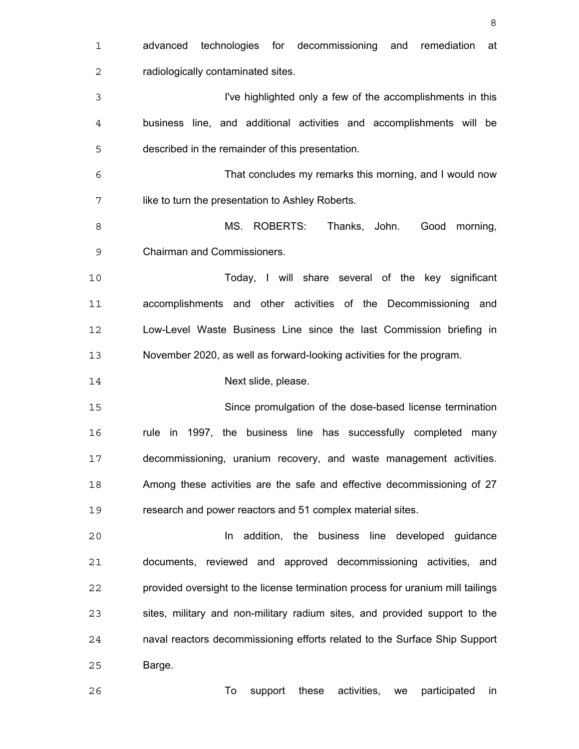| 1              | technologies for decommissioning<br>advanced<br>and<br>remediation<br>at        |
|----------------|---------------------------------------------------------------------------------|
| 2              | radiologically contaminated sites.                                              |
| 3              | I've highlighted only a few of the accomplishments in this                      |
| $\overline{4}$ | business line, and additional activities and accomplishments will be            |
| 5              | described in the remainder of this presentation.                                |
| 6              | That concludes my remarks this morning, and I would now                         |
| 7              | like to turn the presentation to Ashley Roberts.                                |
| 8              | MS. ROBERTS:<br>Thanks, John.<br>Good morning,                                  |
| 9              | <b>Chairman and Commissioners.</b>                                              |
| 10             | Today, I will share several of the key significant                              |
| 11             | accomplishments and other activities of the Decommissioning and                 |
| 12             | Low-Level Waste Business Line since the last Commission briefing in             |
| 13             | November 2020, as well as forward-looking activities for the program.           |
| 14             | Next slide, please.                                                             |
| 15             | Since promulgation of the dose-based license termination                        |
| 16             | rule in 1997, the business line has successfully completed<br>many              |
| 17             | decommissioning, uranium recovery, and waste management activities.             |
| 18             | Among these activities are the safe and effective decommissioning of 27         |
| 19             | research and power reactors and 51 complex material sites.                      |
| 20             | addition, the business line developed guidance<br>In                            |
| 21             | documents, reviewed and approved decommissioning activities, and                |
| 22             | provided oversight to the license termination process for uranium mill tailings |
| 23             | sites, military and non-military radium sites, and provided support to the      |
| 24             | naval reactors decommissioning efforts related to the Surface Ship Support      |
| 25             | Barge.                                                                          |
| 26             | To<br>these<br>activities,<br>support<br>participated<br>we<br>in               |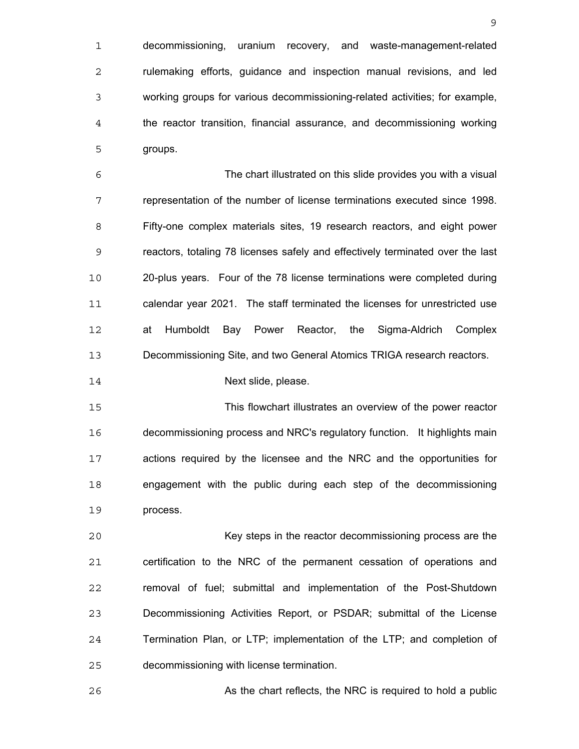decommissioning, uranium recovery, and waste-management-related **rulemaking efforts, guidance and inspection manual revisions, and led** working groups for various decommissioning-related activities; for example, the reactor transition, financial assurance, and decommissioning working groups.

The chart illustrated on this slide provides you with a visual representation of the number of license terminations executed since 1998. Fifty-one complex materials sites, 19 research reactors, and eight power reactors, totaling 78 licenses safely and effectively terminated over the last 20-plus years. Four of the 78 license terminations were completed during calendar year 2021. The staff terminated the licenses for unrestricted use at Humboldt Bay Power Reactor, the Sigma-Aldrich Complex Decommissioning Site, and two General Atomics TRIGA research reactors.

**Next slide, please.** 

This flowchart illustrates an overview of the power reactor decommissioning process and NRC's regulatory function. It highlights main actions required by the licensee and the NRC and the opportunities for engagement with the public during each step of the decommissioning process.

Key steps in the reactor decommissioning process are the certification to the NRC of the permanent cessation of operations and removal of fuel; submittal and implementation of the Post-Shutdown Decommissioning Activities Report, or PSDAR; submittal of the License Termination Plan, or LTP; implementation of the LTP; and completion of decommissioning with license termination.

As the chart reflects, the NRC is required to hold a public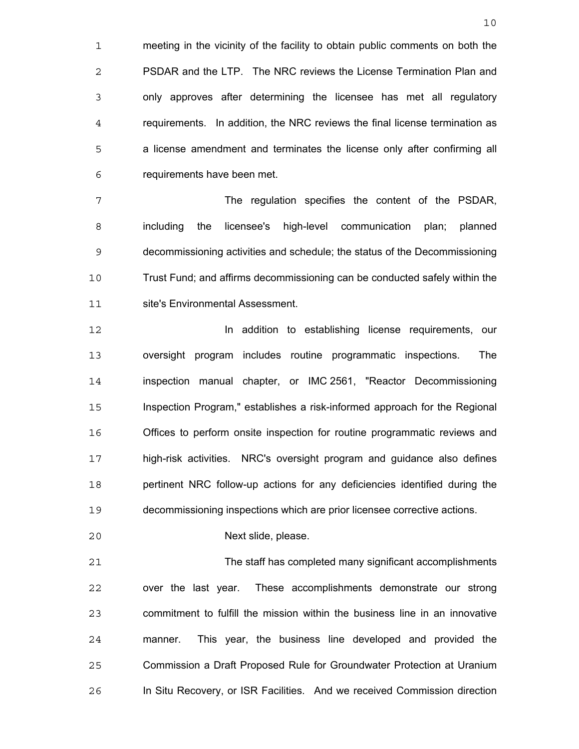meeting in the vicinity of the facility to obtain public comments on both the PSDAR and the LTP. The NRC reviews the License Termination Plan and only approves after determining the licensee has met all regulatory requirements. In addition, the NRC reviews the final license termination as a license amendment and terminates the license only after confirming all requirements have been met.

The regulation specifies the content of the PSDAR, including the licensee's high-level communication plan; planned decommissioning activities and schedule; the status of the Decommissioning Trust Fund; and affirms decommissioning can be conducted safely within the site's Environmental Assessment.

In addition to establishing license requirements, our oversight program includes routine programmatic inspections. The inspection manual chapter, or IMC 2561, "Reactor Decommissioning Inspection Program," establishes a risk-informed approach for the Regional Offices to perform onsite inspection for routine programmatic reviews and high-risk activities. NRC's oversight program and guidance also defines pertinent NRC follow-up actions for any deficiencies identified during the decommissioning inspections which are prior licensee corrective actions.

Next slide, please.

The staff has completed many significant accomplishments over the last year. These accomplishments demonstrate our strong commitment to fulfill the mission within the business line in an innovative manner. This year, the business line developed and provided the Commission a Draft Proposed Rule for Groundwater Protection at Uranium In Situ Recovery, or ISR Facilities. And we received Commission direction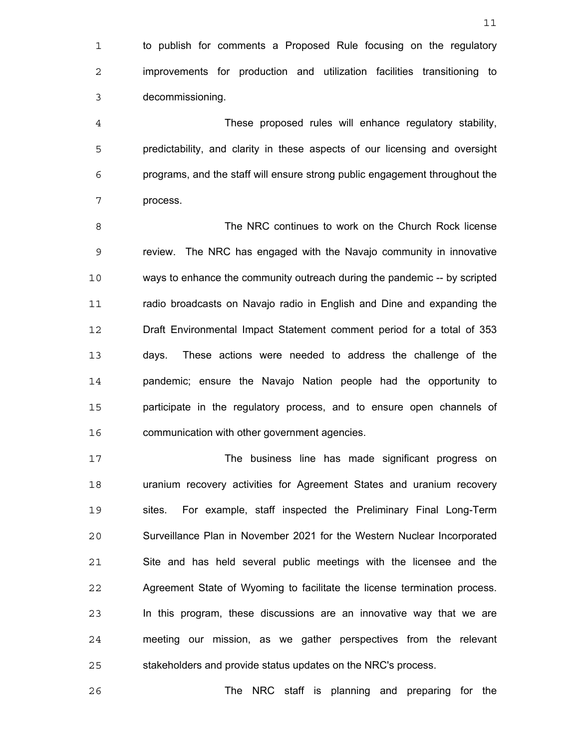1 to publish for comments a Proposed Rule focusing on the regulatory improvements for production and utilization facilities transitioning to decommissioning.

These proposed rules will enhance regulatory stability, predictability, and clarity in these aspects of our licensing and oversight programs, and the staff will ensure strong public engagement throughout the process.

The NRC continues to work on the Church Rock license review. The NRC has engaged with the Navajo community in innovative ways to enhance the community outreach during the pandemic -- by scripted radio broadcasts on Navajo radio in English and Dine and expanding the Draft Environmental Impact Statement comment period for a total of 353 days. These actions were needed to address the challenge of the pandemic; ensure the Navajo Nation people had the opportunity to participate in the regulatory process, and to ensure open channels of communication with other government agencies.

The business line has made significant progress on uranium recovery activities for Agreement States and uranium recovery sites. For example, staff inspected the Preliminary Final Long-Term Surveillance Plan in November 2021 for the Western Nuclear Incorporated Site and has held several public meetings with the licensee and the Agreement State of Wyoming to facilitate the license termination process. In this program, these discussions are an innovative way that we are meeting our mission, as we gather perspectives from the relevant stakeholders and provide status updates on the NRC's process.

The NRC staff is planning and preparing for the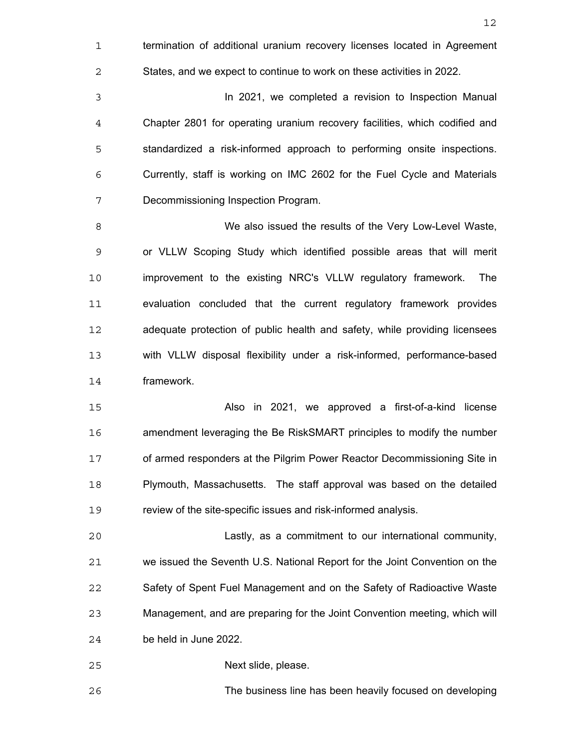termination of additional uranium recovery licenses located in Agreement States, and we expect to continue to work on these activities in 2022.

In 2021, we completed a revision to Inspection Manual Chapter 2801 for operating uranium recovery facilities, which codified and standardized a risk-informed approach to performing onsite inspections. Currently, staff is working on IMC 2602 for the Fuel Cycle and Materials Decommissioning Inspection Program.

We also issued the results of the Very Low-Level Waste, or VLLW Scoping Study which identified possible areas that will merit improvement to the existing NRC's VLLW regulatory framework. The evaluation concluded that the current regulatory framework provides adequate protection of public health and safety, while providing licensees with VLLW disposal flexibility under a risk-informed, performance-based framework.

Also in 2021, we approved a first-of-a-kind license amendment leveraging the Be RiskSMART principles to modify the number of armed responders at the Pilgrim Power Reactor Decommissioning Site in Plymouth, Massachusetts. The staff approval was based on the detailed review of the site-specific issues and risk-informed analysis.

Lastly, as a commitment to our international community, we issued the Seventh U.S. National Report for the Joint Convention on the Safety of Spent Fuel Management and on the Safety of Radioactive Waste Management, and are preparing for the Joint Convention meeting, which will be held in June 2022.

Next slide, please.

The business line has been heavily focused on developing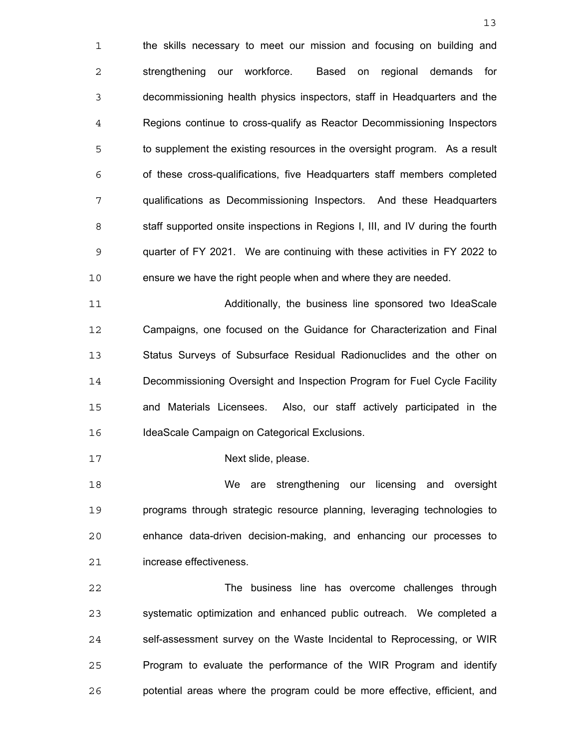the skills necessary to meet our mission and focusing on building and strengthening our workforce. Based on regional demands for decommissioning health physics inspectors, staff in Headquarters and the Regions continue to cross-qualify as Reactor Decommissioning Inspectors to supplement the existing resources in the oversight program. As a result of these cross-qualifications, five Headquarters staff members completed qualifications as Decommissioning Inspectors. And these Headquarters staff supported onsite inspections in Regions I, III, and IV during the fourth quarter of FY 2021. We are continuing with these activities in FY 2022 to ensure we have the right people when and where they are needed.

Additionally, the business line sponsored two IdeaScale Campaigns, one focused on the Guidance for Characterization and Final Status Surveys of Subsurface Residual Radionuclides and the other on Decommissioning Oversight and Inspection Program for Fuel Cycle Facility and Materials Licensees. Also, our staff actively participated in the 16 IdeaScale Campaign on Categorical Exclusions.

**Next slide, please.** 

We are strengthening our licensing and oversight programs through strategic resource planning, leveraging technologies to enhance data-driven decision-making, and enhancing our processes to increase effectiveness.

The business line has overcome challenges through systematic optimization and enhanced public outreach. We completed a self-assessment survey on the Waste Incidental to Reprocessing, or WIR Program to evaluate the performance of the WIR Program and identify potential areas where the program could be more effective, efficient, and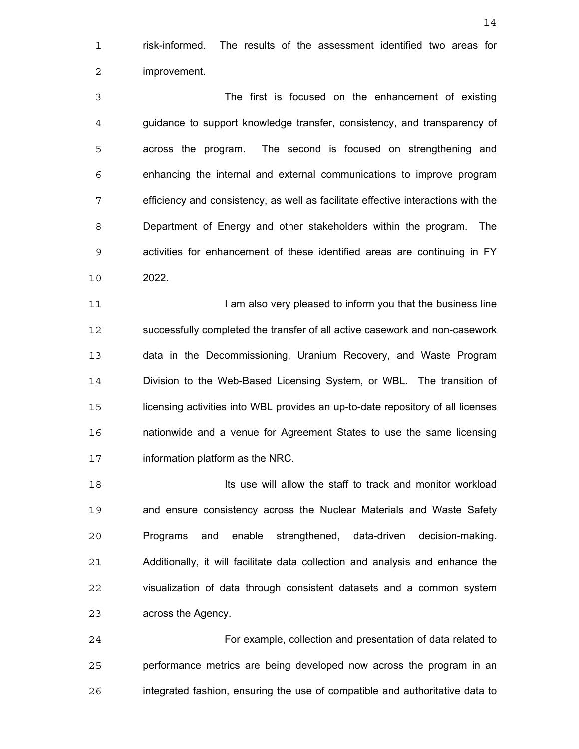risk-informed. The results of the assessment identified two areas for improvement.

The first is focused on the enhancement of existing guidance to support knowledge transfer, consistency, and transparency of across the program. The second is focused on strengthening and enhancing the internal and external communications to improve program efficiency and consistency, as well as facilitate effective interactions with the Department of Energy and other stakeholders within the program. The activities for enhancement of these identified areas are continuing in FY 2022.

**I am also very pleased to inform you that the business line** successfully completed the transfer of all active casework and non-casework data in the Decommissioning, Uranium Recovery, and Waste Program Division to the Web-Based Licensing System, or WBL. The transition of licensing activities into WBL provides an up-to-date repository of all licenses nationwide and a venue for Agreement States to use the same licensing information platform as the NRC.

**Its use will allow the staff to track and monitor workload** 19 and ensure consistency across the Nuclear Materials and Waste Safety Programs and enable strengthened, data-driven decision-making. Additionally, it will facilitate data collection and analysis and enhance the visualization of data through consistent datasets and a common system across the Agency.

For example, collection and presentation of data related to performance metrics are being developed now across the program in an integrated fashion, ensuring the use of compatible and authoritative data to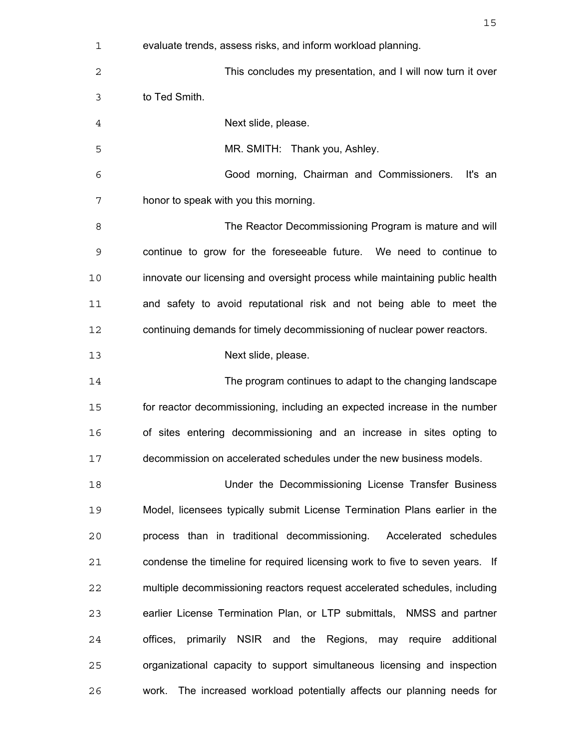| 1  | evaluate trends, assess risks, and inform workload planning.                 |
|----|------------------------------------------------------------------------------|
| 2  | This concludes my presentation, and I will now turn it over                  |
| 3  | to Ted Smith.                                                                |
| 4  | Next slide, please.                                                          |
| 5  | MR. SMITH: Thank you, Ashley.                                                |
| 6  | Good morning, Chairman and Commissioners.<br>It's an                         |
| 7  | honor to speak with you this morning.                                        |
| 8  | The Reactor Decommissioning Program is mature and will                       |
| 9  | continue to grow for the foreseeable future. We need to continue to          |
| 10 | innovate our licensing and oversight process while maintaining public health |
| 11 | and safety to avoid reputational risk and not being able to meet the         |
| 12 | continuing demands for timely decommissioning of nuclear power reactors.     |
| 13 | Next slide, please.                                                          |
| 14 | The program continues to adapt to the changing landscape                     |
| 15 | for reactor decommissioning, including an expected increase in the number    |
| 16 | of sites entering decommissioning and an increase in sites opting to         |
| 17 | decommission on accelerated schedules under the new business models.         |
| 18 | Under the Decommissioning License Transfer Business                          |
| 19 | Model, licensees typically submit License Termination Plans earlier in the   |
| 20 | process than in traditional decommissioning. Accelerated schedules           |
| 21 | condense the timeline for required licensing work to five to seven years. If |
| 22 | multiple decommissioning reactors request accelerated schedules, including   |
| 23 | earlier License Termination Plan, or LTP submittals, NMSS and partner        |
| 24 | offices, primarily NSIR and the Regions, may require additional              |
| 25 | organizational capacity to support simultaneous licensing and inspection     |
| 26 | work. The increased workload potentially affects our planning needs for      |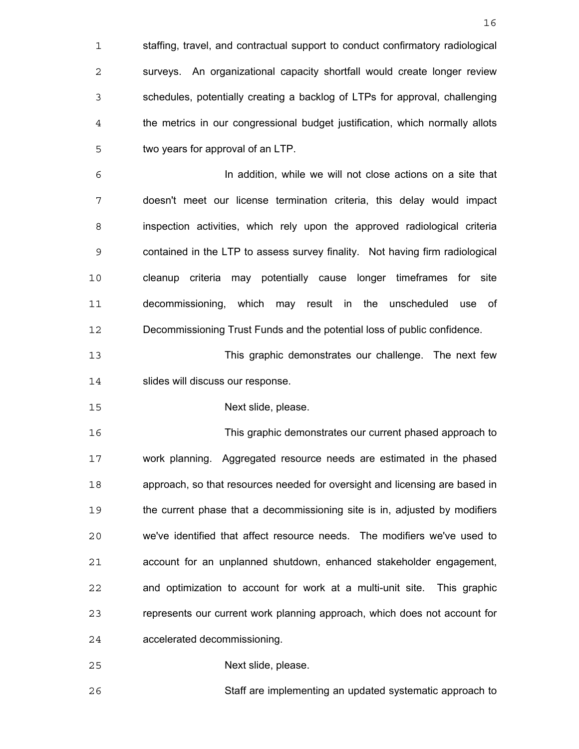staffing, travel, and contractual support to conduct confirmatory radiological surveys. An organizational capacity shortfall would create longer review schedules, potentially creating a backlog of LTPs for approval, challenging the metrics in our congressional budget justification, which normally allots two years for approval of an LTP.

In addition, while we will not close actions on a site that doesn't meet our license termination criteria, this delay would impact inspection activities, which rely upon the approved radiological criteria contained in the LTP to assess survey finality. Not having firm radiological cleanup criteria may potentially cause longer timeframes for site decommissioning, which may result in the unscheduled use of Decommissioning Trust Funds and the potential loss of public confidence.

This graphic demonstrates our challenge. The next few 14 slides will discuss our response.

Next slide, please.

This graphic demonstrates our current phased approach to work planning. Aggregated resource needs are estimated in the phased approach, so that resources needed for oversight and licensing are based in the current phase that a decommissioning site is in, adjusted by modifiers we've identified that affect resource needs. The modifiers we've used to account for an unplanned shutdown, enhanced stakeholder engagement, and optimization to account for work at a multi-unit site. This graphic represents our current work planning approach, which does not account for accelerated decommissioning.

Next slide, please.

Staff are implementing an updated systematic approach to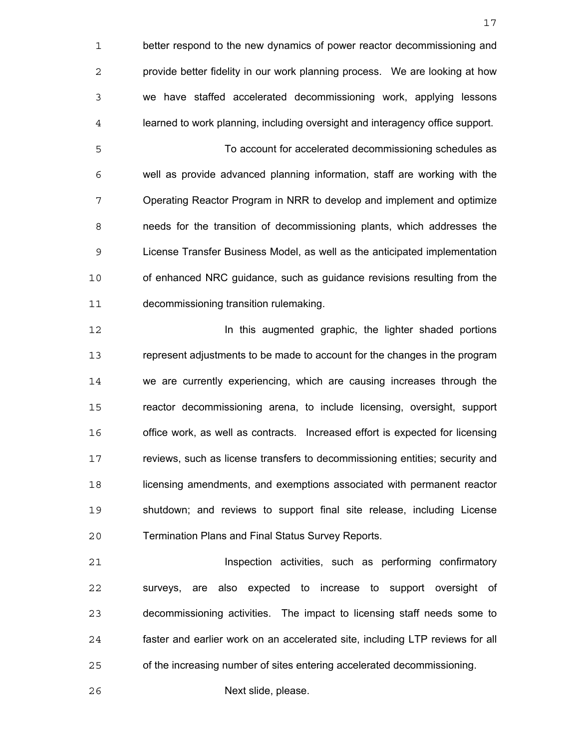better respond to the new dynamics of power reactor decommissioning and provide better fidelity in our work planning process. We are looking at how we have staffed accelerated decommissioning work, applying lessons learned to work planning, including oversight and interagency office support. To account for accelerated decommissioning schedules as well as provide advanced planning information, staff are working with the Operating Reactor Program in NRR to develop and implement and optimize needs for the transition of decommissioning plants, which addresses the License Transfer Business Model, as well as the anticipated implementation of enhanced NRC guidance, such as guidance revisions resulting from the decommissioning transition rulemaking.

In this augmented graphic, the lighter shaded portions represent adjustments to be made to account for the changes in the program we are currently experiencing, which are causing increases through the reactor decommissioning arena, to include licensing, oversight, support office work, as well as contracts. Increased effort is expected for licensing reviews, such as license transfers to decommissioning entities; security and licensing amendments, and exemptions associated with permanent reactor shutdown; and reviews to support final site release, including License Termination Plans and Final Status Survey Reports.

**Inspection activities, such as performing confirmatory** surveys, are also expected to increase to support oversight of decommissioning activities. The impact to licensing staff needs some to faster and earlier work on an accelerated site, including LTP reviews for all of the increasing number of sites entering accelerated decommissioning.

Next slide, please.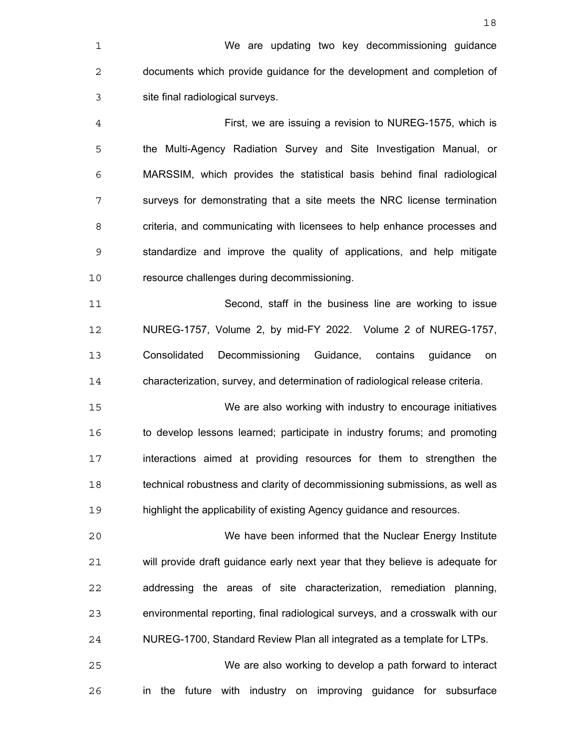First, we are issuing a revision to NUREG-1575, which is the Multi-Agency Radiation Survey and Site Investigation Manual, or MARSSIM, which provides the statistical basis behind final radiological surveys for demonstrating that a site meets the NRC license termination criteria, and communicating with licensees to help enhance processes and standardize and improve the quality of applications, and help mitigate resource challenges during decommissioning.

Second, staff in the business line are working to issue NUREG-1757, Volume 2, by mid-FY 2022. Volume 2 of NUREG-1757, Consolidated Decommissioning Guidance, contains guidance on characterization, survey, and determination of radiological release criteria.

We are also working with industry to encourage initiatives to develop lessons learned; participate in industry forums; and promoting interactions aimed at providing resources for them to strengthen the technical robustness and clarity of decommissioning submissions, as well as highlight the applicability of existing Agency guidance and resources.

We have been informed that the Nuclear Energy Institute will provide draft guidance early next year that they believe is adequate for addressing the areas of site characterization, remediation planning, environmental reporting, final radiological surveys, and a crosswalk with our NUREG-1700, Standard Review Plan all integrated as a template for LTPs.

We are also working to develop a path forward to interact in the future with industry on improving guidance for subsurface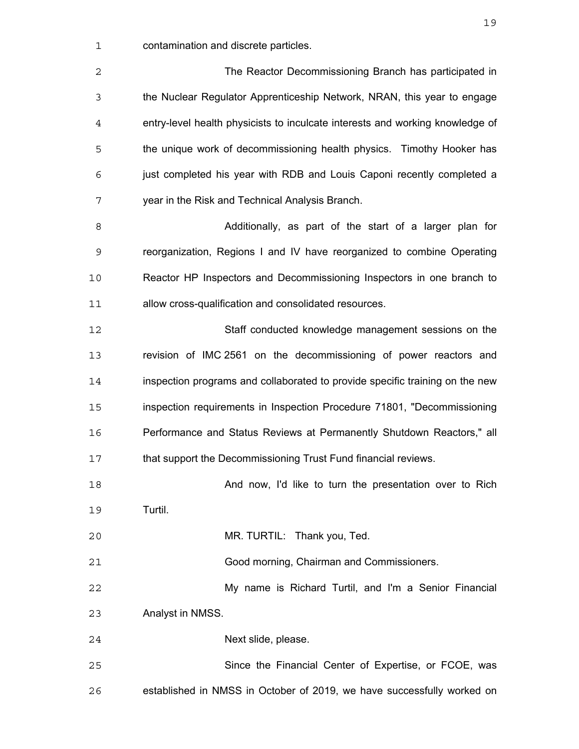contamination and discrete particles.

| $\overline{c}$ | The Reactor Decommissioning Branch has participated in                        |
|----------------|-------------------------------------------------------------------------------|
| 3              | the Nuclear Regulator Apprenticeship Network, NRAN, this year to engage       |
| 4              | entry-level health physicists to inculcate interests and working knowledge of |
| 5              | the unique work of decommissioning health physics. Timothy Hooker has         |
| 6              | just completed his year with RDB and Louis Caponi recently completed a        |
| 7              | year in the Risk and Technical Analysis Branch.                               |
| 8              | Additionally, as part of the start of a larger plan for                       |
| 9              | reorganization, Regions I and IV have reorganized to combine Operating        |
| 10             | Reactor HP Inspectors and Decommissioning Inspectors in one branch to         |
| 11             | allow cross-qualification and consolidated resources.                         |
| 12             | Staff conducted knowledge management sessions on the                          |
| 13             | revision of IMC 2561 on the decommissioning of power reactors and             |
| 14             | inspection programs and collaborated to provide specific training on the new  |
| 15             | inspection requirements in Inspection Procedure 71801, "Decommissioning       |
| 16             | Performance and Status Reviews at Permanently Shutdown Reactors," all         |
| 17             | that support the Decommissioning Trust Fund financial reviews.                |
| 18             | And now, I'd like to turn the presentation over to Rich                       |
| 19             | Turtil.                                                                       |
| 20             | MR. TURTIL: Thank you, Ted.                                                   |
| 21             | Good morning, Chairman and Commissioners.                                     |
| 22             | My name is Richard Turtil, and I'm a Senior Financial                         |
| 23             | Analyst in NMSS.                                                              |
| 24             | Next slide, please.                                                           |
| 25             | Since the Financial Center of Expertise, or FCOE, was                         |
| 26             | established in NMSS in October of 2019, we have successfully worked on        |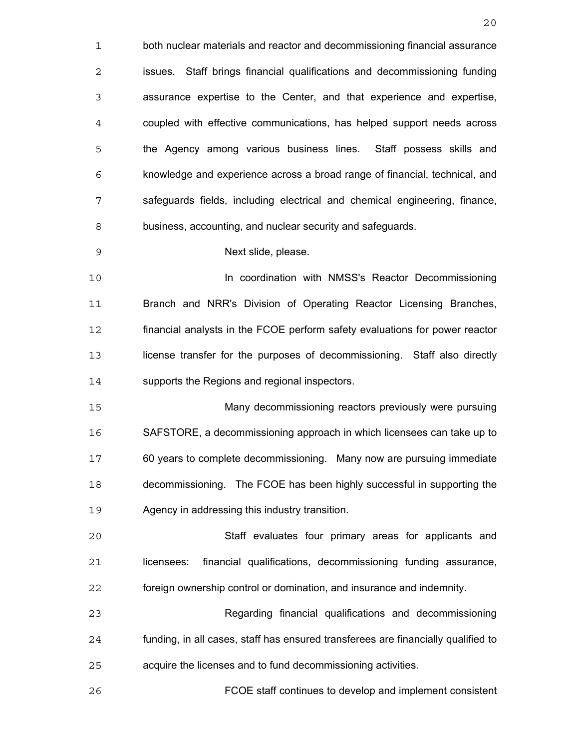both nuclear materials and reactor and decommissioning financial assurance issues. Staff brings financial qualifications and decommissioning funding assurance expertise to the Center, and that experience and expertise, coupled with effective communications, has helped support needs across the Agency among various business lines. Staff possess skills and knowledge and experience across a broad range of financial, technical, and safeguards fields, including electrical and chemical engineering, finance, business, accounting, and nuclear security and safeguards. Next slide, please. In coordination with NMSS's Reactor Decommissioning Branch and NRR's Division of Operating Reactor Licensing Branches, financial analysts in the FCOE perform safety evaluations for power reactor license transfer for the purposes of decommissioning. Staff also directly supports the Regions and regional inspectors. Many decommissioning reactors previously were pursuing SAFSTORE, a decommissioning approach in which licensees can take up to 60 years to complete decommissioning. Many now are pursuing immediate decommissioning. The FCOE has been highly successful in supporting the Agency in addressing this industry transition. Staff evaluates four primary areas for applicants and licensees: financial qualifications, decommissioning funding assurance, foreign ownership control or domination, and insurance and indemnity. Regarding financial qualifications and decommissioning funding, in all cases, staff has ensured transferees are financially qualified to acquire the licenses and to fund decommissioning activities. FCOE staff continues to develop and implement consistent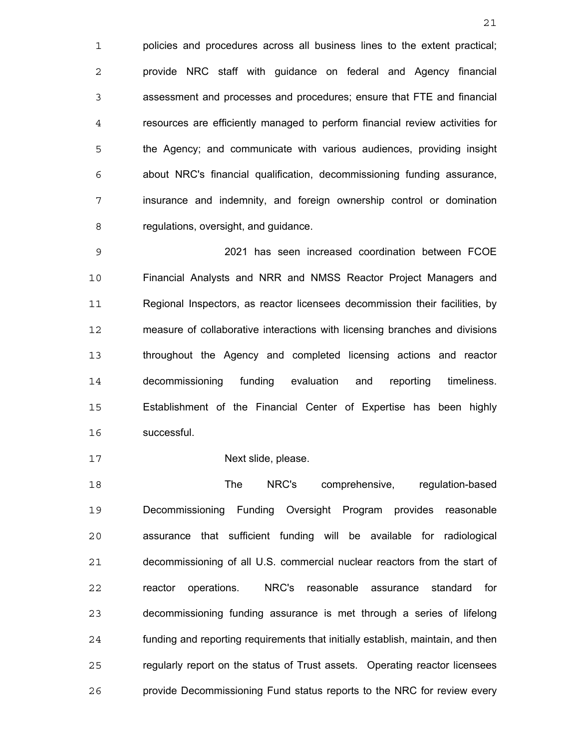policies and procedures across all business lines to the extent practical; provide NRC staff with guidance on federal and Agency financial assessment and processes and procedures; ensure that FTE and financial resources are efficiently managed to perform financial review activities for the Agency; and communicate with various audiences, providing insight about NRC's financial qualification, decommissioning funding assurance, insurance and indemnity, and foreign ownership control or domination regulations, oversight, and guidance.

2021 has seen increased coordination between FCOE Financial Analysts and NRR and NMSS Reactor Project Managers and Regional Inspectors, as reactor licensees decommission their facilities, by measure of collaborative interactions with licensing branches and divisions throughout the Agency and completed licensing actions and reactor decommissioning funding evaluation and reporting timeliness. Establishment of the Financial Center of Expertise has been highly successful.

17 Next slide, please.

The NRC's comprehensive, regulation-based Decommissioning Funding Oversight Program provides reasonable assurance that sufficient funding will be available for radiological decommissioning of all U.S. commercial nuclear reactors from the start of reactor operations. NRC's reasonable assurance standard for decommissioning funding assurance is met through a series of lifelong funding and reporting requirements that initially establish, maintain, and then regularly report on the status of Trust assets. Operating reactor licensees provide Decommissioning Fund status reports to the NRC for review every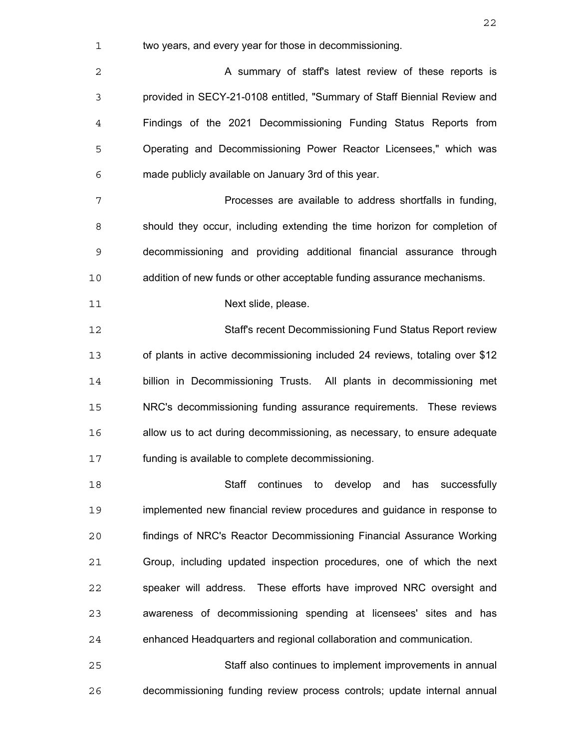| 1              | two years, and every year for those in decommissioning.                     |
|----------------|-----------------------------------------------------------------------------|
| $\overline{c}$ | A summary of staff's latest review of these reports is                      |
| 3              | provided in SECY-21-0108 entitled, "Summary of Staff Biennial Review and    |
| $\overline{4}$ | Findings of the 2021 Decommissioning Funding Status Reports from            |
| 5              | Operating and Decommissioning Power Reactor Licensees," which was           |
| 6              | made publicly available on January 3rd of this year.                        |
| 7              | Processes are available to address shortfalls in funding,                   |
| 8              | should they occur, including extending the time horizon for completion of   |
| 9              | decommissioning and providing additional financial assurance through        |
| 10             | addition of new funds or other acceptable funding assurance mechanisms.     |
| 11             | Next slide, please.                                                         |
| 12             | Staff's recent Decommissioning Fund Status Report review                    |
| 13             | of plants in active decommissioning included 24 reviews, totaling over \$12 |
| 14             | billion in Decommissioning Trusts. All plants in decommissioning met        |
| 15             | NRC's decommissioning funding assurance requirements. These reviews         |
| 16             | allow us to act during decommissioning, as necessary, to ensure adequate    |
| 17             | funding is available to complete decommissioning.                           |
| 18             | Staff continues to develop and has successfully                             |
| 19             | implemented new financial review procedures and guidance in response to     |
| 20             | findings of NRC's Reactor Decommissioning Financial Assurance Working       |
| 21             | Group, including updated inspection procedures, one of which the next       |
| 22             | speaker will address. These efforts have improved NRC oversight and         |
| 23             | awareness of decommissioning spending at licensees' sites and has           |
| 24             | enhanced Headquarters and regional collaboration and communication.         |
| 25             | Staff also continues to implement improvements in annual                    |

decommissioning funding review process controls; update internal annual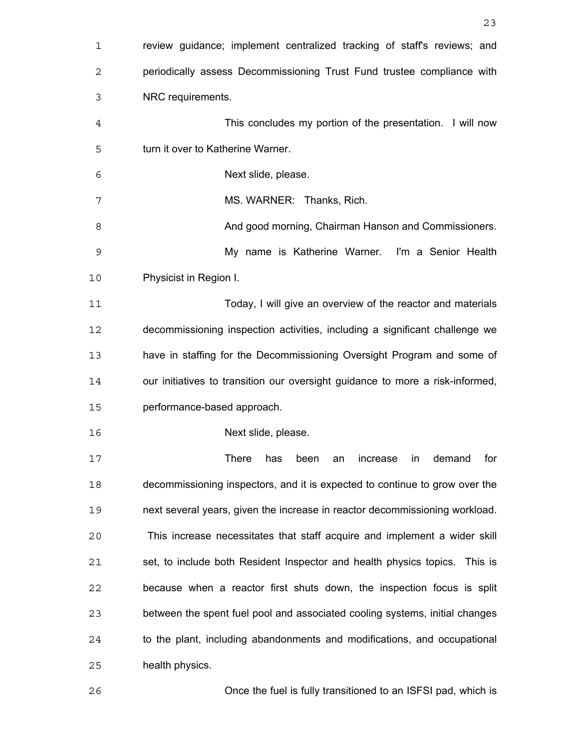| $\mathbf 1$ | review guidance; implement centralized tracking of staff's reviews; and       |
|-------------|-------------------------------------------------------------------------------|
| 2           | periodically assess Decommissioning Trust Fund trustee compliance with        |
| 3           | NRC requirements.                                                             |
| 4           | This concludes my portion of the presentation. I will now                     |
| 5           | turn it over to Katherine Warner.                                             |
| 6           | Next slide, please.                                                           |
| 7           | MS. WARNER: Thanks, Rich.                                                     |
| 8           | And good morning, Chairman Hanson and Commissioners.                          |
| 9           | My name is Katherine Warner. I'm a Senior Health                              |
| 10          | Physicist in Region I.                                                        |
| 11          | Today, I will give an overview of the reactor and materials                   |
| 12          | decommissioning inspection activities, including a significant challenge we   |
| 13          | have in staffing for the Decommissioning Oversight Program and some of        |
| 14          | our initiatives to transition our oversight guidance to more a risk-informed, |
| 15          | performance-based approach.                                                   |
| 16          | Next slide, please.                                                           |
| 17          | There<br>has been an increase in demand for                                   |
| 18          | decommissioning inspectors, and it is expected to continue to grow over the   |
| 19          | next several years, given the increase in reactor decommissioning workload.   |
| 20          | This increase necessitates that staff acquire and implement a wider skill     |
| 21          | set, to include both Resident Inspector and health physics topics. This is    |
| 22          | because when a reactor first shuts down, the inspection focus is split        |
| 23          | between the spent fuel pool and associated cooling systems, initial changes   |
| 24          | to the plant, including abandonments and modifications, and occupational      |
| 25          | health physics.                                                               |
| 26          | Once the fuel is fully transitioned to an ISFSI pad, which is                 |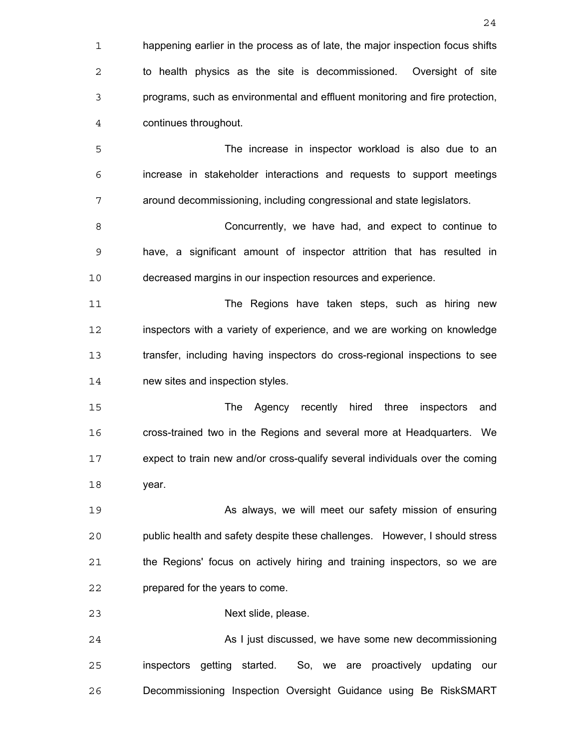| 1  | happening earlier in the process as of late, the major inspection focus shifts |
|----|--------------------------------------------------------------------------------|
| 2  | to health physics as the site is decommissioned. Oversight of site             |
| 3  | programs, such as environmental and effluent monitoring and fire protection,   |
| 4  | continues throughout.                                                          |
| 5  | The increase in inspector workload is also due to an                           |
| 6  | increase in stakeholder interactions and requests to support meetings          |
| 7  | around decommissioning, including congressional and state legislators.         |
| 8  | Concurrently, we have had, and expect to continue to                           |
| 9  | have, a significant amount of inspector attrition that has resulted in         |
| 10 | decreased margins in our inspection resources and experience.                  |
| 11 | The Regions have taken steps, such as hiring new                               |
| 12 | inspectors with a variety of experience, and we are working on knowledge       |
| 13 | transfer, including having inspectors do cross-regional inspections to see     |
| 14 | new sites and inspection styles.                                               |
| 15 | The Agency recently hired<br>three<br>inspectors<br>and                        |
| 16 | cross-trained two in the Regions and several more at Headquarters. We          |
| 17 | expect to train new and/or cross-qualify several individuals over the coming   |
| 18 | year.                                                                          |
| 19 | As always, we will meet our safety mission of ensuring                         |
| 20 | public health and safety despite these challenges. However, I should stress    |
| 21 | the Regions' focus on actively hiring and training inspectors, so we are       |
| 22 | prepared for the years to come.                                                |
| 23 | Next slide, please.                                                            |
| 24 | As I just discussed, we have some new decommissioning                          |
| 25 | inspectors getting started. So, we are proactively updating our                |
| 26 | Decommissioning Inspection Oversight Guidance using Be RiskSMART               |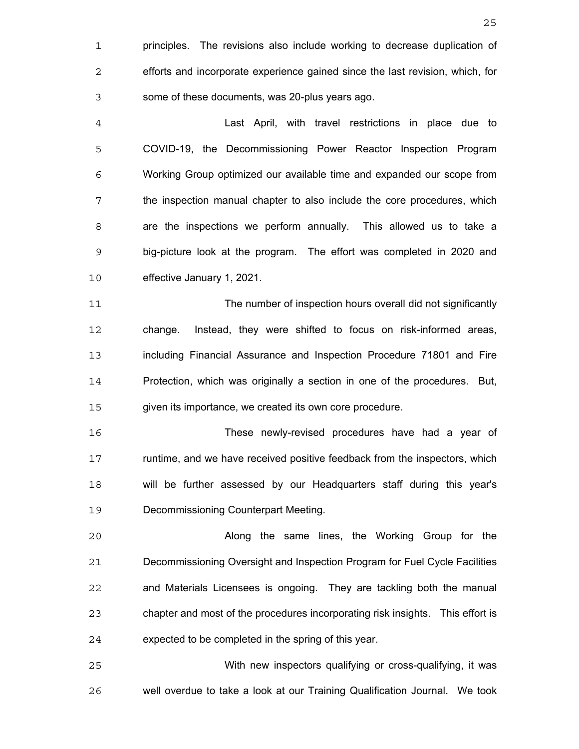principles. The revisions also include working to decrease duplication of efforts and incorporate experience gained since the last revision, which, for some of these documents, was 20-plus years ago.

Last April, with travel restrictions in place due to COVID-19, the Decommissioning Power Reactor Inspection Program Working Group optimized our available time and expanded our scope from the inspection manual chapter to also include the core procedures, which are the inspections we perform annually. This allowed us to take a big-picture look at the program. The effort was completed in 2020 and effective January 1, 2021.

The number of inspection hours overall did not significantly change. Instead, they were shifted to focus on risk-informed areas, including Financial Assurance and Inspection Procedure 71801 and Fire Protection, which was originally a section in one of the procedures. But, given its importance, we created its own core procedure.

These newly-revised procedures have had a year of runtime, and we have received positive feedback from the inspectors, which will be further assessed by our Headquarters staff during this year's Decommissioning Counterpart Meeting.

Along the same lines, the Working Group for the Decommissioning Oversight and Inspection Program for Fuel Cycle Facilities and Materials Licensees is ongoing. They are tackling both the manual chapter and most of the procedures incorporating risk insights. This effort is expected to be completed in the spring of this year.

With new inspectors qualifying or cross-qualifying, it was well overdue to take a look at our Training Qualification Journal. We took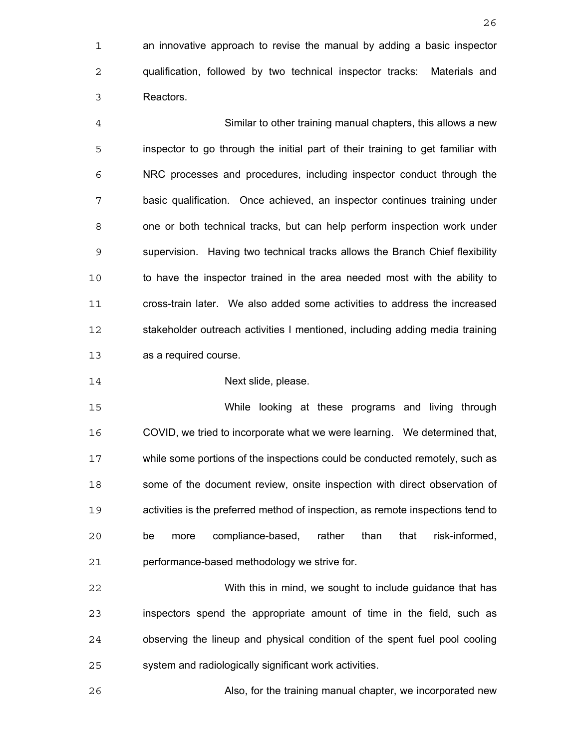an innovative approach to revise the manual by adding a basic inspector qualification, followed by two technical inspector tracks: Materials and Reactors.

Similar to other training manual chapters, this allows a new inspector to go through the initial part of their training to get familiar with NRC processes and procedures, including inspector conduct through the basic qualification. Once achieved, an inspector continues training under one or both technical tracks, but can help perform inspection work under supervision. Having two technical tracks allows the Branch Chief flexibility to have the inspector trained in the area needed most with the ability to cross-train later. We also added some activities to address the increased stakeholder outreach activities I mentioned, including adding media training as a required course.

Next slide, please.

While looking at these programs and living through COVID, we tried to incorporate what we were learning. We determined that, while some portions of the inspections could be conducted remotely, such as some of the document review, onsite inspection with direct observation of activities is the preferred method of inspection, as remote inspections tend to be more compliance-based, rather than that risk-informed, performance-based methodology we strive for.

With this in mind, we sought to include guidance that has inspectors spend the appropriate amount of time in the field, such as observing the lineup and physical condition of the spent fuel pool cooling system and radiologically significant work activities.

Also, for the training manual chapter, we incorporated new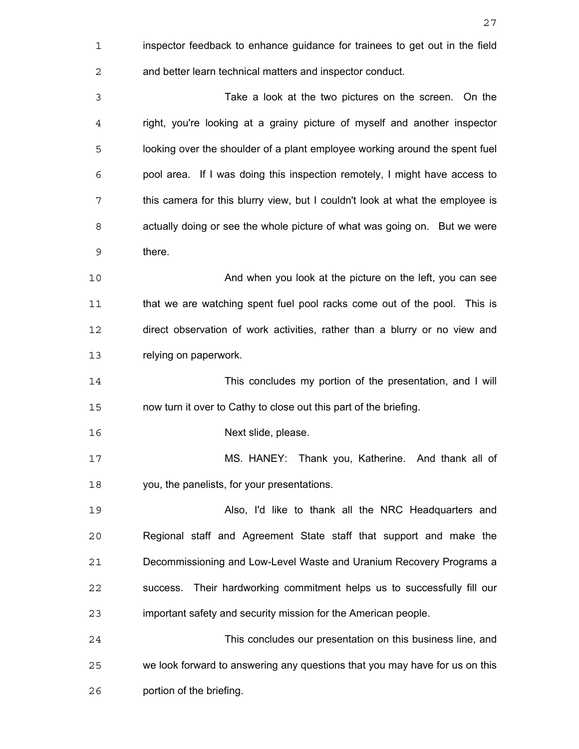| $\mathbf 1$ | inspector feedback to enhance guidance for trainees to get out in the field   |
|-------------|-------------------------------------------------------------------------------|
| 2           | and better learn technical matters and inspector conduct.                     |
| 3           | Take a look at the two pictures on the screen. On the                         |
| 4           | right, you're looking at a grainy picture of myself and another inspector     |
| 5           | looking over the shoulder of a plant employee working around the spent fuel   |
| 6           | pool area. If I was doing this inspection remotely, I might have access to    |
| 7           | this camera for this blurry view, but I couldn't look at what the employee is |
| 8           | actually doing or see the whole picture of what was going on. But we were     |
| 9           | there.                                                                        |
| 10          | And when you look at the picture on the left, you can see                     |
| 11          | that we are watching spent fuel pool racks come out of the pool. This is      |
| 12          | direct observation of work activities, rather than a blurry or no view and    |
| 13          | relying on paperwork.                                                         |
| 14          | This concludes my portion of the presentation, and I will                     |
| 15          | now turn it over to Cathy to close out this part of the briefing.             |
| 16          | Next slide, please.                                                           |
| 17          | MS. HANEY: Thank you, Katherine. And thank all of                             |
| 18          | you, the panelists, for your presentations.                                   |
| 19          | Also, I'd like to thank all the NRC Headquarters and                          |
| 20          | Regional staff and Agreement State staff that support and make the            |
| 21          | Decommissioning and Low-Level Waste and Uranium Recovery Programs a           |
| 22          | Their hardworking commitment helps us to successfully fill our<br>success.    |
| 23          | important safety and security mission for the American people.                |
| 24          | This concludes our presentation on this business line, and                    |
| 25          | we look forward to answering any questions that you may have for us on this   |
| 26          | portion of the briefing.                                                      |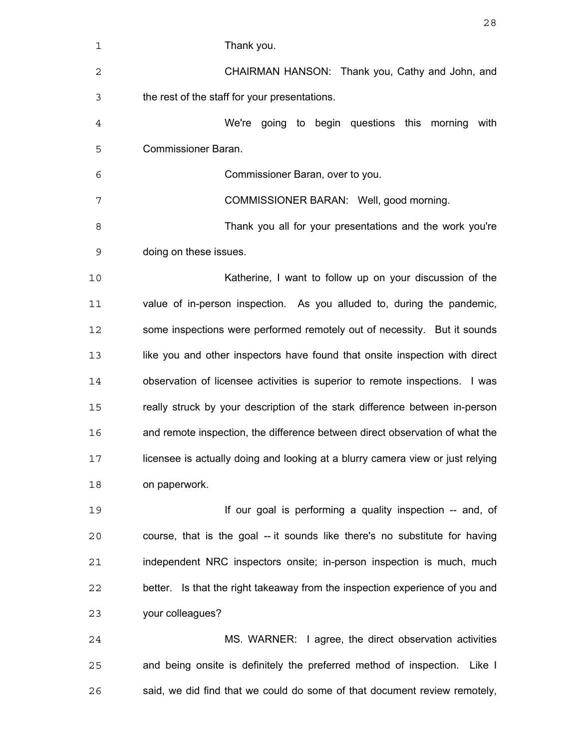| 1  | Thank you.                                                                     |
|----|--------------------------------------------------------------------------------|
| 2  | CHAIRMAN HANSON: Thank you, Cathy and John, and                                |
| 3  | the rest of the staff for your presentations.                                  |
| 4  | We're going to begin questions this morning<br>with                            |
| 5  | <b>Commissioner Baran.</b>                                                     |
| 6  | Commissioner Baran, over to you.                                               |
| 7  | COMMISSIONER BARAN: Well, good morning.                                        |
| 8  | Thank you all for your presentations and the work you're                       |
| 9  | doing on these issues.                                                         |
| 10 | Katherine, I want to follow up on your discussion of the                       |
| 11 | value of in-person inspection. As you alluded to, during the pandemic,         |
| 12 | some inspections were performed remotely out of necessity. But it sounds       |
| 13 | like you and other inspectors have found that onsite inspection with direct    |
| 14 | observation of licensee activities is superior to remote inspections. I was    |
| 15 | really struck by your description of the stark difference between in-person    |
| 16 | and remote inspection, the difference between direct observation of what the   |
| 17 | licensee is actually doing and looking at a blurry camera view or just relying |
| 18 | on paperwork.                                                                  |
| 19 | If our goal is performing a quality inspection -- and, of                      |
| 20 | course, that is the goal -- it sounds like there's no substitute for having    |
| 21 | independent NRC inspectors onsite; in-person inspection is much, much          |
| 22 | better. Is that the right takeaway from the inspection experience of you and   |
| 23 | your colleagues?                                                               |
| 24 | MS. WARNER: I agree, the direct observation activities                         |
| 25 | and being onsite is definitely the preferred method of inspection. Like I      |
| 26 | said, we did find that we could do some of that document review remotely,      |
|    |                                                                                |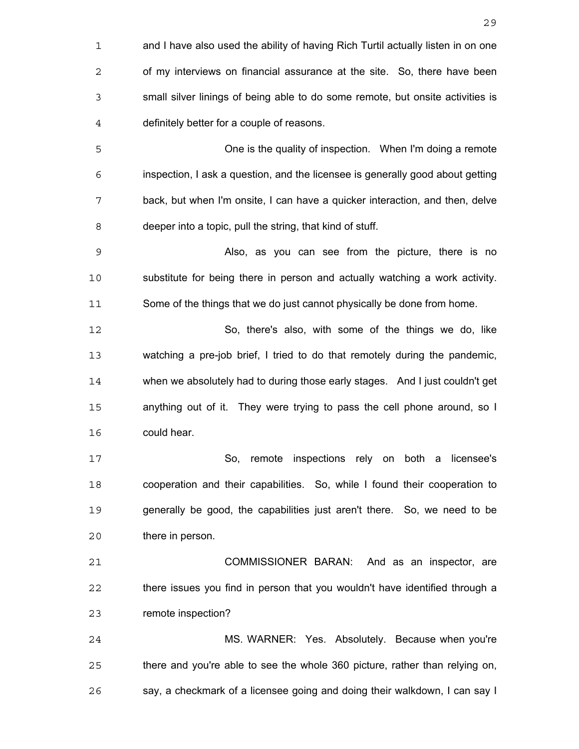and I have also used the ability of having Rich Turtil actually listen in on one of my interviews on financial assurance at the site. So, there have been small silver linings of being able to do some remote, but onsite activities is definitely better for a couple of reasons. One is the quality of inspection. When I'm doing a remote inspection, I ask a question, and the licensee is generally good about getting back, but when I'm onsite, I can have a quicker interaction, and then, delve deeper into a topic, pull the string, that kind of stuff. Also, as you can see from the picture, there is no substitute for being there in person and actually watching a work activity. Some of the things that we do just cannot physically be done from home. So, there's also, with some of the things we do, like watching a pre-job brief, I tried to do that remotely during the pandemic, when we absolutely had to during those early stages. And I just couldn't get anything out of it. They were trying to pass the cell phone around, so I could hear. So, remote inspections rely on both a licensee's cooperation and their capabilities. So, while I found their cooperation to generally be good, the capabilities just aren't there. So, we need to be there in person. COMMISSIONER BARAN: And as an inspector, are there issues you find in person that you wouldn't have identified through a remote inspection? MS. WARNER: Yes. Absolutely. Because when you're there and you're able to see the whole 360 picture, rather than relying on, say, a checkmark of a licensee going and doing their walkdown, I can say I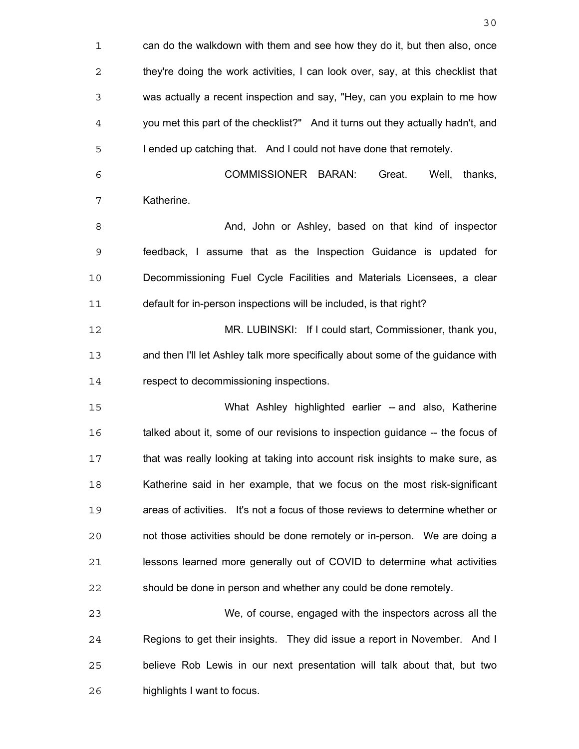can do the walkdown with them and see how they do it, but then also, once they're doing the work activities, I can look over, say, at this checklist that was actually a recent inspection and say, "Hey, can you explain to me how you met this part of the checklist?" And it turns out they actually hadn't, and I ended up catching that. And I could not have done that remotely. COMMISSIONER BARAN: Great. Well, thanks, Katherine. **And, John or Ashley, based on that kind of inspector** feedback, I assume that as the Inspection Guidance is updated for Decommissioning Fuel Cycle Facilities and Materials Licensees, a clear default for in-person inspections will be included, is that right? MR. LUBINSKI: If I could start, Commissioner, thank you, and then I'll let Ashley talk more specifically about some of the guidance with 14 respect to decommissioning inspections. What Ashley highlighted earlier -- and also, Katherine talked about it, some of our revisions to inspection guidance -- the focus of that was really looking at taking into account risk insights to make sure, as Katherine said in her example, that we focus on the most risk-significant areas of activities. It's not a focus of those reviews to determine whether or not those activities should be done remotely or in-person. We are doing a lessons learned more generally out of COVID to determine what activities should be done in person and whether any could be done remotely. We, of course, engaged with the inspectors across all the Regions to get their insights. They did issue a report in November. And I believe Rob Lewis in our next presentation will talk about that, but two highlights I want to focus.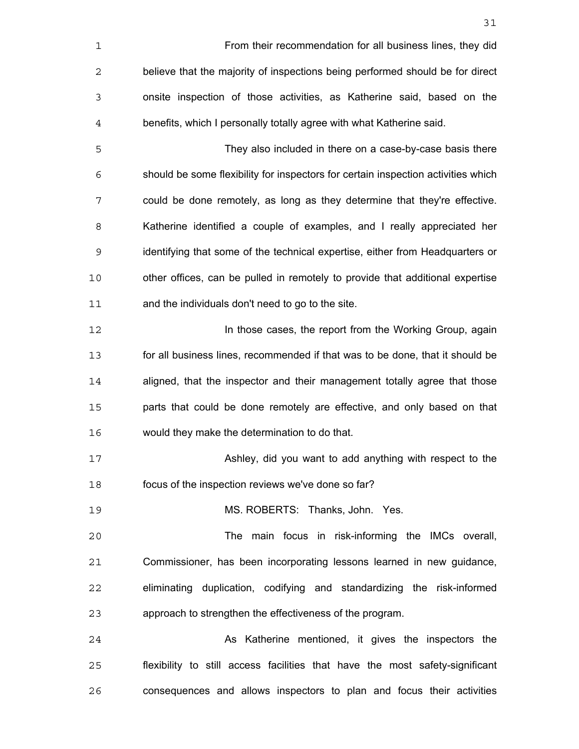| 1  | From their recommendation for all business lines, they did                        |
|----|-----------------------------------------------------------------------------------|
| 2  | believe that the majority of inspections being performed should be for direct     |
| 3  | onsite inspection of those activities, as Katherine said, based on the            |
| 4  | benefits, which I personally totally agree with what Katherine said.              |
| 5  | They also included in there on a case-by-case basis there                         |
| 6  | should be some flexibility for inspectors for certain inspection activities which |
| 7  | could be done remotely, as long as they determine that they're effective.         |
| 8  | Katherine identified a couple of examples, and I really appreciated her           |
| 9  | identifying that some of the technical expertise, either from Headquarters or     |
| 10 | other offices, can be pulled in remotely to provide that additional expertise     |
| 11 | and the individuals don't need to go to the site.                                 |
| 12 | In those cases, the report from the Working Group, again                          |
| 13 | for all business lines, recommended if that was to be done, that it should be     |
| 14 | aligned, that the inspector and their management totally agree that those         |
| 15 | parts that could be done remotely are effective, and only based on that           |
| 16 | would they make the determination to do that.                                     |
| 17 | Ashley, did you want to add anything with respect to the                          |
| 18 | focus of the inspection reviews we've done so far?                                |
| 19 | MS. ROBERTS: Thanks, John. Yes.                                                   |
| 20 | The main focus in risk-informing the IMCs overall,                                |
| 21 | Commissioner, has been incorporating lessons learned in new guidance,             |
| 22 | eliminating duplication, codifying and standardizing the risk-informed            |
| 23 | approach to strengthen the effectiveness of the program.                          |
| 24 | As Katherine mentioned, it gives the inspectors the                               |
| 25 | flexibility to still access facilities that have the most safety-significant      |
| 26 | consequences and allows inspectors to plan and focus their activities             |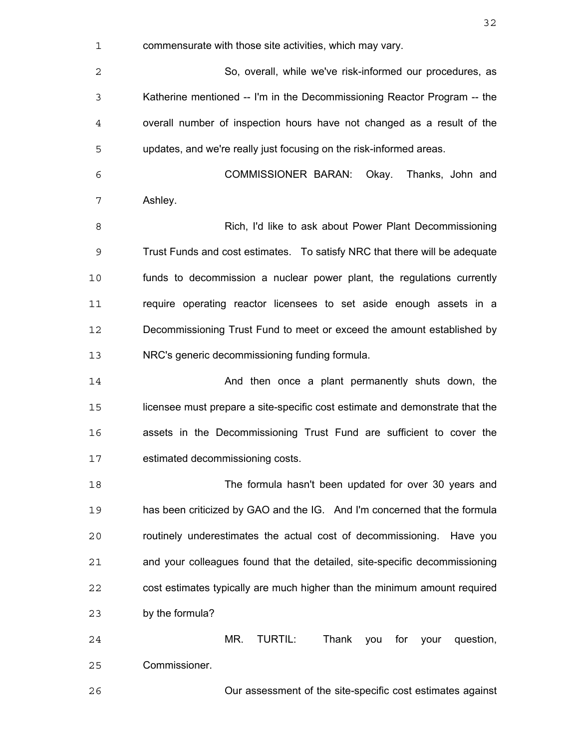commensurate with those site activities, which may vary. So, overall, while we've risk-informed our procedures, as Katherine mentioned -- I'm in the Decommissioning Reactor Program -- the overall number of inspection hours have not changed as a result of the updates, and we're really just focusing on the risk-informed areas. COMMISSIONER BARAN: Okay. Thanks, John and Ashley. Rich, I'd like to ask about Power Plant Decommissioning Trust Funds and cost estimates. To satisfy NRC that there will be adequate funds to decommission a nuclear power plant, the regulations currently require operating reactor licensees to set aside enough assets in a Decommissioning Trust Fund to meet or exceed the amount established by NRC's generic decommissioning funding formula. And then once a plant permanently shuts down, the licensee must prepare a site-specific cost estimate and demonstrate that the assets in the Decommissioning Trust Fund are sufficient to cover the estimated decommissioning costs. The formula hasn't been updated for over 30 years and has been criticized by GAO and the IG. And I'm concerned that the formula routinely underestimates the actual cost of decommissioning. Have you and your colleagues found that the detailed, site-specific decommissioning cost estimates typically are much higher than the minimum amount required by the formula? MR. TURTIL: Thank you for your question, Commissioner. Our assessment of the site-specific cost estimates against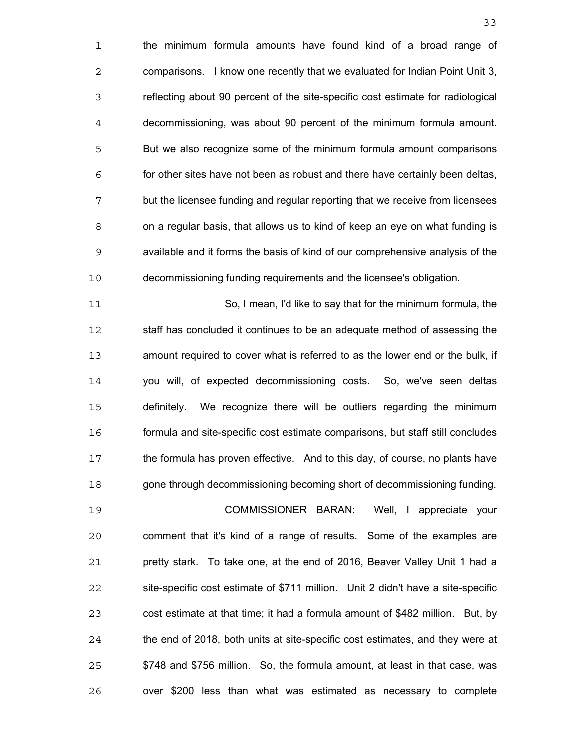the minimum formula amounts have found kind of a broad range of comparisons. I know one recently that we evaluated for Indian Point Unit 3, reflecting about 90 percent of the site-specific cost estimate for radiological decommissioning, was about 90 percent of the minimum formula amount. But we also recognize some of the minimum formula amount comparisons for other sites have not been as robust and there have certainly been deltas, but the licensee funding and regular reporting that we receive from licensees on a regular basis, that allows us to kind of keep an eye on what funding is available and it forms the basis of kind of our comprehensive analysis of the decommissioning funding requirements and the licensee's obligation.

So, I mean, I'd like to say that for the minimum formula, the staff has concluded it continues to be an adequate method of assessing the amount required to cover what is referred to as the lower end or the bulk, if you will, of expected decommissioning costs. So, we've seen deltas definitely. We recognize there will be outliers regarding the minimum formula and site-specific cost estimate comparisons, but staff still concludes the formula has proven effective. And to this day, of course, no plants have gone through decommissioning becoming short of decommissioning funding.

COMMISSIONER BARAN: Well, I appreciate your comment that it's kind of a range of results. Some of the examples are pretty stark. To take one, at the end of 2016, Beaver Valley Unit 1 had a site-specific cost estimate of \$711 million. Unit 2 didn't have a site-specific cost estimate at that time; it had a formula amount of \$482 million. But, by the end of 2018, both units at site-specific cost estimates, and they were at \$748 and \$756 million. So, the formula amount, at least in that case, was over \$200 less than what was estimated as necessary to complete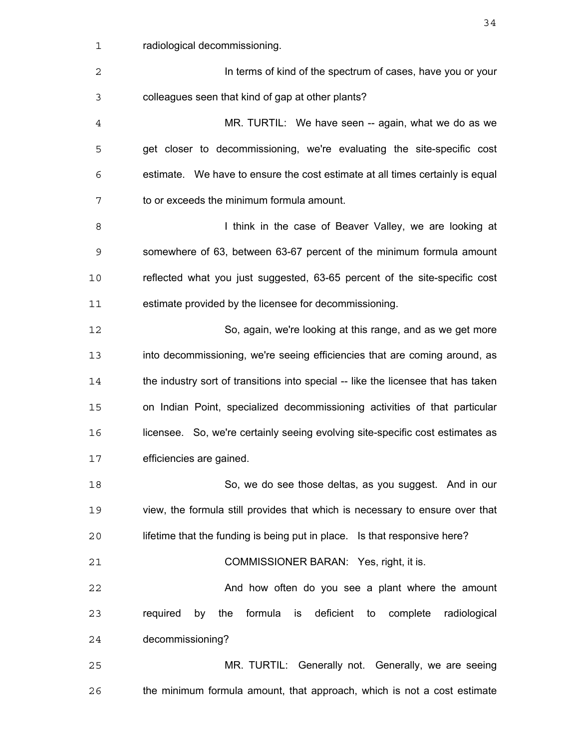| $\mathbf 1$    | radiological decommissioning.                                                     |
|----------------|-----------------------------------------------------------------------------------|
| 2              | In terms of kind of the spectrum of cases, have you or your                       |
| 3              | colleagues seen that kind of gap at other plants?                                 |
| $\overline{4}$ | MR. TURTIL: We have seen -- again, what we do as we                               |
| 5              | get closer to decommissioning, we're evaluating the site-specific cost            |
| 6              | estimate. We have to ensure the cost estimate at all times certainly is equal     |
| 7              | to or exceeds the minimum formula amount.                                         |
| 8              | I think in the case of Beaver Valley, we are looking at                           |
| 9              | somewhere of 63, between 63-67 percent of the minimum formula amount              |
| 10             | reflected what you just suggested, 63-65 percent of the site-specific cost        |
| 11             | estimate provided by the licensee for decommissioning.                            |
| 12             | So, again, we're looking at this range, and as we get more                        |
| 13             | into decommissioning, we're seeing efficiencies that are coming around, as        |
| 14             | the industry sort of transitions into special -- like the licensee that has taken |
| 15             | on Indian Point, specialized decommissioning activities of that particular        |
| 16             | licensee. So, we're certainly seeing evolving site-specific cost estimates as     |
| 17             | efficiencies are gained.                                                          |
| 18             | So, we do see those deltas, as you suggest. And in our                            |
| 19             | view, the formula still provides that which is necessary to ensure over that      |
| 20             | lifetime that the funding is being put in place. Is that responsive here?         |
| 21             | COMMISSIONER BARAN: Yes, right, it is.                                            |
| 22             | And how often do you see a plant where the amount                                 |
| 23             | formula is deficient to complete<br>required by<br>radiological<br>the            |
| 24             | decommissioning?                                                                  |
| 25             | MR. TURTIL: Generally not. Generally, we are seeing                               |
| 26             | the minimum formula amount, that approach, which is not a cost estimate           |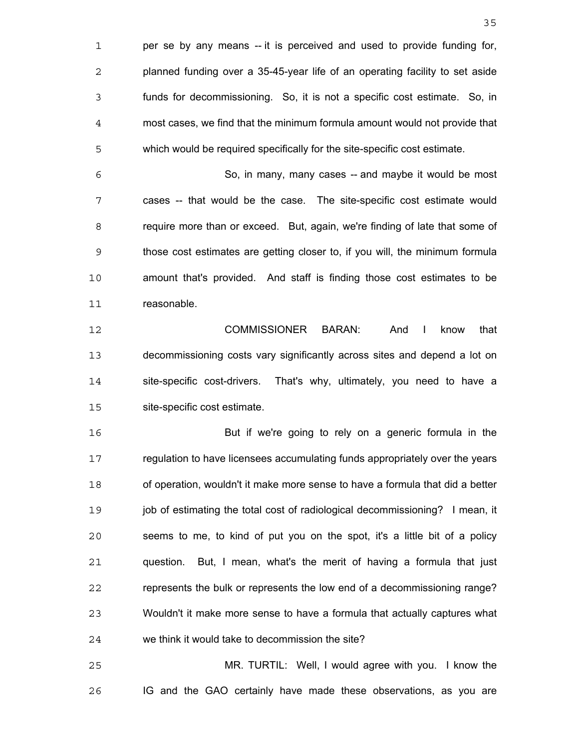per se by any means -- it is perceived and used to provide funding for, planned funding over a 35-45-year life of an operating facility to set aside funds for decommissioning. So, it is not a specific cost estimate. So, in most cases, we find that the minimum formula amount would not provide that which would be required specifically for the site-specific cost estimate.

So, in many, many cases -- and maybe it would be most cases -- that would be the case. The site-specific cost estimate would require more than or exceed. But, again, we're finding of late that some of those cost estimates are getting closer to, if you will, the minimum formula amount that's provided. And staff is finding those cost estimates to be reasonable.

COMMISSIONER BARAN: And I know that decommissioning costs vary significantly across sites and depend a lot on site-specific cost-drivers. That's why, ultimately, you need to have a site-specific cost estimate.

But if we're going to rely on a generic formula in the regulation to have licensees accumulating funds appropriately over the years of operation, wouldn't it make more sense to have a formula that did a better 19 job of estimating the total cost of radiological decommissioning? I mean, it seems to me, to kind of put you on the spot, it's a little bit of a policy question. But, I mean, what's the merit of having a formula that just represents the bulk or represents the low end of a decommissioning range? Wouldn't it make more sense to have a formula that actually captures what we think it would take to decommission the site?

MR. TURTIL: Well, I would agree with you. I know the IG and the GAO certainly have made these observations, as you are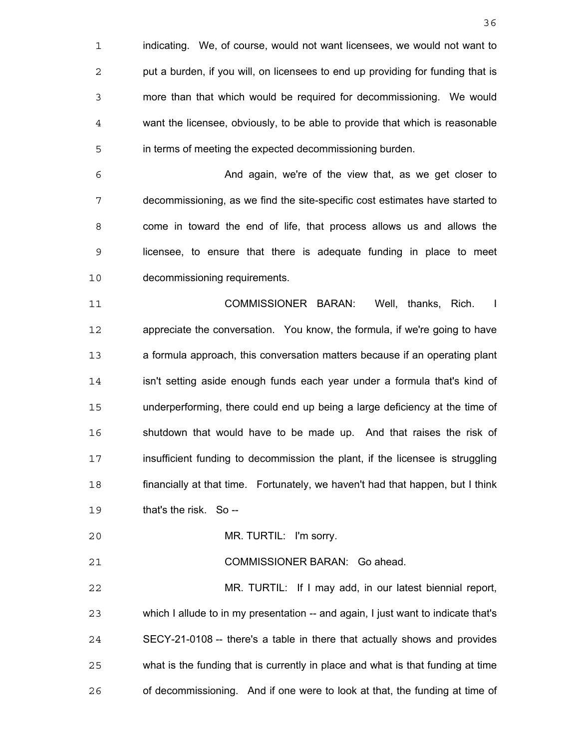indicating. We, of course, would not want licensees, we would not want to put a burden, if you will, on licensees to end up providing for funding that is more than that which would be required for decommissioning. We would want the licensee, obviously, to be able to provide that which is reasonable in terms of meeting the expected decommissioning burden.

And again, we're of the view that, as we get closer to decommissioning, as we find the site-specific cost estimates have started to come in toward the end of life, that process allows us and allows the licensee, to ensure that there is adequate funding in place to meet decommissioning requirements.

COMMISSIONER BARAN: Well, thanks, Rich. I appreciate the conversation. You know, the formula, if we're going to have a formula approach, this conversation matters because if an operating plant isn't setting aside enough funds each year under a formula that's kind of underperforming, there could end up being a large deficiency at the time of shutdown that would have to be made up. And that raises the risk of insufficient funding to decommission the plant, if the licensee is struggling financially at that time. Fortunately, we haven't had that happen, but I think that's the risk. So --

MR. TURTIL: I'm sorry.

COMMISSIONER BARAN: Go ahead.

MR. TURTIL: If I may add, in our latest biennial report, which I allude to in my presentation -- and again, I just want to indicate that's SECY-21-0108 -- there's a table in there that actually shows and provides what is the funding that is currently in place and what is that funding at time of decommissioning. And if one were to look at that, the funding at time of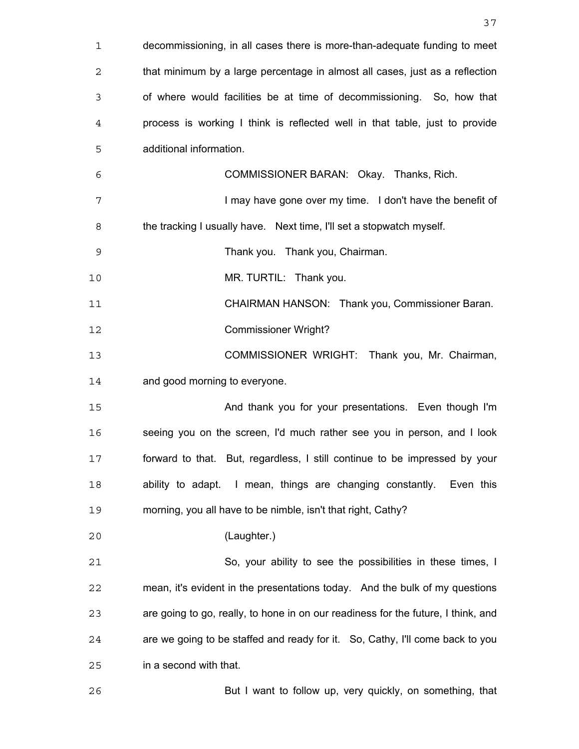| $\mathbf 1$ | decommissioning, in all cases there is more-than-adequate funding to meet         |
|-------------|-----------------------------------------------------------------------------------|
| 2           | that minimum by a large percentage in almost all cases, just as a reflection      |
| 3           | of where would facilities be at time of decommissioning. So, how that             |
| 4           | process is working I think is reflected well in that table, just to provide       |
| 5           | additional information.                                                           |
| 6           | COMMISSIONER BARAN: Okay. Thanks, Rich.                                           |
| 7           | I may have gone over my time. I don't have the benefit of                         |
| 8           | the tracking I usually have. Next time, I'll set a stopwatch myself.              |
| $\mathsf 9$ | Thank you. Thank you, Chairman.                                                   |
| 10          | MR. TURTIL: Thank you.                                                            |
| 11          | CHAIRMAN HANSON: Thank you, Commissioner Baran.                                   |
| 12          | <b>Commissioner Wright?</b>                                                       |
| 13          | COMMISSIONER WRIGHT: Thank you, Mr. Chairman,                                     |
| 14          | and good morning to everyone.                                                     |
| 15          | And thank you for your presentations. Even though I'm                             |
| 16          | seeing you on the screen, I'd much rather see you in person, and I look           |
| 17          | forward to that. But, regardless, I still continue to be impressed by your        |
| 18          | ability to adapt. I mean, things are changing constantly. Even this               |
| 19          | morning, you all have to be nimble, isn't that right, Cathy?                      |
| 20          | (Laughter.)                                                                       |
| 21          | So, your ability to see the possibilities in these times, I                       |
| 22          | mean, it's evident in the presentations today. And the bulk of my questions       |
| 23          | are going to go, really, to hone in on our readiness for the future, I think, and |
| 24          | are we going to be staffed and ready for it. So, Cathy, I'll come back to you     |
| 25          | in a second with that.                                                            |
| 26          | But I want to follow up, very quickly, on something, that                         |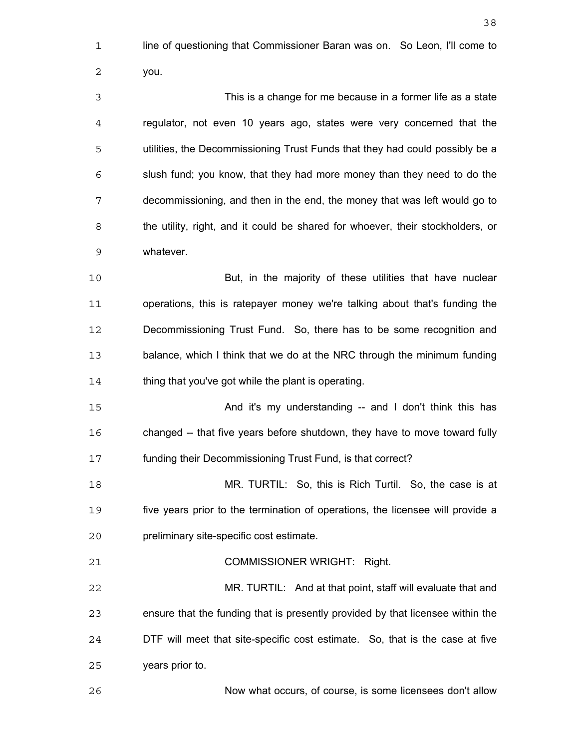line of questioning that Commissioner Baran was on. So Leon, I'll come to you. This is a change for me because in a former life as a state regulator, not even 10 years ago, states were very concerned that the utilities, the Decommissioning Trust Funds that they had could possibly be a slush fund; you know, that they had more money than they need to do the decommissioning, and then in the end, the money that was left would go to the utility, right, and it could be shared for whoever, their stockholders, or whatever. But, in the majority of these utilities that have nuclear operations, this is ratepayer money we're talking about that's funding the Decommissioning Trust Fund. So, there has to be some recognition and balance, which I think that we do at the NRC through the minimum funding 14 thing that you've got while the plant is operating. And it's my understanding -- and I don't think this has changed -- that five years before shutdown, they have to move toward fully funding their Decommissioning Trust Fund, is that correct? MR. TURTIL: So, this is Rich Turtil. So, the case is at five years prior to the termination of operations, the licensee will provide a preliminary site-specific cost estimate. COMMISSIONER WRIGHT: Right. MR. TURTIL: And at that point, staff will evaluate that and ensure that the funding that is presently provided by that licensee within the DTF will meet that site-specific cost estimate. So, that is the case at five

years prior to.

Now what occurs, of course, is some licensees don't allow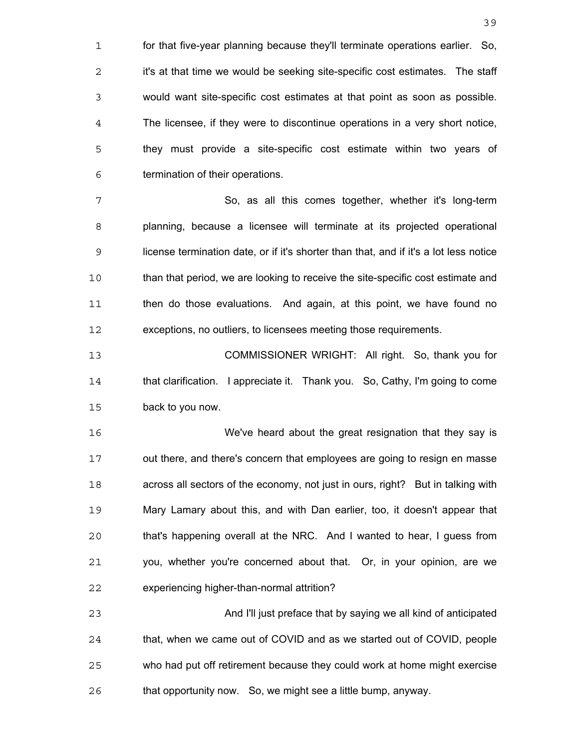for that five-year planning because they'll terminate operations earlier. So, 2 it's at that time we would be seeking site-specific cost estimates. The staff would want site-specific cost estimates at that point as soon as possible. The licensee, if they were to discontinue operations in a very short notice, they must provide a site-specific cost estimate within two years of termination of their operations.

So, as all this comes together, whether it's long-term planning, because a licensee will terminate at its projected operational license termination date, or if it's shorter than that, and if it's a lot less notice than that period, we are looking to receive the site-specific cost estimate and then do those evaluations. And again, at this point, we have found no exceptions, no outliers, to licensees meeting those requirements.

COMMISSIONER WRIGHT: All right. So, thank you for that clarification. I appreciate it. Thank you. So, Cathy, I'm going to come back to you now.

We've heard about the great resignation that they say is out there, and there's concern that employees are going to resign en masse across all sectors of the economy, not just in ours, right? But in talking with Mary Lamary about this, and with Dan earlier, too, it doesn't appear that that's happening overall at the NRC. And I wanted to hear, I guess from you, whether you're concerned about that. Or, in your opinion, are we experiencing higher-than-normal attrition?

And I'll just preface that by saying we all kind of anticipated that, when we came out of COVID and as we started out of COVID, people who had put off retirement because they could work at home might exercise that opportunity now. So, we might see a little bump, anyway.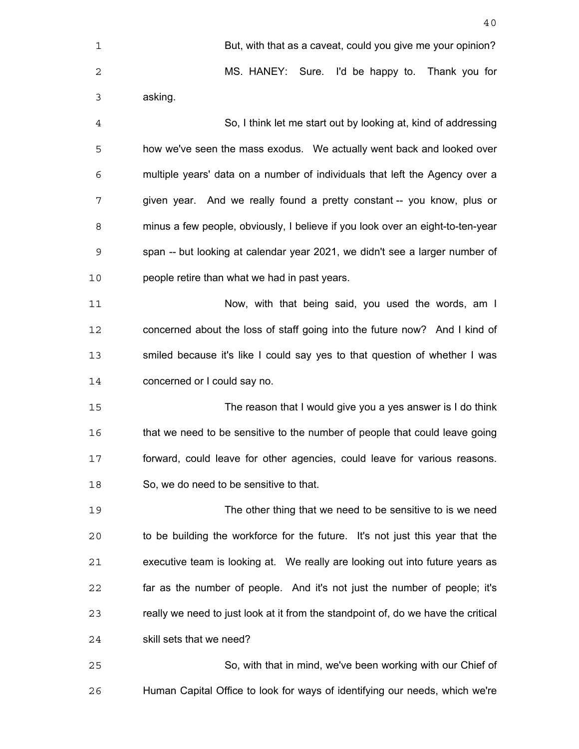| 1              | But, with that as a caveat, could you give me your opinion?                       |
|----------------|-----------------------------------------------------------------------------------|
| 2              | MS. HANEY: Sure. I'd be happy to. Thank you for                                   |
| 3              | asking.                                                                           |
| $\overline{4}$ | So, I think let me start out by looking at, kind of addressing                    |
| 5              | how we've seen the mass exodus. We actually went back and looked over             |
| 6              | multiple years' data on a number of individuals that left the Agency over a       |
| 7              | given year. And we really found a pretty constant -- you know, plus or            |
| 8              | minus a few people, obviously, I believe if you look over an eight-to-ten-year    |
| 9              | span -- but looking at calendar year 2021, we didn't see a larger number of       |
| 10             | people retire than what we had in past years.                                     |
| 11             | Now, with that being said, you used the words, am I                               |
| 12             | concerned about the loss of staff going into the future now? And I kind of        |
| 13             | smiled because it's like I could say yes to that question of whether I was        |
| 14             | concerned or I could say no.                                                      |
| 15             | The reason that I would give you a yes answer is I do think                       |
| 16             | that we need to be sensitive to the number of people that could leave going       |
| 17             | forward, could leave for other agencies, could leave for various reasons.         |
| 18             | So, we do need to be sensitive to that.                                           |
| 19             | The other thing that we need to be sensitive to is we need                        |
| 20             | to be building the workforce for the future. It's not just this year that the     |
| 21             | executive team is looking at. We really are looking out into future years as      |
| 22             | far as the number of people. And it's not just the number of people; it's         |
| 23             | really we need to just look at it from the standpoint of, do we have the critical |
| 24             | skill sets that we need?                                                          |
| 25             | So, with that in mind, we've been working with our Chief of                       |
| 26             | Human Capital Office to look for ways of identifying our needs, which we're       |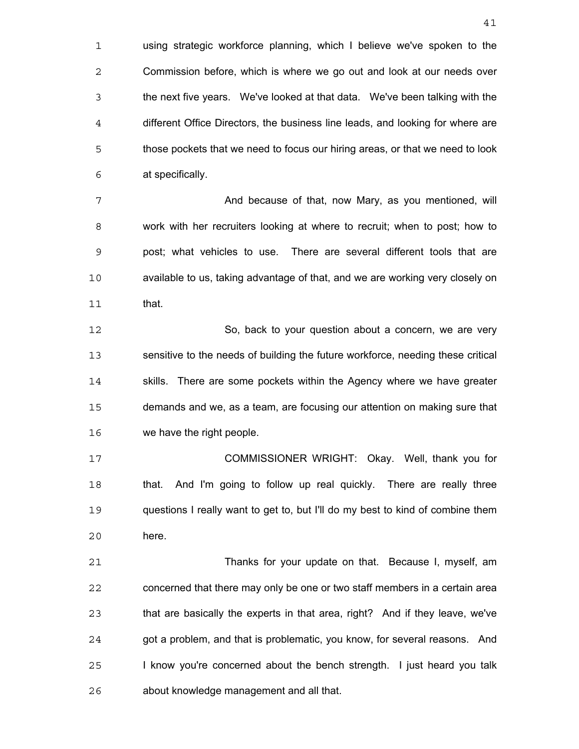using strategic workforce planning, which I believe we've spoken to the Commission before, which is where we go out and look at our needs over the next five years. We've looked at that data. We've been talking with the different Office Directors, the business line leads, and looking for where are those pockets that we need to focus our hiring areas, or that we need to look at specifically.

**And because of that, now Mary, as you mentioned, will** work with her recruiters looking at where to recruit; when to post; how to post; what vehicles to use. There are several different tools that are available to us, taking advantage of that, and we are working very closely on that.

So, back to your question about a concern, we are very sensitive to the needs of building the future workforce, needing these critical 14 skills. There are some pockets within the Agency where we have greater demands and we, as a team, are focusing our attention on making sure that we have the right people.

COMMISSIONER WRIGHT: Okay. Well, thank you for that. And I'm going to follow up real quickly. There are really three questions I really want to get to, but I'll do my best to kind of combine them here.

Thanks for your update on that. Because I, myself, am concerned that there may only be one or two staff members in a certain area that are basically the experts in that area, right? And if they leave, we've got a problem, and that is problematic, you know, for several reasons. And I know you're concerned about the bench strength. I just heard you talk about knowledge management and all that.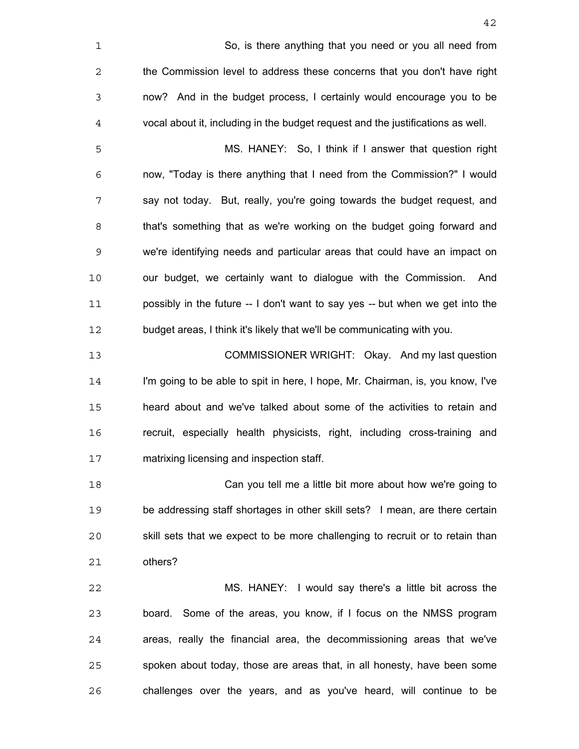| 1              | So, is there anything that you need or you all need from                        |
|----------------|---------------------------------------------------------------------------------|
| $\mathbf{2}$   | the Commission level to address these concerns that you don't have right        |
| $\mathsf 3$    | now? And in the budget process, I certainly would encourage you to be           |
| $\overline{4}$ | vocal about it, including in the budget request and the justifications as well. |
| 5              | MS. HANEY: So, I think if I answer that question right                          |
| 6              | now, "Today is there anything that I need from the Commission?" I would         |
| 7              | say not today. But, really, you're going towards the budget request, and        |
| 8              | that's something that as we're working on the budget going forward and          |
| 9              | we're identifying needs and particular areas that could have an impact on       |
| 10             | our budget, we certainly want to dialogue with the Commission.<br>And           |
| 11             | possibly in the future -- I don't want to say yes -- but when we get into the   |
| 12             | budget areas, I think it's likely that we'll be communicating with you.         |
| 13             | COMMISSIONER WRIGHT: Okay. And my last question                                 |
| 14             | I'm going to be able to spit in here, I hope, Mr. Chairman, is, you know, I've  |
| 15             | heard about and we've talked about some of the activities to retain and         |
| 16             | recruit, especially health physicists, right, including cross-training and      |
| 17             | matrixing licensing and inspection staff.                                       |
| 18             | Can you tell me a little bit more about how we're going to                      |
| 19             | be addressing staff shortages in other skill sets? I mean, are there certain    |
| 20             | skill sets that we expect to be more challenging to recruit or to retain than   |
| 21             | others?                                                                         |
| 22             | MS. HANEY: I would say there's a little bit across the                          |
| 23             | board. Some of the areas, you know, if I focus on the NMSS program              |
| 24             | areas, really the financial area, the decommissioning areas that we've          |
| 25             | spoken about today, those are areas that, in all honesty, have been some        |

challenges over the years, and as you've heard, will continue to be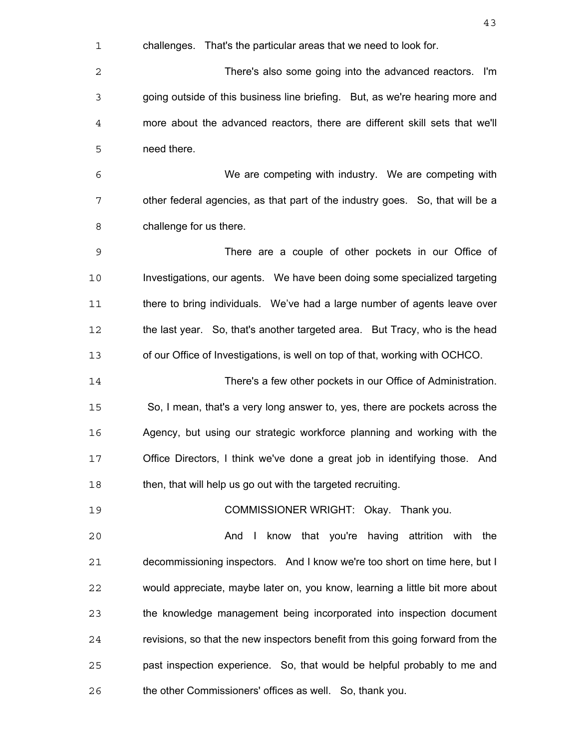challenges. That's the particular areas that we need to look for.

There's also some going into the advanced reactors. I'm going outside of this business line briefing. But, as we're hearing more and more about the advanced reactors, there are different skill sets that we'll need there.

We are competing with industry. We are competing with other federal agencies, as that part of the industry goes. So, that will be a challenge for us there.

There are a couple of other pockets in our Office of Investigations, our agents. We have been doing some specialized targeting 11 there to bring individuals. We've had a large number of agents leave over the last year. So, that's another targeted area. But Tracy, who is the head of our Office of Investigations, is well on top of that, working with OCHCO.

There's a few other pockets in our Office of Administration. So, I mean, that's a very long answer to, yes, there are pockets across the Agency, but using our strategic workforce planning and working with the Office Directors, I think we've done a great job in identifying those. And 18 then, that will help us go out with the targeted recruiting.

COMMISSIONER WRIGHT: Okay. Thank you.

And I know that you're having attrition with the decommissioning inspectors. And I know we're too short on time here, but I would appreciate, maybe later on, you know, learning a little bit more about the knowledge management being incorporated into inspection document revisions, so that the new inspectors benefit from this going forward from the past inspection experience. So, that would be helpful probably to me and the other Commissioners' offices as well. So, thank you.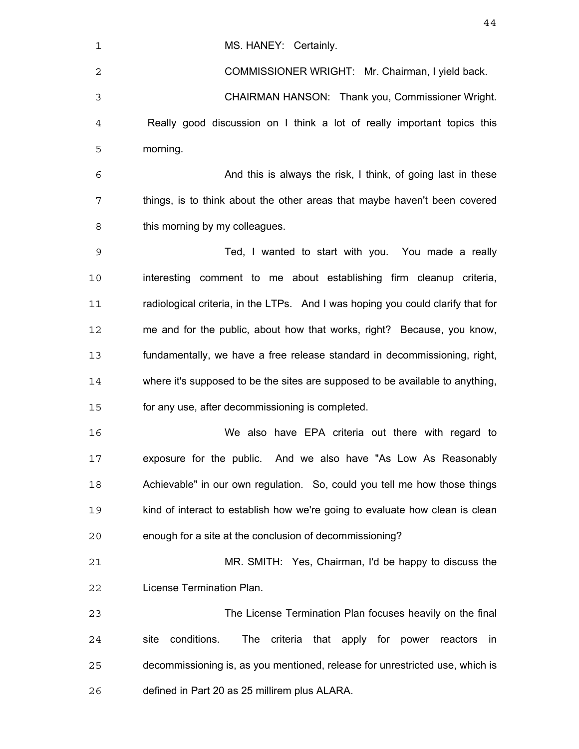| $\mathbf 1$ | MS. HANEY: Certainly.                                                                |
|-------------|--------------------------------------------------------------------------------------|
| 2           | COMMISSIONER WRIGHT: Mr. Chairman, I yield back.                                     |
| 3           | CHAIRMAN HANSON: Thank you, Commissioner Wright.                                     |
| 4           | Really good discussion on I think a lot of really important topics this              |
| 5           | morning.                                                                             |
| 6           | And this is always the risk, I think, of going last in these                         |
| 7           | things, is to think about the other areas that maybe haven't been covered            |
| 8           | this morning by my colleagues.                                                       |
| 9           | Ted, I wanted to start with you. You made a really                                   |
| 10          | interesting comment to me about establishing firm cleanup criteria,                  |
| 11          | radiological criteria, in the LTPs. And I was hoping you could clarify that for      |
| 12          | me and for the public, about how that works, right? Because, you know,               |
| 13          | fundamentally, we have a free release standard in decommissioning, right,            |
| 14          | where it's supposed to be the sites are supposed to be available to anything,        |
| 15          | for any use, after decommissioning is completed.                                     |
| 16          | We also have EPA criteria out there with regard to                                   |
| 17          | exposure for the public. And we also have "As Low As Reasonably                      |
| 18          | Achievable" in our own regulation. So, could you tell me how those things            |
| 19          | kind of interact to establish how we're going to evaluate how clean is clean         |
| 20          | enough for a site at the conclusion of decommissioning?                              |
| 21          | MR. SMITH: Yes, Chairman, I'd be happy to discuss the                                |
| 22          | License Termination Plan.                                                            |
| 23          | The License Termination Plan focuses heavily on the final                            |
| 24          | conditions.<br>The<br>criteria that apply for power<br>site<br>reactors<br><i>in</i> |
| 25          | decommissioning is, as you mentioned, release for unrestricted use, which is         |
| 26          | defined in Part 20 as 25 millirem plus ALARA.                                        |
|             |                                                                                      |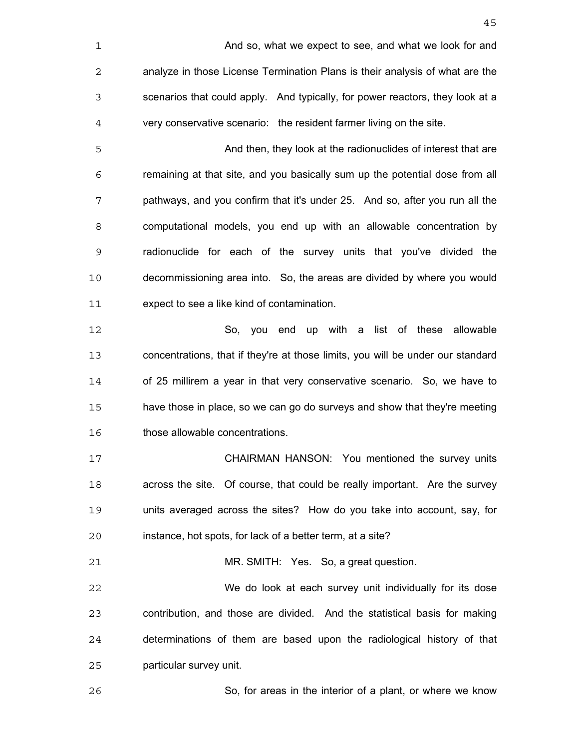And so, what we expect to see, and what we look for and analyze in those License Termination Plans is their analysis of what are the scenarios that could apply. And typically, for power reactors, they look at a very conservative scenario: the resident farmer living on the site. And then, they look at the radionuclides of interest that are remaining at that site, and you basically sum up the potential dose from all pathways, and you confirm that it's under 25. And so, after you run all the computational models, you end up with an allowable concentration by radionuclide for each of the survey units that you've divided the decommissioning area into. So, the areas are divided by where you would expect to see a like kind of contamination. So, you end up with a list of these allowable concentrations, that if they're at those limits, you will be under our standard of 25 millirem a year in that very conservative scenario. So, we have to have those in place, so we can go do surveys and show that they're meeting those allowable concentrations. CHAIRMAN HANSON: You mentioned the survey units across the site. Of course, that could be really important. Are the survey units averaged across the sites? How do you take into account, say, for instance, hot spots, for lack of a better term, at a site? MR. SMITH: Yes. So, a great question. We do look at each survey unit individually for its dose contribution, and those are divided. And the statistical basis for making determinations of them are based upon the radiological history of that particular survey unit. So, for areas in the interior of a plant, or where we know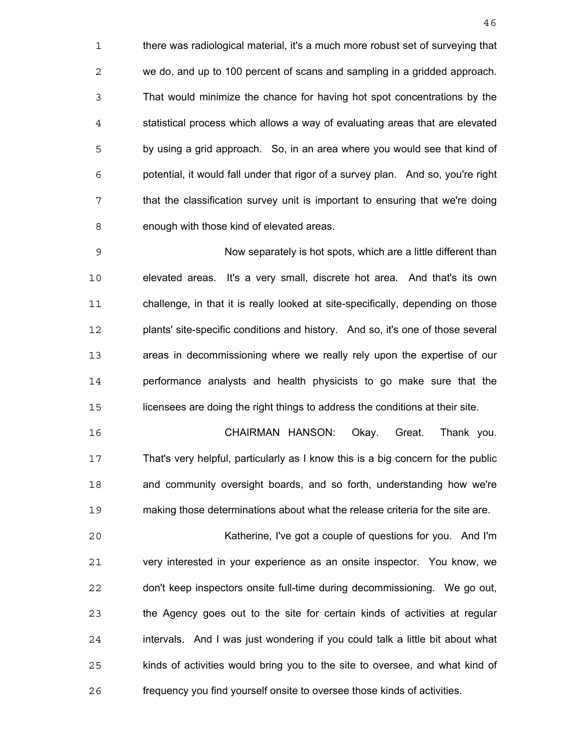there was radiological material, it's a much more robust set of surveying that we do, and up to 100 percent of scans and sampling in a gridded approach. That would minimize the chance for having hot spot concentrations by the statistical process which allows a way of evaluating areas that are elevated by using a grid approach. So, in an area where you would see that kind of potential, it would fall under that rigor of a survey plan. And so, you're right that the classification survey unit is important to ensuring that we're doing enough with those kind of elevated areas.

Now separately is hot spots, which are a little different than elevated areas. It's a very small, discrete hot area. And that's its own challenge, in that it is really looked at site-specifically, depending on those plants' site-specific conditions and history. And so, it's one of those several areas in decommissioning where we really rely upon the expertise of our performance analysts and health physicists to go make sure that the licensees are doing the right things to address the conditions at their site.

CHAIRMAN HANSON: Okay. Great. Thank you. That's very helpful, particularly as I know this is a big concern for the public and community oversight boards, and so forth, understanding how we're making those determinations about what the release criteria for the site are.

Katherine, I've got a couple of questions for you. And I'm very interested in your experience as an onsite inspector. You know, we don't keep inspectors onsite full-time during decommissioning. We go out, the Agency goes out to the site for certain kinds of activities at regular intervals. And I was just wondering if you could talk a little bit about what kinds of activities would bring you to the site to oversee, and what kind of frequency you find yourself onsite to oversee those kinds of activities.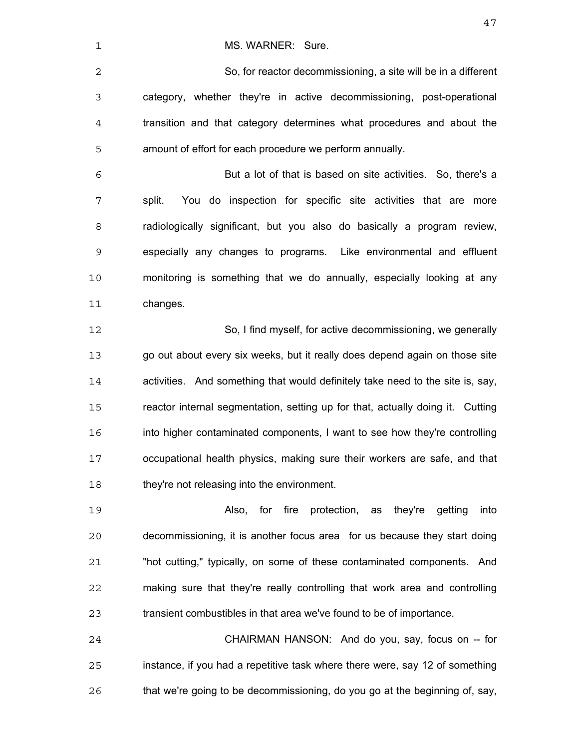1 MS. WARNER: Sure.

So, for reactor decommissioning, a site will be in a different category, whether they're in active decommissioning, post-operational transition and that category determines what procedures and about the amount of effort for each procedure we perform annually.

But a lot of that is based on site activities. So, there's a split. You do inspection for specific site activities that are more radiologically significant, but you also do basically a program review, especially any changes to programs. Like environmental and effluent monitoring is something that we do annually, especially looking at any changes.

So, I find myself, for active decommissioning, we generally go out about every six weeks, but it really does depend again on those site activities. And something that would definitely take need to the site is, say, reactor internal segmentation, setting up for that, actually doing it. Cutting into higher contaminated components, I want to see how they're controlling occupational health physics, making sure their workers are safe, and that 18 they're not releasing into the environment.

Also, for fire protection, as they're getting into decommissioning, it is another focus area for us because they start doing "hot cutting," typically, on some of these contaminated components. And making sure that they're really controlling that work area and controlling transient combustibles in that area we've found to be of importance.

CHAIRMAN HANSON: And do you, say, focus on -- for instance, if you had a repetitive task where there were, say 12 of something that we're going to be decommissioning, do you go at the beginning of, say,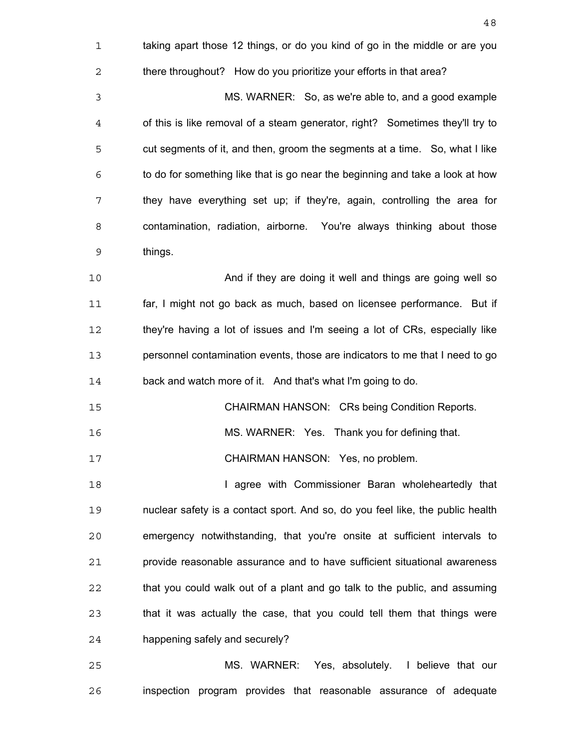| $\mathbf 1$    | taking apart those 12 things, or do you kind of go in the middle or are you    |
|----------------|--------------------------------------------------------------------------------|
| $\overline{c}$ | there throughout? How do you prioritize your efforts in that area?             |
| 3              | MS. WARNER: So, as we're able to, and a good example                           |
| 4              | of this is like removal of a steam generator, right? Sometimes they'll try to  |
| 5              | cut segments of it, and then, groom the segments at a time. So, what I like    |
| 6              | to do for something like that is go near the beginning and take a look at how  |
| 7              | they have everything set up; if they're, again, controlling the area for       |
| 8              | contamination, radiation, airborne. You're always thinking about those         |
| 9              | things.                                                                        |
| 10             | And if they are doing it well and things are going well so                     |
| 11             | far, I might not go back as much, based on licensee performance. But if        |
| 12             | they're having a lot of issues and I'm seeing a lot of CRs, especially like    |
| 13             | personnel contamination events, those are indicators to me that I need to go   |
| 14             | back and watch more of it. And that's what I'm going to do.                    |
| 15             | <b>CHAIRMAN HANSON: CRs being Condition Reports.</b>                           |
| 16             | MS. WARNER: Yes. Thank you for defining that.                                  |
| 17             | CHAIRMAN HANSON: Yes, no problem.                                              |
| 18             | I agree with Commissioner Baran wholeheartedly that                            |
| 19             | nuclear safety is a contact sport. And so, do you feel like, the public health |
| 20             | emergency notwithstanding, that you're onsite at sufficient intervals to       |
| 21             | provide reasonable assurance and to have sufficient situational awareness      |
| 22             | that you could walk out of a plant and go talk to the public, and assuming     |
| 23             | that it was actually the case, that you could tell them that things were       |
| 24             | happening safely and securely?                                                 |
| 25             | MS. WARNER: Yes, absolutely. I believe that our                                |
| 26             | inspection program provides that reasonable assurance of adequate              |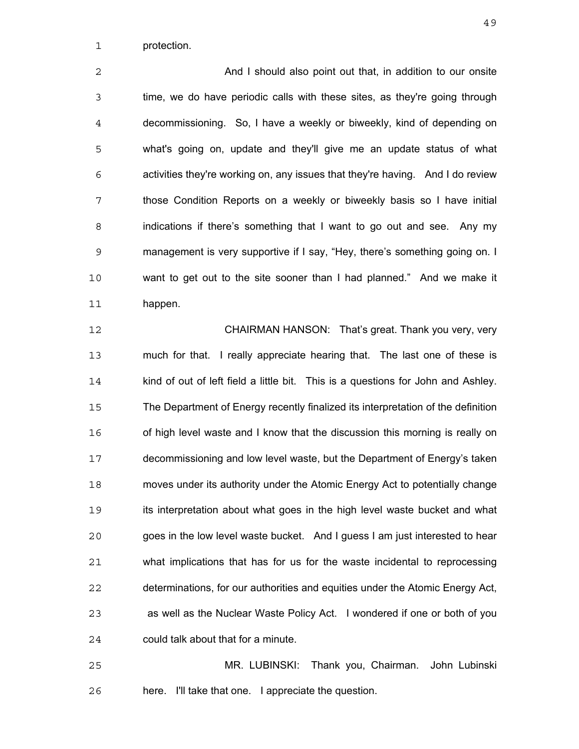protection.

**And I should also point out that, in addition to our onsite** time, we do have periodic calls with these sites, as they're going through decommissioning. So, I have a weekly or biweekly, kind of depending on what's going on, update and they'll give me an update status of what activities they're working on, any issues that they're having. And I do review those Condition Reports on a weekly or biweekly basis so I have initial indications if there's something that I want to go out and see. Any my management is very supportive if I say, "Hey, there's something going on. I want to get out to the site sooner than I had planned." And we make it happen.

CHAIRMAN HANSON: That's great. Thank you very, very much for that. I really appreciate hearing that. The last one of these is 14 kind of out of left field a little bit. This is a questions for John and Ashley. The Department of Energy recently finalized its interpretation of the definition of high level waste and I know that the discussion this morning is really on decommissioning and low level waste, but the Department of Energy's taken moves under its authority under the Atomic Energy Act to potentially change its interpretation about what goes in the high level waste bucket and what goes in the low level waste bucket. And I guess I am just interested to hear what implications that has for us for the waste incidental to reprocessing determinations, for our authorities and equities under the Atomic Energy Act, as well as the Nuclear Waste Policy Act. I wondered if one or both of you could talk about that for a minute.

MR. LUBINSKI: Thank you, Chairman. John Lubinski here. I'll take that one. I appreciate the question.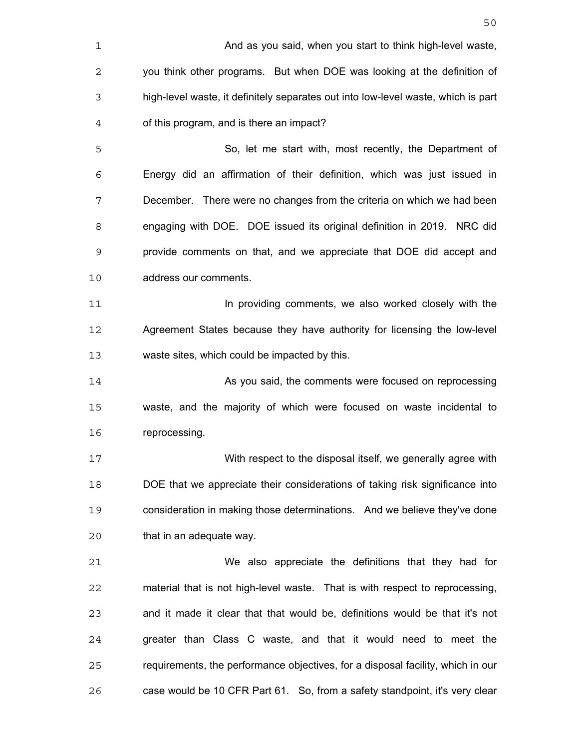| 1              | And as you said, when you start to think high-level waste,                        |
|----------------|-----------------------------------------------------------------------------------|
| 2              | you think other programs. But when DOE was looking at the definition of           |
| 3              | high-level waste, it definitely separates out into low-level waste, which is part |
| $\overline{4}$ | of this program, and is there an impact?                                          |
| 5              | So, let me start with, most recently, the Department of                           |
| 6              | Energy did an affirmation of their definition, which was just issued in           |
| 7              | December. There were no changes from the criteria on which we had been            |
| 8              | engaging with DOE. DOE issued its original definition in 2019. NRC did            |
| 9              | provide comments on that, and we appreciate that DOE did accept and               |
| 10             | address our comments.                                                             |
| 11             | In providing comments, we also worked closely with the                            |
| 12             | Agreement States because they have authority for licensing the low-level          |
| 13             | waste sites, which could be impacted by this.                                     |
| 14             | As you said, the comments were focused on reprocessing                            |
| 15             | waste, and the majority of which were focused on waste incidental to              |
| 16             | reprocessing.                                                                     |
| 17             | With respect to the disposal itself, we generally agree with                      |
| 18             | DOE that we appreciate their considerations of taking risk significance into      |
| 19             | consideration in making those determinations. And we believe they've done         |
| 20             | that in an adequate way.                                                          |
| 21             | We also appreciate the definitions that they had for                              |
| 22             | material that is not high-level waste. That is with respect to reprocessing,      |
| 23             | and it made it clear that that would be, definitions would be that it's not       |
| 24             | greater than Class C waste, and that it would need to meet the                    |
| 25             | requirements, the performance objectives, for a disposal facility, which in our   |
| 26             | case would be 10 CFR Part 61. So, from a safety standpoint, it's very clear       |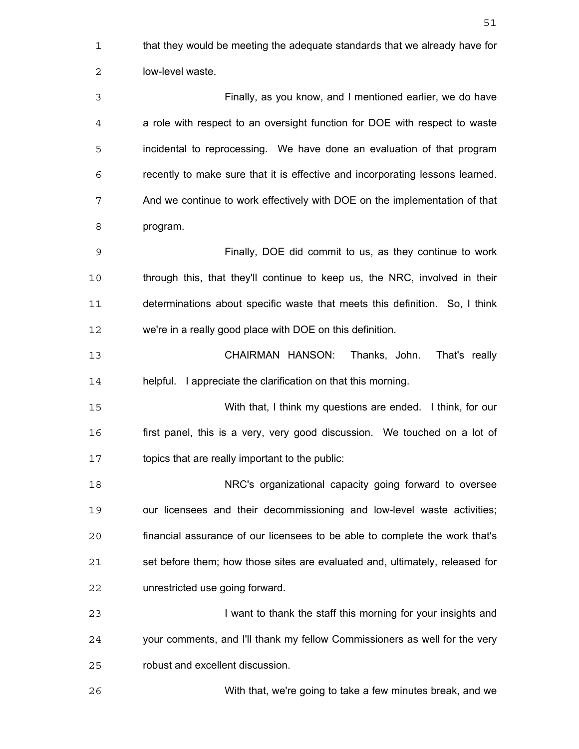that they would be meeting the adequate standards that we already have for low-level waste. Finally, as you know, and I mentioned earlier, we do have a role with respect to an oversight function for DOE with respect to waste incidental to reprocessing. We have done an evaluation of that program recently to make sure that it is effective and incorporating lessons learned. And we continue to work effectively with DOE on the implementation of that program. Finally, DOE did commit to us, as they continue to work through this, that they'll continue to keep us, the NRC, involved in their determinations about specific waste that meets this definition. So, I think we're in a really good place with DOE on this definition. CHAIRMAN HANSON: Thanks, John. That's really helpful. I appreciate the clarification on that this morning. With that, I think my questions are ended. I think, for our first panel, this is a very, very good discussion. We touched on a lot of topics that are really important to the public: NRC's organizational capacity going forward to oversee our licensees and their decommissioning and low-level waste activities; financial assurance of our licensees to be able to complete the work that's set before them; how those sites are evaluated and, ultimately, released for unrestricted use going forward. I want to thank the staff this morning for your insights and your comments, and I'll thank my fellow Commissioners as well for the very robust and excellent discussion. With that, we're going to take a few minutes break, and we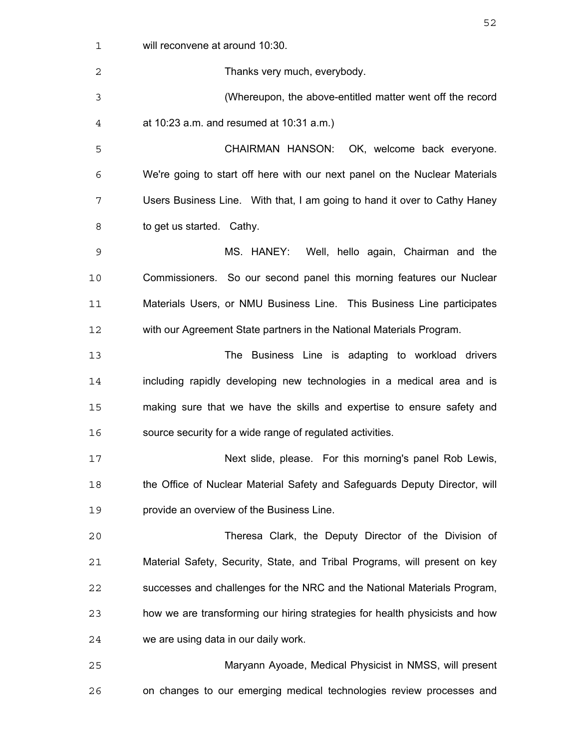| 1  | will reconvene at around 10:30.                                             |
|----|-----------------------------------------------------------------------------|
| 2  | Thanks very much, everybody.                                                |
| 3  | (Whereupon, the above-entitled matter went off the record                   |
| 4  | at $10:23$ a.m. and resumed at $10:31$ a.m.)                                |
| 5  | CHAIRMAN HANSON: OK, welcome back everyone.                                 |
| 6  | We're going to start off here with our next panel on the Nuclear Materials  |
| 7  | Users Business Line. With that, I am going to hand it over to Cathy Haney   |
| 8  | to get us started. Cathy.                                                   |
| 9  | MS. HANEY: Well, hello again, Chairman and the                              |
| 10 | Commissioners. So our second panel this morning features our Nuclear        |
| 11 | Materials Users, or NMU Business Line. This Business Line participates      |
| 12 | with our Agreement State partners in the National Materials Program.        |
| 13 | The Business Line is adapting to workload drivers                           |
| 14 | including rapidly developing new technologies in a medical area and is      |
| 15 | making sure that we have the skills and expertise to ensure safety and      |
| 16 | source security for a wide range of regulated activities.                   |
| 17 | Next slide, please. For this morning's panel Rob Lewis,                     |
| 18 | the Office of Nuclear Material Safety and Safeguards Deputy Director, will  |
| 19 | provide an overview of the Business Line.                                   |
| 20 | Theresa Clark, the Deputy Director of the Division of                       |
| 21 | Material Safety, Security, State, and Tribal Programs, will present on key  |
| 22 | successes and challenges for the NRC and the National Materials Program,    |
| 23 | how we are transforming our hiring strategies for health physicists and how |
| 24 | we are using data in our daily work.                                        |
| 25 | Maryann Ayoade, Medical Physicist in NMSS, will present                     |
| 26 | on changes to our emerging medical technologies review processes and        |
|    |                                                                             |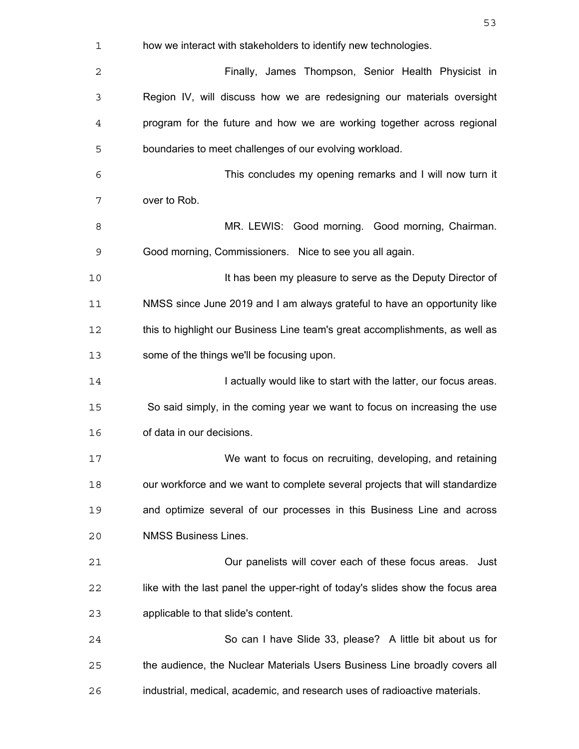| 1  | how we interact with stakeholders to identify new technologies.                |
|----|--------------------------------------------------------------------------------|
| 2  | Finally, James Thompson, Senior Health Physicist in                            |
| 3  | Region IV, will discuss how we are redesigning our materials oversight         |
| 4  | program for the future and how we are working together across regional         |
| 5  | boundaries to meet challenges of our evolving workload.                        |
| 6  | This concludes my opening remarks and I will now turn it                       |
| 7  | over to Rob.                                                                   |
| 8  | MR. LEWIS: Good morning. Good morning, Chairman.                               |
| 9  | Good morning, Commissioners. Nice to see you all again.                        |
| 10 | It has been my pleasure to serve as the Deputy Director of                     |
| 11 | NMSS since June 2019 and I am always grateful to have an opportunity like      |
| 12 | this to highlight our Business Line team's great accomplishments, as well as   |
| 13 | some of the things we'll be focusing upon.                                     |
| 14 | I actually would like to start with the latter, our focus areas.               |
| 15 | So said simply, in the coming year we want to focus on increasing the use      |
| 16 | of data in our decisions.                                                      |
| 17 | We want to focus on recruiting, developing, and retaining                      |
| 18 | our workforce and we want to complete several projects that will standardize   |
| 19 | and optimize several of our processes in this Business Line and across         |
| 20 | <b>NMSS Business Lines.</b>                                                    |
| 21 | Our panelists will cover each of these focus areas. Just                       |
| 22 | like with the last panel the upper-right of today's slides show the focus area |
| 23 | applicable to that slide's content.                                            |
| 24 | So can I have Slide 33, please? A little bit about us for                      |
| 25 | the audience, the Nuclear Materials Users Business Line broadly covers all     |
| 26 | industrial, medical, academic, and research uses of radioactive materials.     |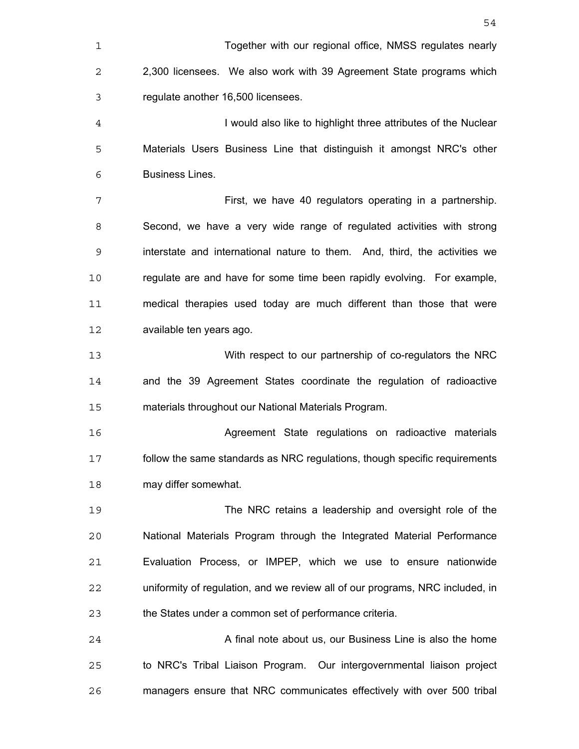Together with our regional office, NMSS regulates nearly 2,300 licensees. We also work with 39 Agreement State programs which regulate another 16,500 licensees. I would also like to highlight three attributes of the Nuclear Materials Users Business Line that distinguish it amongst NRC's other Business Lines. First, we have 40 regulators operating in a partnership. Second, we have a very wide range of regulated activities with strong interstate and international nature to them. And, third, the activities we regulate are and have for some time been rapidly evolving. For example, medical therapies used today are much different than those that were available ten years ago. With respect to our partnership of co-regulators the NRC and the 39 Agreement States coordinate the regulation of radioactive materials throughout our National Materials Program. Agreement State regulations on radioactive materials follow the same standards as NRC regulations, though specific requirements may differ somewhat. The NRC retains a leadership and oversight role of the National Materials Program through the Integrated Material Performance Evaluation Process, or IMPEP, which we use to ensure nationwide uniformity of regulation, and we review all of our programs, NRC included, in the States under a common set of performance criteria. A final note about us, our Business Line is also the home to NRC's Tribal Liaison Program. Our intergovernmental liaison project managers ensure that NRC communicates effectively with over 500 tribal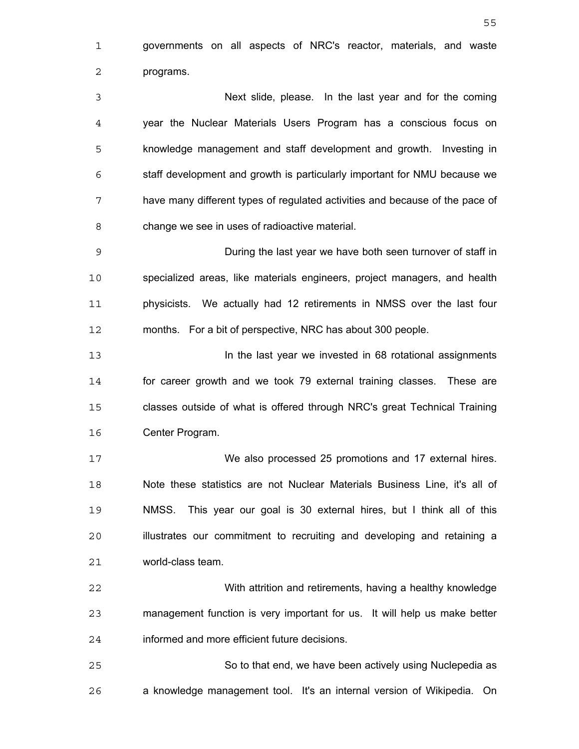governments on all aspects of NRC's reactor, materials, and waste programs. Next slide, please. In the last year and for the coming year the Nuclear Materials Users Program has a conscious focus on knowledge management and staff development and growth. Investing in staff development and growth is particularly important for NMU because we have many different types of regulated activities and because of the pace of change we see in uses of radioactive material. During the last year we have both seen turnover of staff in specialized areas, like materials engineers, project managers, and health physicists. We actually had 12 retirements in NMSS over the last four months. For a bit of perspective, NRC has about 300 people. In the last year we invested in 68 rotational assignments for career growth and we took 79 external training classes. These are classes outside of what is offered through NRC's great Technical Training Center Program. We also processed 25 promotions and 17 external hires. Note these statistics are not Nuclear Materials Business Line, it's all of NMSS. This year our goal is 30 external hires, but I think all of this illustrates our commitment to recruiting and developing and retaining a world-class team. With attrition and retirements, having a healthy knowledge management function is very important for us. It will help us make better informed and more efficient future decisions. So to that end, we have been actively using Nuclepedia as a knowledge management tool. It's an internal version of Wikipedia. On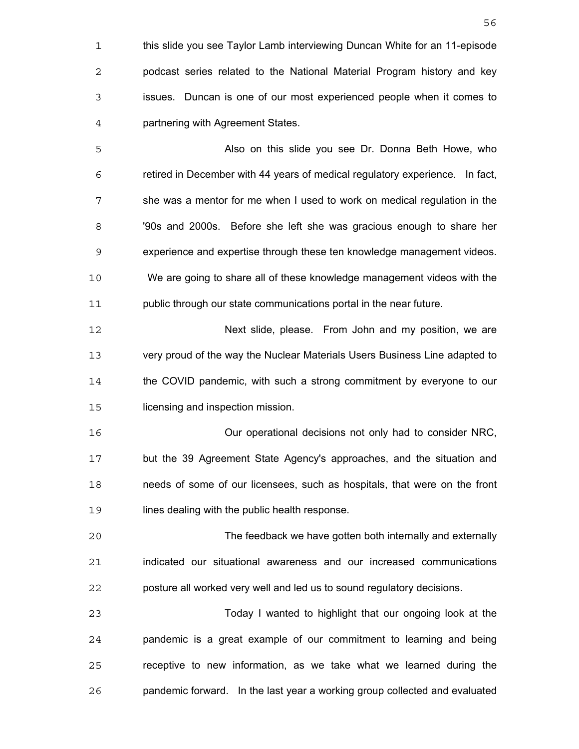this slide you see Taylor Lamb interviewing Duncan White for an 11-episode podcast series related to the National Material Program history and key issues. Duncan is one of our most experienced people when it comes to partnering with Agreement States. Also on this slide you see Dr. Donna Beth Howe, who retired in December with 44 years of medical regulatory experience. In fact, she was a mentor for me when I used to work on medical regulation in the '90s and 2000s. Before she left she was gracious enough to share her experience and expertise through these ten knowledge management videos. We are going to share all of these knowledge management videos with the public through our state communications portal in the near future. Next slide, please. From John and my position, we are very proud of the way the Nuclear Materials Users Business Line adapted to the COVID pandemic, with such a strong commitment by everyone to our licensing and inspection mission. Our operational decisions not only had to consider NRC, but the 39 Agreement State Agency's approaches, and the situation and needs of some of our licensees, such as hospitals, that were on the front 19 lines dealing with the public health response. The feedback we have gotten both internally and externally indicated our situational awareness and our increased communications posture all worked very well and led us to sound regulatory decisions. Today I wanted to highlight that our ongoing look at the pandemic is a great example of our commitment to learning and being receptive to new information, as we take what we learned during the pandemic forward. In the last year a working group collected and evaluated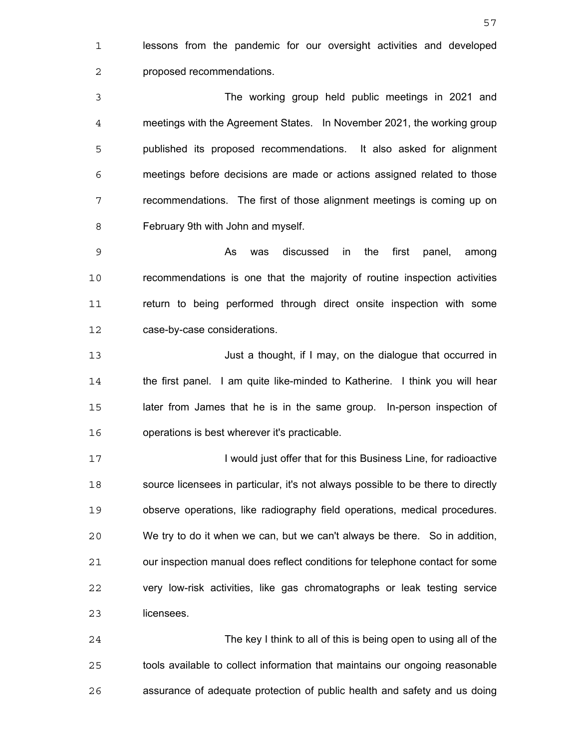lessons from the pandemic for our oversight activities and developed proposed recommendations.

The working group held public meetings in 2021 and meetings with the Agreement States. In November 2021, the working group published its proposed recommendations. It also asked for alignment meetings before decisions are made or actions assigned related to those recommendations. The first of those alignment meetings is coming up on February 9th with John and myself.

As was discussed in the first panel, among recommendations is one that the majority of routine inspection activities return to being performed through direct onsite inspection with some case-by-case considerations.

Just a thought, if I may, on the dialogue that occurred in the first panel. I am quite like-minded to Katherine. I think you will hear later from James that he is in the same group. In-person inspection of operations is best wherever it's practicable.

**I would just offer that for this Business Line, for radioactive** source licensees in particular, it's not always possible to be there to directly observe operations, like radiography field operations, medical procedures. We try to do it when we can, but we can't always be there. So in addition, our inspection manual does reflect conditions for telephone contact for some very low-risk activities, like gas chromatographs or leak testing service licensees.

The key I think to all of this is being open to using all of the tools available to collect information that maintains our ongoing reasonable assurance of adequate protection of public health and safety and us doing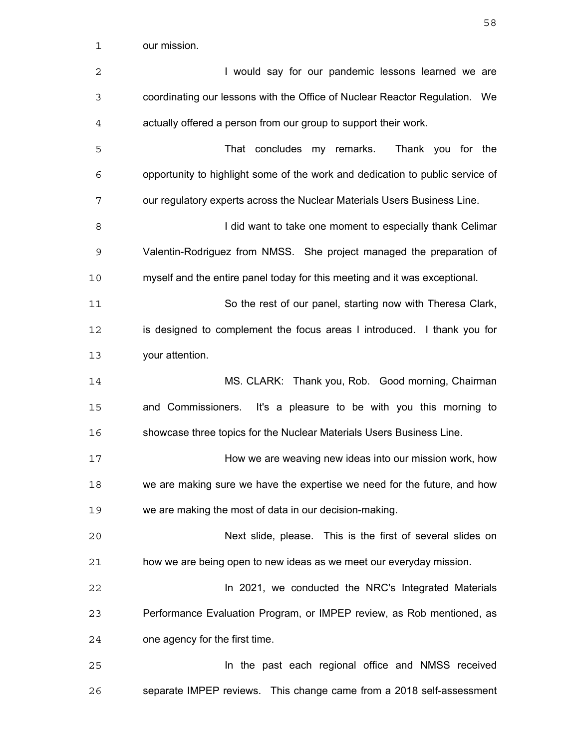| 1  | our mission.                                                                  |
|----|-------------------------------------------------------------------------------|
| 2  | I would say for our pandemic lessons learned we are                           |
| 3  | coordinating our lessons with the Office of Nuclear Reactor Regulation. We    |
| 4  | actually offered a person from our group to support their work.               |
| 5  | That concludes my remarks.<br>Thank you for the                               |
| 6  | opportunity to highlight some of the work and dedication to public service of |
| 7  | our regulatory experts across the Nuclear Materials Users Business Line.      |
| 8  | I did want to take one moment to especially thank Celimar                     |
| 9  | Valentin-Rodriguez from NMSS. She project managed the preparation of          |
| 10 | myself and the entire panel today for this meeting and it was exceptional.    |
| 11 | So the rest of our panel, starting now with Theresa Clark,                    |
| 12 | is designed to complement the focus areas I introduced. I thank you for       |
| 13 | your attention.                                                               |
| 14 | MS. CLARK: Thank you, Rob. Good morning, Chairman                             |
| 15 | and Commissioners. It's a pleasure to be with you this morning to             |
| 16 | showcase three topics for the Nuclear Materials Users Business Line.          |
| 17 | How we are weaving new ideas into our mission work, how                       |
| 18 | we are making sure we have the expertise we need for the future, and how      |
| 19 | we are making the most of data in our decision-making.                        |
| 20 | Next slide, please. This is the first of several slides on                    |
| 21 | how we are being open to new ideas as we meet our everyday mission.           |
| 22 | In 2021, we conducted the NRC's Integrated Materials                          |
| 23 | Performance Evaluation Program, or IMPEP review, as Rob mentioned, as         |
| 24 | one agency for the first time.                                                |
| 25 | In the past each regional office and NMSS received                            |
| 26 | separate IMPEP reviews. This change came from a 2018 self-assessment          |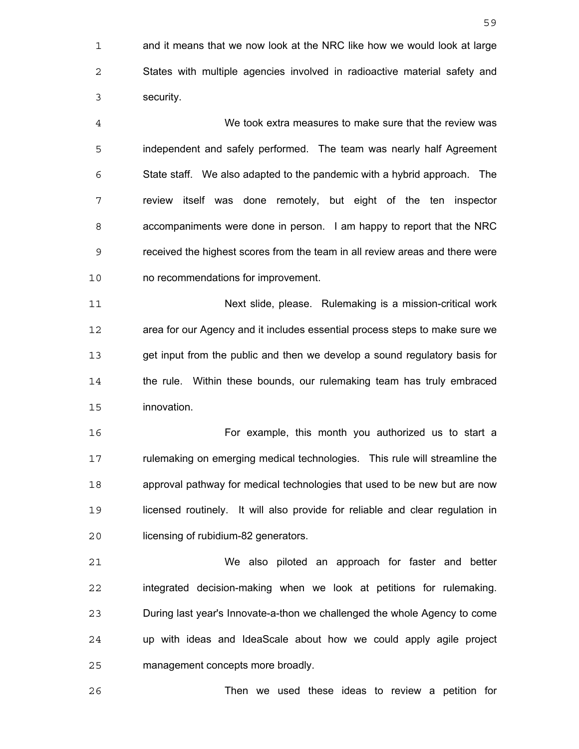and it means that we now look at the NRC like how we would look at large States with multiple agencies involved in radioactive material safety and security.

We took extra measures to make sure that the review was independent and safely performed. The team was nearly half Agreement State staff. We also adapted to the pandemic with a hybrid approach. The review itself was done remotely, but eight of the ten inspector accompaniments were done in person. I am happy to report that the NRC received the highest scores from the team in all review areas and there were no recommendations for improvement.

Next slide, please. Rulemaking is a mission-critical work area for our Agency and it includes essential process steps to make sure we get input from the public and then we develop a sound regulatory basis for the rule. Within these bounds, our rulemaking team has truly embraced innovation.

For example, this month you authorized us to start a rulemaking on emerging medical technologies. This rule will streamline the approval pathway for medical technologies that used to be new but are now licensed routinely. It will also provide for reliable and clear regulation in licensing of rubidium-82 generators.

We also piloted an approach for faster and better integrated decision-making when we look at petitions for rulemaking. During last year's Innovate-a-thon we challenged the whole Agency to come up with ideas and IdeaScale about how we could apply agile project management concepts more broadly.

Then we used these ideas to review a petition for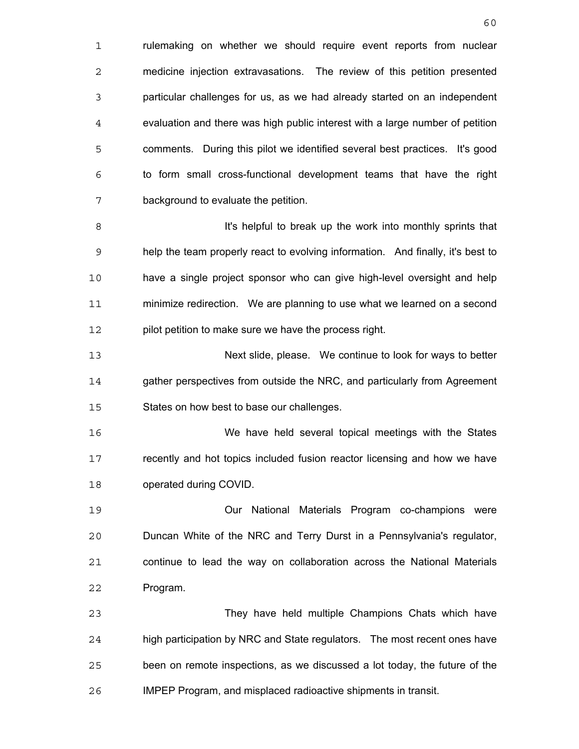1 rulemaking on whether we should require event reports from nuclear medicine injection extravasations. The review of this petition presented particular challenges for us, as we had already started on an independent evaluation and there was high public interest with a large number of petition comments. During this pilot we identified several best practices. It's good to form small cross-functional development teams that have the right background to evaluate the petition.

**It's helpful to break up the work into monthly sprints that** help the team properly react to evolving information. And finally, it's best to have a single project sponsor who can give high-level oversight and help minimize redirection. We are planning to use what we learned on a second 12 pilot petition to make sure we have the process right.

Next slide, please. We continue to look for ways to better 14 gather perspectives from outside the NRC, and particularly from Agreement States on how best to base our challenges.

We have held several topical meetings with the States recently and hot topics included fusion reactor licensing and how we have operated during COVID.

Our National Materials Program co-champions were Duncan White of the NRC and Terry Durst in a Pennsylvania's regulator, continue to lead the way on collaboration across the National Materials Program.

They have held multiple Champions Chats which have high participation by NRC and State regulators. The most recent ones have been on remote inspections, as we discussed a lot today, the future of the IMPEP Program, and misplaced radioactive shipments in transit.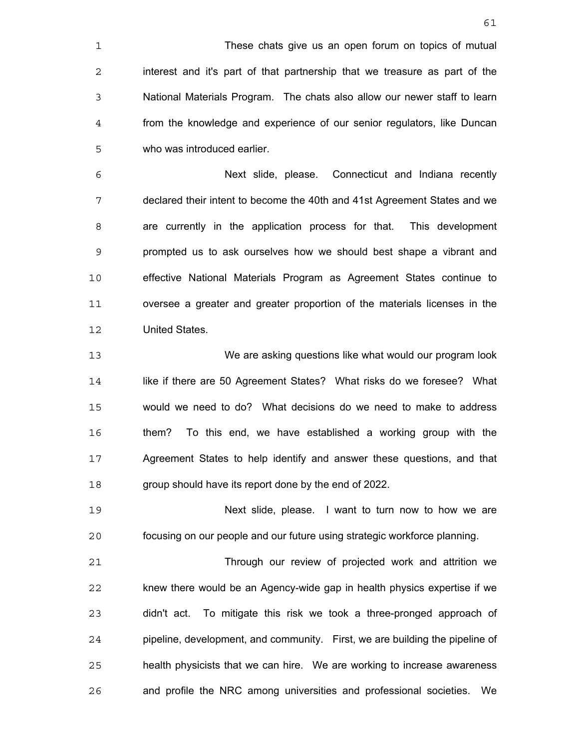These chats give us an open forum on topics of mutual interest and it's part of that partnership that we treasure as part of the National Materials Program. The chats also allow our newer staff to learn from the knowledge and experience of our senior regulators, like Duncan who was introduced earlier.

Next slide, please. Connecticut and Indiana recently declared their intent to become the 40th and 41st Agreement States and we are currently in the application process for that. This development prompted us to ask ourselves how we should best shape a vibrant and effective National Materials Program as Agreement States continue to oversee a greater and greater proportion of the materials licenses in the United States.

We are asking questions like what would our program look like if there are 50 Agreement States? What risks do we foresee? What would we need to do? What decisions do we need to make to address them? To this end, we have established a working group with the Agreement States to help identify and answer these questions, and that group should have its report done by the end of 2022.

Next slide, please. I want to turn now to how we are focusing on our people and our future using strategic workforce planning.

Through our review of projected work and attrition we knew there would be an Agency-wide gap in health physics expertise if we didn't act. To mitigate this risk we took a three-pronged approach of pipeline, development, and community. First, we are building the pipeline of health physicists that we can hire. We are working to increase awareness and profile the NRC among universities and professional societies. We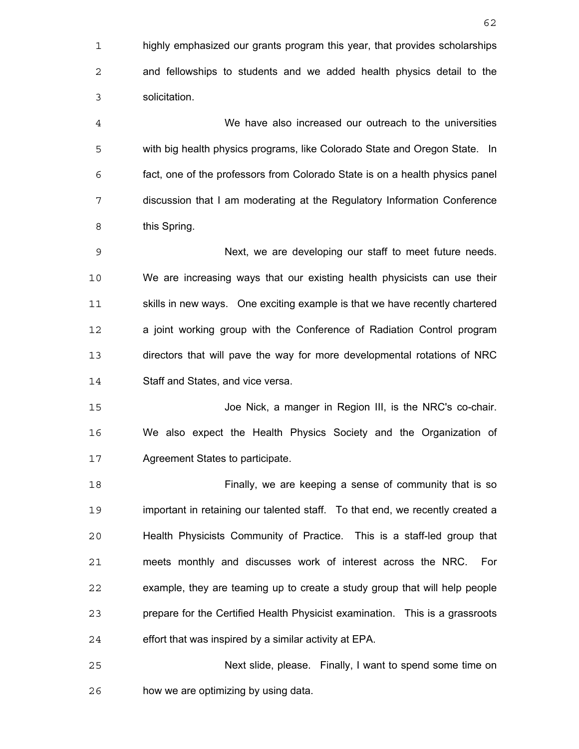highly emphasized our grants program this year, that provides scholarships and fellowships to students and we added health physics detail to the solicitation.

We have also increased our outreach to the universities with big health physics programs, like Colorado State and Oregon State. In fact, one of the professors from Colorado State is on a health physics panel discussion that I am moderating at the Regulatory Information Conference this Spring.

Next, we are developing our staff to meet future needs. We are increasing ways that our existing health physicists can use their skills in new ways. One exciting example is that we have recently chartered a joint working group with the Conference of Radiation Control program directors that will pave the way for more developmental rotations of NRC Staff and States, and vice versa.

Joe Nick, a manger in Region III, is the NRC's co-chair. We also expect the Health Physics Society and the Organization of Agreement States to participate.

Finally, we are keeping a sense of community that is so important in retaining our talented staff. To that end, we recently created a Health Physicists Community of Practice. This is a staff-led group that meets monthly and discusses work of interest across the NRC. For example, they are teaming up to create a study group that will help people prepare for the Certified Health Physicist examination. This is a grassroots effort that was inspired by a similar activity at EPA.

Next slide, please. Finally, I want to spend some time on how we are optimizing by using data.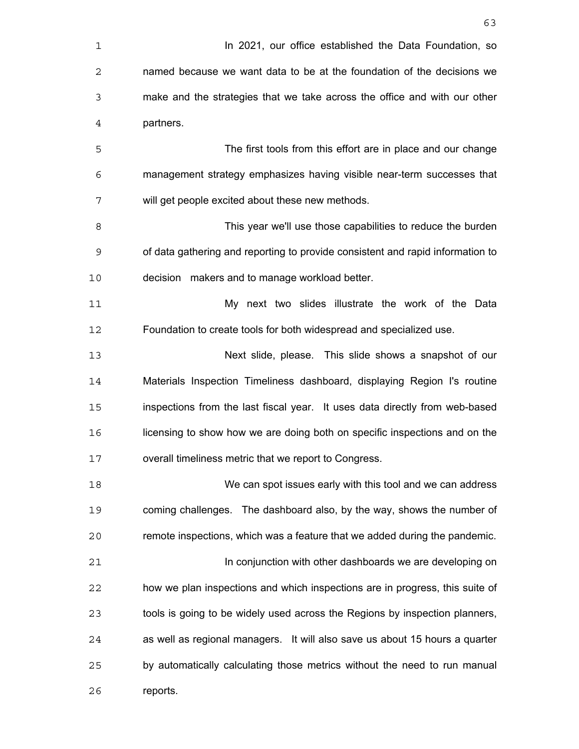| 1  | In 2021, our office established the Data Foundation, so                        |
|----|--------------------------------------------------------------------------------|
| 2  | named because we want data to be at the foundation of the decisions we         |
| 3  | make and the strategies that we take across the office and with our other      |
| 4  | partners.                                                                      |
| 5  | The first tools from this effort are in place and our change                   |
| 6  | management strategy emphasizes having visible near-term successes that         |
| 7  | will get people excited about these new methods.                               |
| 8  | This year we'll use those capabilities to reduce the burden                    |
| 9  | of data gathering and reporting to provide consistent and rapid information to |
| 10 | decision makers and to manage workload better.                                 |
| 11 | My next two slides illustrate the work of the Data                             |
| 12 | Foundation to create tools for both widespread and specialized use.            |
| 13 | Next slide, please. This slide shows a snapshot of our                         |
| 14 | Materials Inspection Timeliness dashboard, displaying Region I's routine       |
| 15 | inspections from the last fiscal year. It uses data directly from web-based    |
| 16 | licensing to show how we are doing both on specific inspections and on the     |
| 17 | overall timeliness metric that we report to Congress.                          |
| 18 | We can spot issues early with this tool and we can address                     |
| 19 | coming challenges. The dashboard also, by the way, shows the number of         |
| 20 | remote inspections, which was a feature that we added during the pandemic.     |
| 21 | In conjunction with other dashboards we are developing on                      |
| 22 | how we plan inspections and which inspections are in progress, this suite of   |
| 23 | tools is going to be widely used across the Regions by inspection planners,    |
| 24 | as well as regional managers. It will also save us about 15 hours a quarter    |
| 25 | by automatically calculating those metrics without the need to run manual      |
| 26 | reports.                                                                       |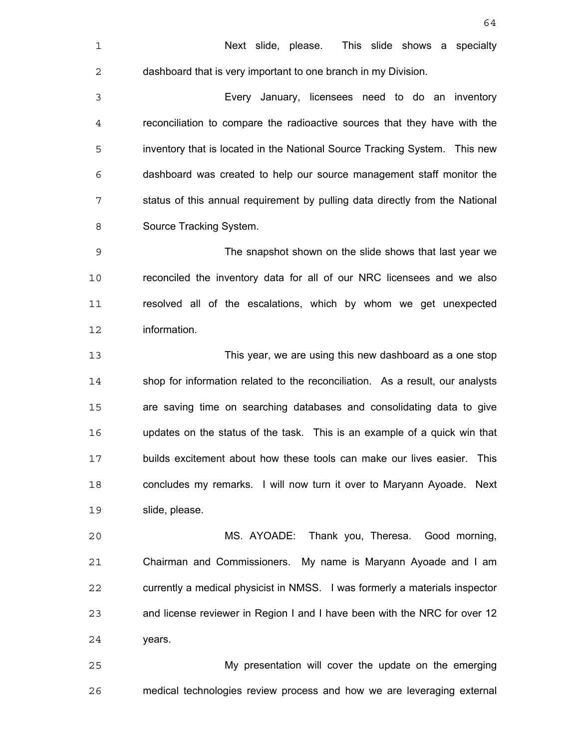Next slide, please. This slide shows a specialty dashboard that is very important to one branch in my Division. Every January, licensees need to do an inventory reconciliation to compare the radioactive sources that they have with the inventory that is located in the National Source Tracking System. This new dashboard was created to help our source management staff monitor the status of this annual requirement by pulling data directly from the National Source Tracking System. The snapshot shown on the slide shows that last year we reconciled the inventory data for all of our NRC licensees and we also resolved all of the escalations, which by whom we get unexpected information. This year, we are using this new dashboard as a one stop shop for information related to the reconciliation. As a result, our analysts are saving time on searching databases and consolidating data to give updates on the status of the task. This is an example of a quick win that builds excitement about how these tools can make our lives easier. This concludes my remarks. I will now turn it over to Maryann Ayoade. Next slide, please. MS. AYOADE: Thank you, Theresa. Good morning, Chairman and Commissioners. My name is Maryann Ayoade and I am currently a medical physicist in NMSS. I was formerly a materials inspector

years.

My presentation will cover the update on the emerging medical technologies review process and how we are leveraging external

and license reviewer in Region I and I have been with the NRC for over 12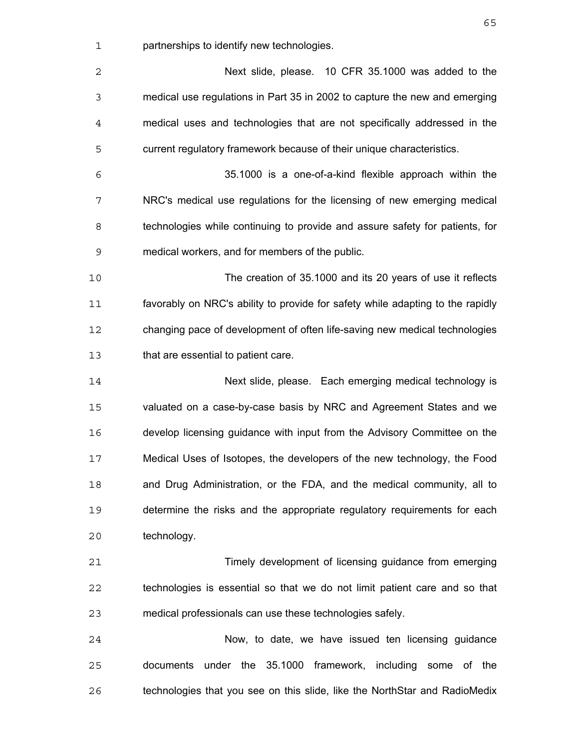partnerships to identify new technologies.

| 2           | Next slide, please. 10 CFR 35.1000 was added to the                            |
|-------------|--------------------------------------------------------------------------------|
| 3           | medical use regulations in Part 35 in 2002 to capture the new and emerging     |
| 4           | medical uses and technologies that are not specifically addressed in the       |
| 5           | current regulatory framework because of their unique characteristics.          |
| 6           | 35.1000 is a one-of-a-kind flexible approach within the                        |
| 7           | NRC's medical use regulations for the licensing of new emerging medical        |
| 8           | technologies while continuing to provide and assure safety for patients, for   |
| $\mathsf 9$ | medical workers, and for members of the public.                                |
| 10          | The creation of 35.1000 and its 20 years of use it reflects                    |
| 11          | favorably on NRC's ability to provide for safety while adapting to the rapidly |
| 12          | changing pace of development of often life-saving new medical technologies     |
| 13          | that are essential to patient care.                                            |
| 14          | Next slide, please. Each emerging medical technology is                        |
| 15          | valuated on a case-by-case basis by NRC and Agreement States and we            |
| 16          | develop licensing guidance with input from the Advisory Committee on the       |
| 17          | Medical Uses of Isotopes, the developers of the new technology, the Food       |
| 18          | and Drug Administration, or the FDA, and the medical community, all to         |
| 19          | determine the risks and the appropriate regulatory requirements for each       |
| 20          | technology.                                                                    |
| 21          | Timely development of licensing guidance from emerging                         |
| 22          | technologies is essential so that we do not limit patient care and so that     |
| 23          | medical professionals can use these technologies safely.                       |
| 24          | Now, to date, we have issued ten licensing guidance                            |
| 25          | documents under the 35.1000 framework, including some of the                   |
| 26          | technologies that you see on this slide, like the NorthStar and RadioMedix     |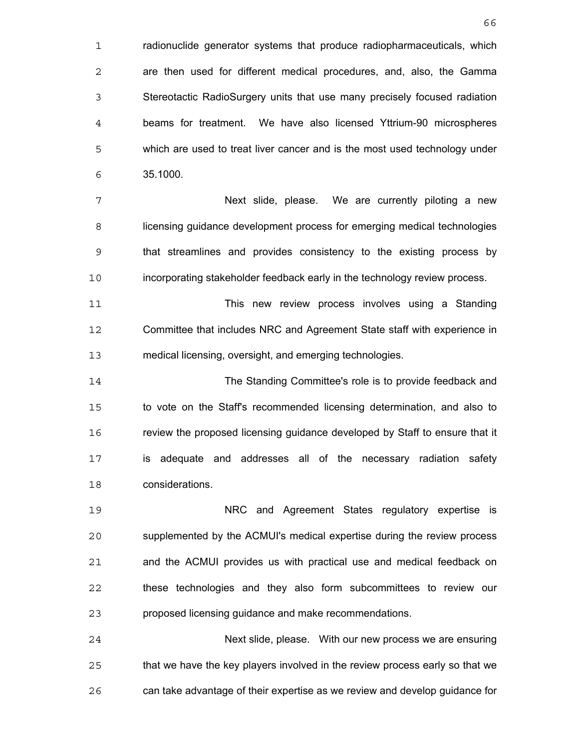1 radionuclide generator systems that produce radiopharmaceuticals, which are then used for different medical procedures, and, also, the Gamma Stereotactic RadioSurgery units that use many precisely focused radiation beams for treatment. We have also licensed Yttrium-90 microspheres which are used to treat liver cancer and is the most used technology under 35.1000.

Next slide, please. We are currently piloting a new licensing guidance development process for emerging medical technologies that streamlines and provides consistency to the existing process by incorporating stakeholder feedback early in the technology review process.

This new review process involves using a Standing Committee that includes NRC and Agreement State staff with experience in medical licensing, oversight, and emerging technologies.

The Standing Committee's role is to provide feedback and to vote on the Staff's recommended licensing determination, and also to review the proposed licensing guidance developed by Staff to ensure that it is adequate and addresses all of the necessary radiation safety considerations.

NRC and Agreement States regulatory expertise is supplemented by the ACMUI's medical expertise during the review process and the ACMUI provides us with practical use and medical feedback on these technologies and they also form subcommittees to review our proposed licensing guidance and make recommendations.

Next slide, please. With our new process we are ensuring that we have the key players involved in the review process early so that we can take advantage of their expertise as we review and develop guidance for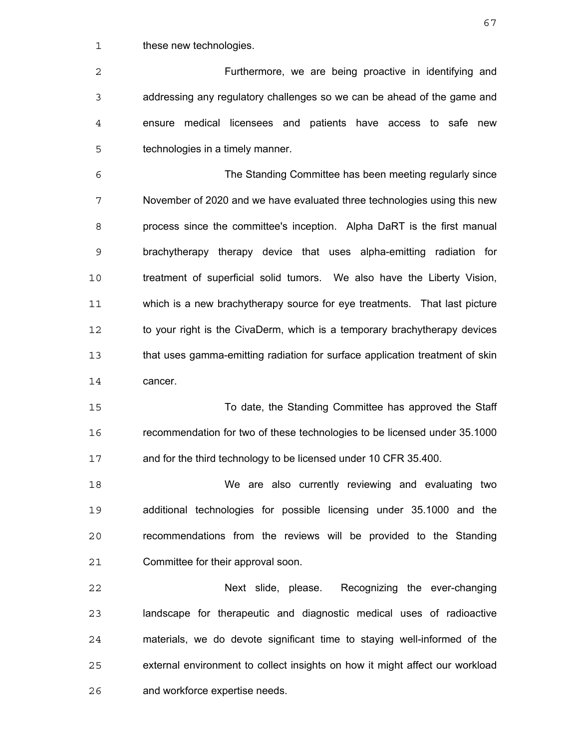1 these new technologies.

Furthermore, we are being proactive in identifying and addressing any regulatory challenges so we can be ahead of the game and ensure medical licensees and patients have access to safe new technologies in a timely manner.

The Standing Committee has been meeting regularly since November of 2020 and we have evaluated three technologies using this new process since the committee's inception. Alpha DaRT is the first manual brachytherapy therapy device that uses alpha-emitting radiation for treatment of superficial solid tumors. We also have the Liberty Vision, which is a new brachytherapy source for eye treatments. That last picture 12 to your right is the CivaDerm, which is a temporary brachytherapy devices that uses gamma-emitting radiation for surface application treatment of skin 14 cancer.

To date, the Standing Committee has approved the Staff recommendation for two of these technologies to be licensed under 35.1000 and for the third technology to be licensed under 10 CFR 35.400.

We are also currently reviewing and evaluating two additional technologies for possible licensing under 35.1000 and the recommendations from the reviews will be provided to the Standing Committee for their approval soon.

Next slide, please. Recognizing the ever-changing landscape for therapeutic and diagnostic medical uses of radioactive materials, we do devote significant time to staying well-informed of the external environment to collect insights on how it might affect our workload and workforce expertise needs.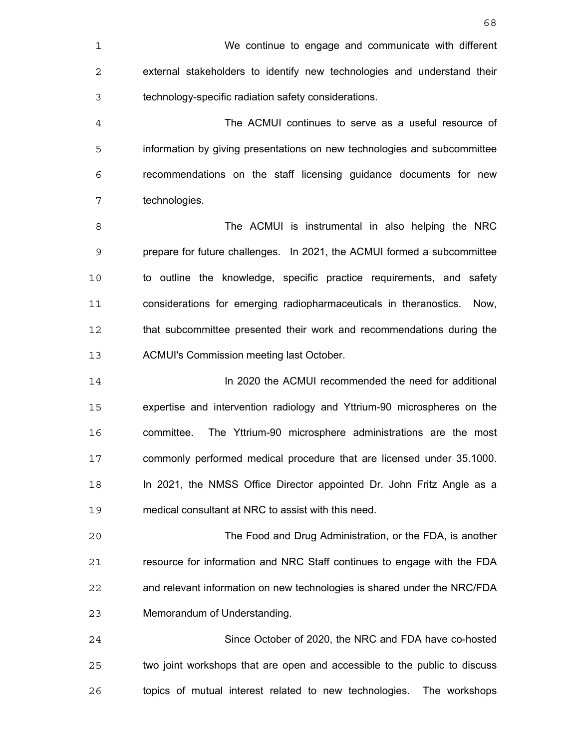The ACMUI continues to serve as a useful resource of information by giving presentations on new technologies and subcommittee recommendations on the staff licensing guidance documents for new technologies.

The ACMUI is instrumental in also helping the NRC prepare for future challenges. In 2021, the ACMUI formed a subcommittee to outline the knowledge, specific practice requirements, and safety considerations for emerging radiopharmaceuticals in theranostics. Now, 12 that subcommittee presented their work and recommendations during the ACMUI's Commission meeting last October.

In 2020 the ACMUI recommended the need for additional expertise and intervention radiology and Yttrium-90 microspheres on the committee. The Yttrium-90 microsphere administrations are the most commonly performed medical procedure that are licensed under 35.1000. In 2021, the NMSS Office Director appointed Dr. John Fritz Angle as a medical consultant at NRC to assist with this need.

The Food and Drug Administration, or the FDA, is another resource for information and NRC Staff continues to engage with the FDA and relevant information on new technologies is shared under the NRC/FDA Memorandum of Understanding.

Since October of 2020, the NRC and FDA have co-hosted two joint workshops that are open and accessible to the public to discuss topics of mutual interest related to new technologies. The workshops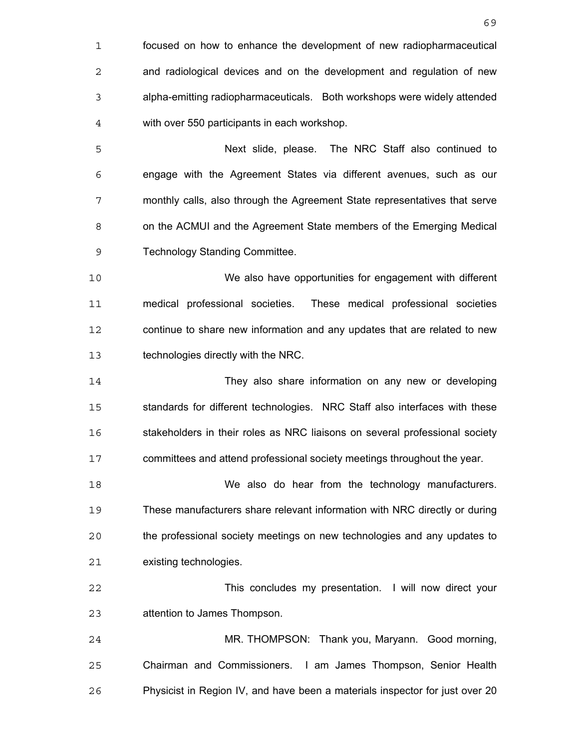focused on how to enhance the development of new radiopharmaceutical and radiological devices and on the development and regulation of new alpha-emitting radiopharmaceuticals. Both workshops were widely attended with over 550 participants in each workshop. Next slide, please. The NRC Staff also continued to engage with the Agreement States via different avenues, such as our monthly calls, also through the Agreement State representatives that serve on the ACMUI and the Agreement State members of the Emerging Medical Technology Standing Committee. We also have opportunities for engagement with different medical professional societies. These medical professional societies continue to share new information and any updates that are related to new technologies directly with the NRC. They also share information on any new or developing standards for different technologies. NRC Staff also interfaces with these stakeholders in their roles as NRC liaisons on several professional society committees and attend professional society meetings throughout the year. We also do hear from the technology manufacturers. These manufacturers share relevant information with NRC directly or during the professional society meetings on new technologies and any updates to existing technologies. This concludes my presentation. I will now direct your attention to James Thompson. MR. THOMPSON: Thank you, Maryann. Good morning, Chairman and Commissioners. I am James Thompson, Senior Health Physicist in Region IV, and have been a materials inspector for just over 20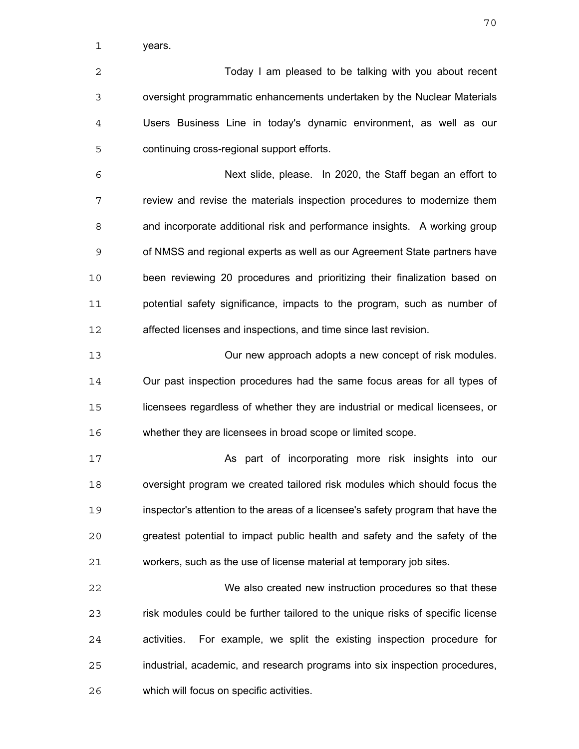years.

Today I am pleased to be talking with you about recent oversight programmatic enhancements undertaken by the Nuclear Materials Users Business Line in today's dynamic environment, as well as our continuing cross-regional support efforts.

Next slide, please. In 2020, the Staff began an effort to review and revise the materials inspection procedures to modernize them and incorporate additional risk and performance insights. A working group of NMSS and regional experts as well as our Agreement State partners have been reviewing 20 procedures and prioritizing their finalization based on potential safety significance, impacts to the program, such as number of affected licenses and inspections, and time since last revision.

Our new approach adopts a new concept of risk modules. Our past inspection procedures had the same focus areas for all types of licensees regardless of whether they are industrial or medical licensees, or whether they are licensees in broad scope or limited scope.

As part of incorporating more risk insights into our oversight program we created tailored risk modules which should focus the inspector's attention to the areas of a licensee's safety program that have the greatest potential to impact public health and safety and the safety of the workers, such as the use of license material at temporary job sites.

We also created new instruction procedures so that these risk modules could be further tailored to the unique risks of specific license activities. For example, we split the existing inspection procedure for industrial, academic, and research programs into six inspection procedures, which will focus on specific activities.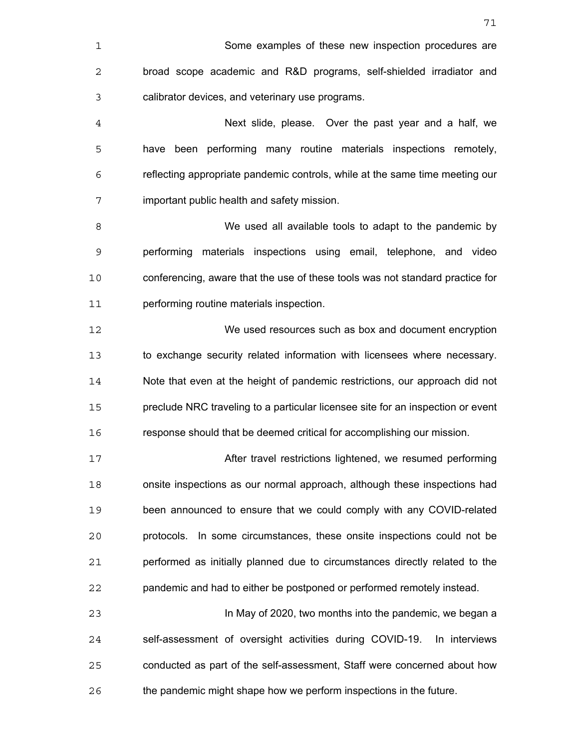| 1              | Some examples of these new inspection procedures are                            |
|----------------|---------------------------------------------------------------------------------|
| 2              | broad scope academic and R&D programs, self-shielded irradiator and             |
| 3              | calibrator devices, and veterinary use programs.                                |
| $\overline{4}$ | Next slide, please. Over the past year and a half, we                           |
| 5              | have been performing many routine materials inspections remotely,               |
| 6              | reflecting appropriate pandemic controls, while at the same time meeting our    |
| 7              | important public health and safety mission.                                     |
| 8              | We used all available tools to adapt to the pandemic by                         |
| 9              | performing materials inspections using email, telephone, and video              |
| 10             | conferencing, aware that the use of these tools was not standard practice for   |
| 11             | performing routine materials inspection.                                        |
| 12             | We used resources such as box and document encryption                           |
| 13             | to exchange security related information with licensees where necessary.        |
| 14             | Note that even at the height of pandemic restrictions, our approach did not     |
| 15             | preclude NRC traveling to a particular licensee site for an inspection or event |
| 16             | response should that be deemed critical for accomplishing our mission.          |
| 17             | After travel restrictions lightened, we resumed performing                      |
| 18             | onsite inspections as our normal approach, although these inspections had       |
| 19             | been announced to ensure that we could comply with any COVID-related            |
| 20             | protocols. In some circumstances, these onsite inspections could not be         |
| 21             | performed as initially planned due to circumstances directly related to the     |
| 22             | pandemic and had to either be postponed or performed remotely instead.          |
| 23             | In May of 2020, two months into the pandemic, we began a                        |
| 24             | self-assessment of oversight activities during COVID-19.<br>In interviews       |
| 25             | conducted as part of the self-assessment, Staff were concerned about how        |
| 26             | the pandemic might shape how we perform inspections in the future.              |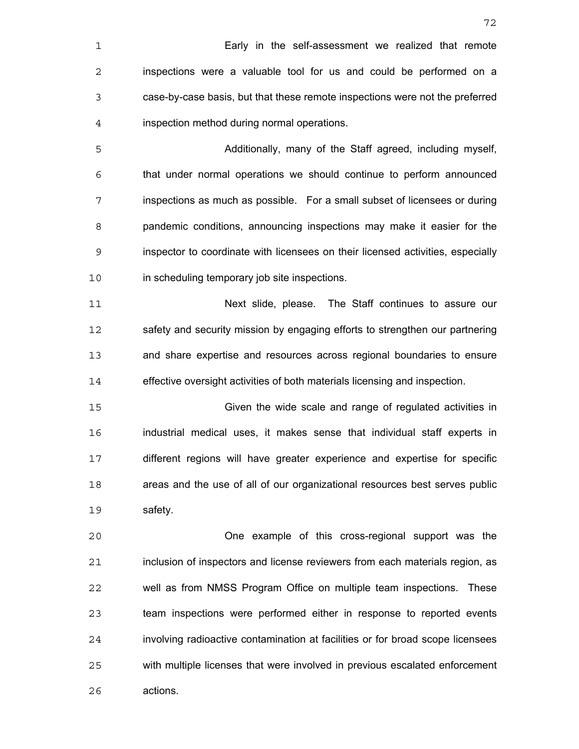| 1              | Early in the self-assessment we realized that remote                            |
|----------------|---------------------------------------------------------------------------------|
| 2              | inspections were a valuable tool for us and could be performed on a             |
| 3              | case-by-case basis, but that these remote inspections were not the preferred    |
| $\overline{4}$ | inspection method during normal operations.                                     |
| 5              | Additionally, many of the Staff agreed, including myself,                       |
| 6              | that under normal operations we should continue to perform announced            |
| 7              | inspections as much as possible. For a small subset of licensees or during      |
| 8              | pandemic conditions, announcing inspections may make it easier for the          |
| 9              | inspector to coordinate with licensees on their licensed activities, especially |
| 10             | in scheduling temporary job site inspections.                                   |
| 11             | Next slide, please. The Staff continues to assure our                           |
| 12             | safety and security mission by engaging efforts to strengthen our partnering    |
| 13             | and share expertise and resources across regional boundaries to ensure          |
| 14             | effective oversight activities of both materials licensing and inspection.      |
| 15             | Given the wide scale and range of regulated activities in                       |
| 16             | industrial medical uses, it makes sense that individual staff experts in        |
| 17             | different regions will have greater experience and expertise for specific       |
| 18             | areas and the use of all of our organizational resources best serves public     |
| 19             | safety.                                                                         |
| 20             | One example of this cross-regional support was the                              |
| 21             | inclusion of inspectors and license reviewers from each materials region, as    |
| 22             | well as from NMSS Program Office on multiple team inspections.<br>These         |
| 23             | team inspections were performed either in response to reported events           |
| 24             | involving radioactive contamination at facilities or for broad scope licensees  |
| 25             | with multiple licenses that were involved in previous escalated enforcement     |
|                |                                                                                 |

actions.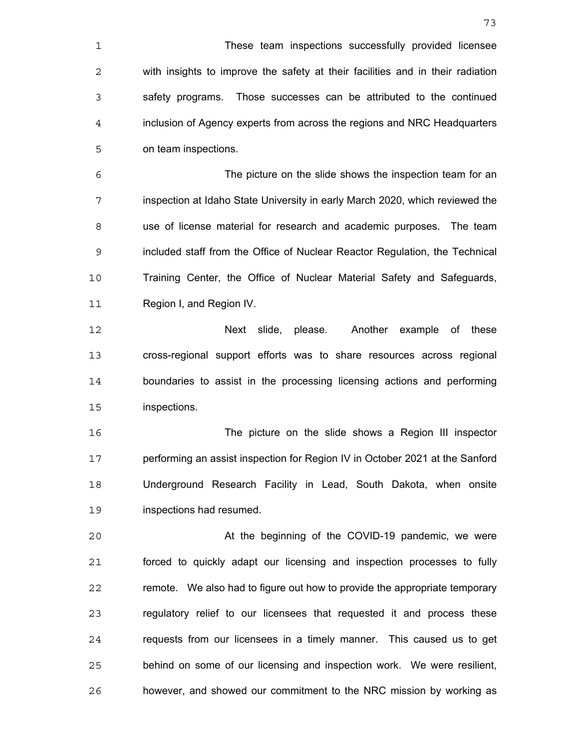These team inspections successfully provided licensee with insights to improve the safety at their facilities and in their radiation safety programs. Those successes can be attributed to the continued inclusion of Agency experts from across the regions and NRC Headquarters on team inspections.

The picture on the slide shows the inspection team for an inspection at Idaho State University in early March 2020, which reviewed the use of license material for research and academic purposes. The team included staff from the Office of Nuclear Reactor Regulation, the Technical Training Center, the Office of Nuclear Material Safety and Safeguards, Region I, and Region IV.

Next slide, please. Another example of these cross-regional support efforts was to share resources across regional boundaries to assist in the processing licensing actions and performing inspections.

The picture on the slide shows a Region III inspector performing an assist inspection for Region IV in October 2021 at the Sanford Underground Research Facility in Lead, South Dakota, when onsite inspections had resumed.

At the beginning of the COVID-19 pandemic, we were forced to quickly adapt our licensing and inspection processes to fully remote. We also had to figure out how to provide the appropriate temporary regulatory relief to our licensees that requested it and process these requests from our licensees in a timely manner. This caused us to get behind on some of our licensing and inspection work. We were resilient, however, and showed our commitment to the NRC mission by working as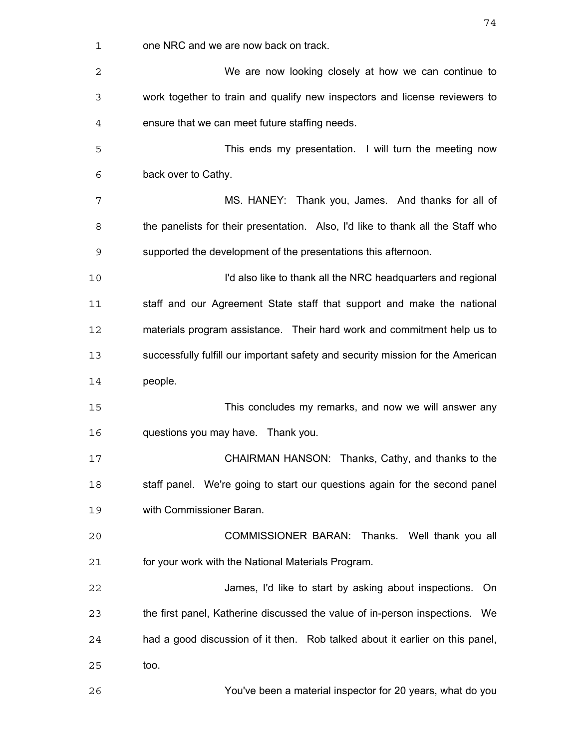| 1  | one NRC and we are now back on track.                                           |
|----|---------------------------------------------------------------------------------|
| 2  | We are now looking closely at how we can continue to                            |
| 3  | work together to train and qualify new inspectors and license reviewers to      |
| 4  | ensure that we can meet future staffing needs.                                  |
| 5  | This ends my presentation. I will turn the meeting now                          |
| 6  | back over to Cathy.                                                             |
| 7  | MS. HANEY: Thank you, James. And thanks for all of                              |
| 8  | the panelists for their presentation. Also, I'd like to thank all the Staff who |
| 9  | supported the development of the presentations this afternoon.                  |
| 10 | I'd also like to thank all the NRC headquarters and regional                    |
| 11 | staff and our Agreement State staff that support and make the national          |
| 12 | materials program assistance. Their hard work and commitment help us to         |
| 13 | successfully fulfill our important safety and security mission for the American |
| 14 | people.                                                                         |
| 15 | This concludes my remarks, and now we will answer any                           |
| 16 | questions you may have. Thank you.                                              |
| 17 | CHAIRMAN HANSON: Thanks, Cathy, and thanks to the                               |
| 18 | staff panel. We're going to start our questions again for the second panel      |
| 19 | with Commissioner Baran.                                                        |
| 20 | COMMISSIONER BARAN: Thanks. Well thank you all                                  |
| 21 | for your work with the National Materials Program.                              |
| 22 | James, I'd like to start by asking about inspections.<br>On.                    |
| 23 | the first panel, Katherine discussed the value of in-person inspections. We     |
| 24 | had a good discussion of it then. Rob talked about it earlier on this panel,    |
| 25 | too.                                                                            |
| 26 | You've been a material inspector for 20 years, what do you                      |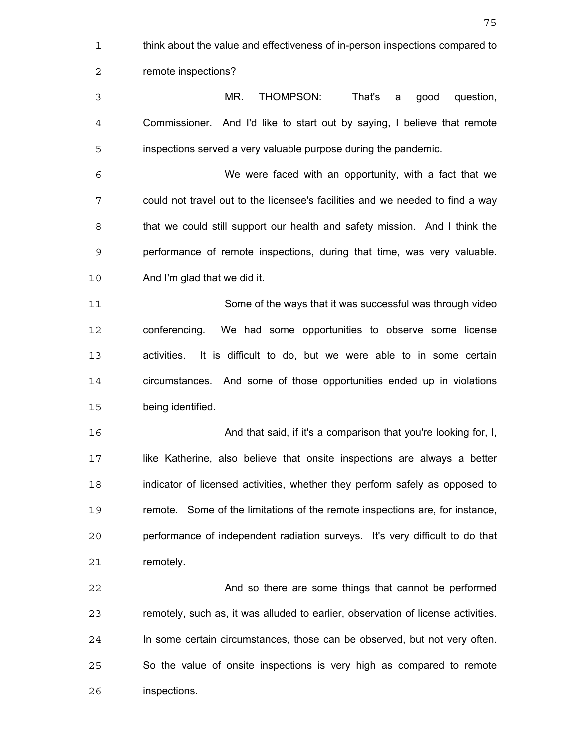think about the value and effectiveness of in-person inspections compared to remote inspections? MR. THOMPSON: That's a good question, Commissioner. And I'd like to start out by saying, I believe that remote inspections served a very valuable purpose during the pandemic. We were faced with an opportunity, with a fact that we could not travel out to the licensee's facilities and we needed to find a way that we could still support our health and safety mission. And I think the performance of remote inspections, during that time, was very valuable. And I'm glad that we did it. Some of the ways that it was successful was through video conferencing. We had some opportunities to observe some license activities. It is difficult to do, but we were able to in some certain circumstances. And some of those opportunities ended up in violations being identified. And that said, if it's a comparison that you're looking for, I, like Katherine, also believe that onsite inspections are always a better indicator of licensed activities, whether they perform safely as opposed to remote. Some of the limitations of the remote inspections are, for instance, performance of independent radiation surveys. It's very difficult to do that remotely. And so there are some things that cannot be performed

remotely, such as, it was alluded to earlier, observation of license activities. In some certain circumstances, those can be observed, but not very often. So the value of onsite inspections is very high as compared to remote inspections.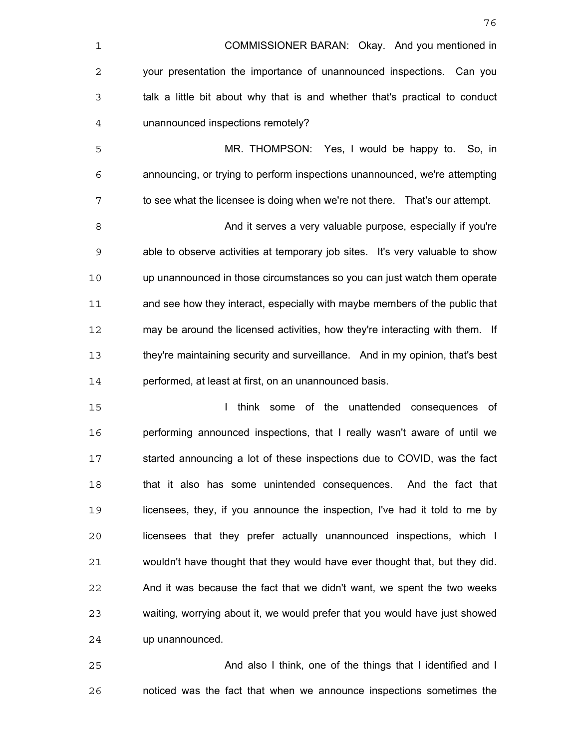| $\mathbf 1$    | COMMISSIONER BARAN: Okay. And you mentioned in                                |
|----------------|-------------------------------------------------------------------------------|
| $\overline{2}$ | your presentation the importance of unannounced inspections. Can you          |
| 3              | talk a little bit about why that is and whether that's practical to conduct   |
| $\overline{4}$ | unannounced inspections remotely?                                             |
| 5              | MR. THOMPSON: Yes, I would be happy to. So, in                                |
| 6              | announcing, or trying to perform inspections unannounced, we're attempting    |
| 7              | to see what the licensee is doing when we're not there. That's our attempt.   |
| 8              | And it serves a very valuable purpose, especially if you're                   |
| $\mathsf 9$    | able to observe activities at temporary job sites. It's very valuable to show |
| 10             | up unannounced in those circumstances so you can just watch them operate      |
| 11             | and see how they interact, especially with maybe members of the public that   |
| 12             | may be around the licensed activities, how they're interacting with them. If  |
| 13             | they're maintaining security and surveillance. And in my opinion, that's best |
| 14             | performed, at least at first, on an unannounced basis.                        |
| $-$            | المحامدة والمستحدث والمسار والمستحدث والمراطلة المراح                         |

I think some of the unattended consequences of performing announced inspections, that I really wasn't aware of until we started announcing a lot of these inspections due to COVID, was the fact 18 that it also has some unintended consequences. And the fact that licensees, they, if you announce the inspection, I've had it told to me by licensees that they prefer actually unannounced inspections, which I wouldn't have thought that they would have ever thought that, but they did. And it was because the fact that we didn't want, we spent the two weeks waiting, worrying about it, we would prefer that you would have just showed up unannounced.

And also I think, one of the things that I identified and I noticed was the fact that when we announce inspections sometimes the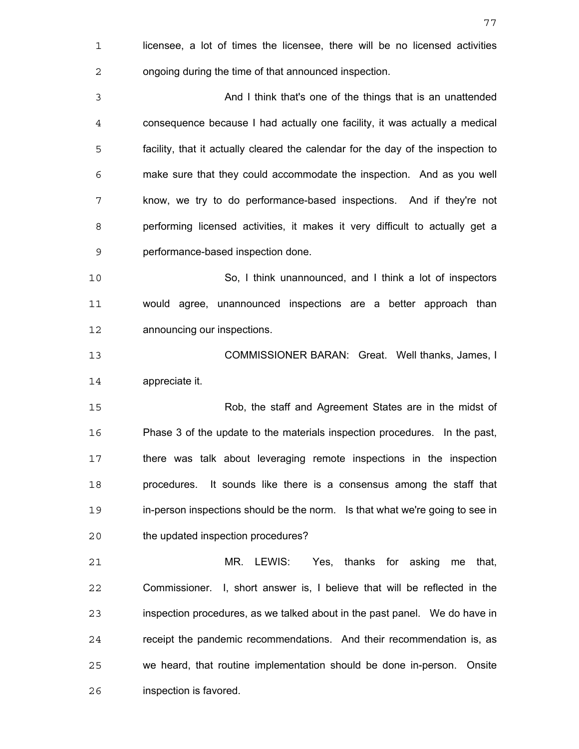licensee, a lot of times the licensee, there will be no licensed activities ongoing during the time of that announced inspection. And I think that's one of the things that is an unattended consequence because I had actually one facility, it was actually a medical facility, that it actually cleared the calendar for the day of the inspection to make sure that they could accommodate the inspection. And as you well know, we try to do performance-based inspections. And if they're not performing licensed activities, it makes it very difficult to actually get a performance-based inspection done. So, I think unannounced, and I think a lot of inspectors would agree, unannounced inspections are a better approach than announcing our inspections. COMMISSIONER BARAN: Great. Well thanks, James, I appreciate it. Rob, the staff and Agreement States are in the midst of Phase 3 of the update to the materials inspection procedures. In the past, there was talk about leveraging remote inspections in the inspection procedures. It sounds like there is a consensus among the staff that in-person inspections should be the norm. Is that what we're going to see in the updated inspection procedures? MR. LEWIS: Yes, thanks for asking me that, Commissioner. I, short answer is, I believe that will be reflected in the inspection procedures, as we talked about in the past panel. We do have in receipt the pandemic recommendations. And their recommendation is, as we heard, that routine implementation should be done in-person. Onsite inspection is favored.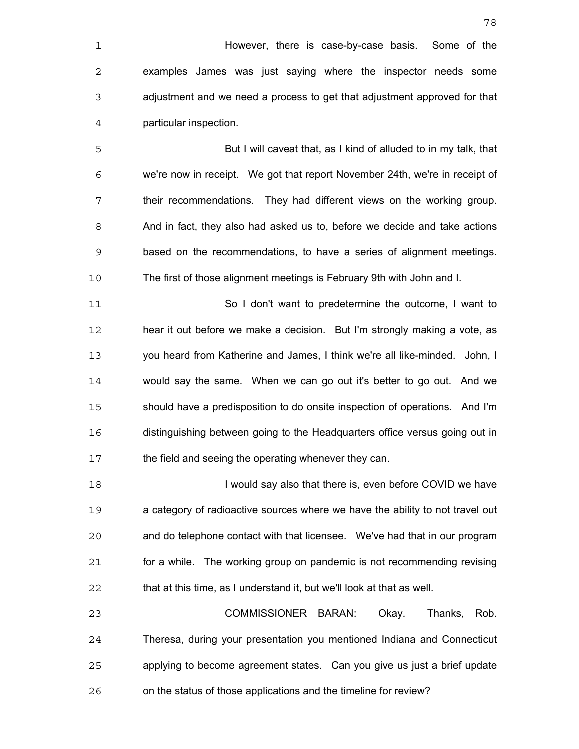However, there is case-by-case basis. Some of the examples James was just saying where the inspector needs some adjustment and we need a process to get that adjustment approved for that particular inspection.

But I will caveat that, as I kind of alluded to in my talk, that we're now in receipt. We got that report November 24th, we're in receipt of their recommendations. They had different views on the working group. And in fact, they also had asked us to, before we decide and take actions based on the recommendations, to have a series of alignment meetings. The first of those alignment meetings is February 9th with John and I.

So I don't want to predetermine the outcome, I want to hear it out before we make a decision. But I'm strongly making a vote, as you heard from Katherine and James, I think we're all like-minded. John, I would say the same. When we can go out it's better to go out. And we should have a predisposition to do onsite inspection of operations. And I'm distinguishing between going to the Headquarters office versus going out in 17 the field and seeing the operating whenever they can.

**I would say also that there is, even before COVID we have** a category of radioactive sources where we have the ability to not travel out and do telephone contact with that licensee. We've had that in our program for a while. The working group on pandemic is not recommending revising that at this time, as I understand it, but we'll look at that as well.

COMMISSIONER BARAN: Okay. Thanks, Rob. Theresa, during your presentation you mentioned Indiana and Connecticut applying to become agreement states. Can you give us just a brief update on the status of those applications and the timeline for review?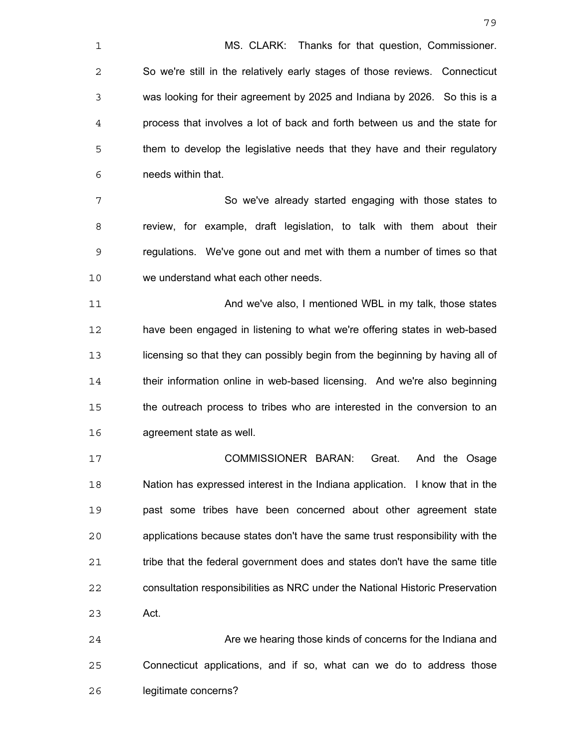MS. CLARK: Thanks for that question, Commissioner. So we're still in the relatively early stages of those reviews. Connecticut was looking for their agreement by 2025 and Indiana by 2026. So this is a process that involves a lot of back and forth between us and the state for them to develop the legislative needs that they have and their regulatory needs within that.

So we've already started engaging with those states to review, for example, draft legislation, to talk with them about their regulations. We've gone out and met with them a number of times so that we understand what each other needs.

And we've also, I mentioned WBL in my talk, those states have been engaged in listening to what we're offering states in web-based licensing so that they can possibly begin from the beginning by having all of their information online in web-based licensing. And we're also beginning the outreach process to tribes who are interested in the conversion to an agreement state as well.

COMMISSIONER BARAN: Great. And the Osage Nation has expressed interest in the Indiana application. I know that in the past some tribes have been concerned about other agreement state applications because states don't have the same trust responsibility with the tribe that the federal government does and states don't have the same title consultation responsibilities as NRC under the National Historic Preservation Act.

Are we hearing those kinds of concerns for the Indiana and Connecticut applications, and if so, what can we do to address those legitimate concerns?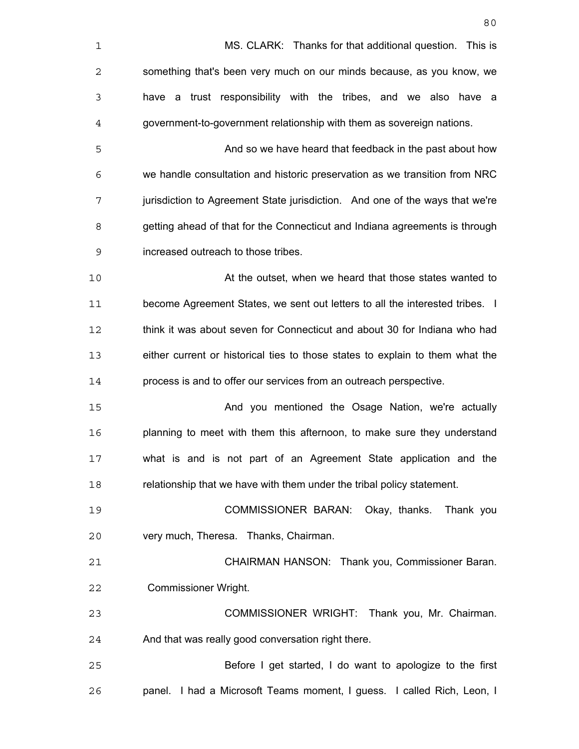| $\mathbf 1$ | MS. CLARK: Thanks for that additional question. This is                       |
|-------------|-------------------------------------------------------------------------------|
| 2           | something that's been very much on our minds because, as you know, we         |
| 3           | have a trust responsibility with the tribes, and we also have a               |
| 4           | government-to-government relationship with them as sovereign nations.         |
| 5           | And so we have heard that feedback in the past about how                      |
| 6           | we handle consultation and historic preservation as we transition from NRC    |
| 7           | jurisdiction to Agreement State jurisdiction. And one of the ways that we're  |
| 8           | getting ahead of that for the Connecticut and Indiana agreements is through   |
| 9           | increased outreach to those tribes.                                           |
| 10          | At the outset, when we heard that those states wanted to                      |
| 11          | become Agreement States, we sent out letters to all the interested tribes. I  |
| 12          | think it was about seven for Connecticut and about 30 for Indiana who had     |
| 13          | either current or historical ties to those states to explain to them what the |
| 14          | process is and to offer our services from an outreach perspective.            |
| 15          | And you mentioned the Osage Nation, we're actually                            |
| 16          | planning to meet with them this afternoon, to make sure they understand       |
| 17          | what is and is not part of an Agreement State application and the             |
| 18          | relationship that we have with them under the tribal policy statement.        |
| 19          | COMMISSIONER BARAN: Okay, thanks.<br>Thank you                                |
| 20          | very much, Theresa. Thanks, Chairman.                                         |
| 21          | CHAIRMAN HANSON: Thank you, Commissioner Baran.                               |
| 22          | <b>Commissioner Wright.</b>                                                   |
| 23          | COMMISSIONER WRIGHT: Thank you, Mr. Chairman.                                 |
| 24          | And that was really good conversation right there.                            |
| 25          | Before I get started, I do want to apologize to the first                     |
| 26          | panel. I had a Microsoft Teams moment, I guess. I called Rich, Leon, I        |
|             |                                                                               |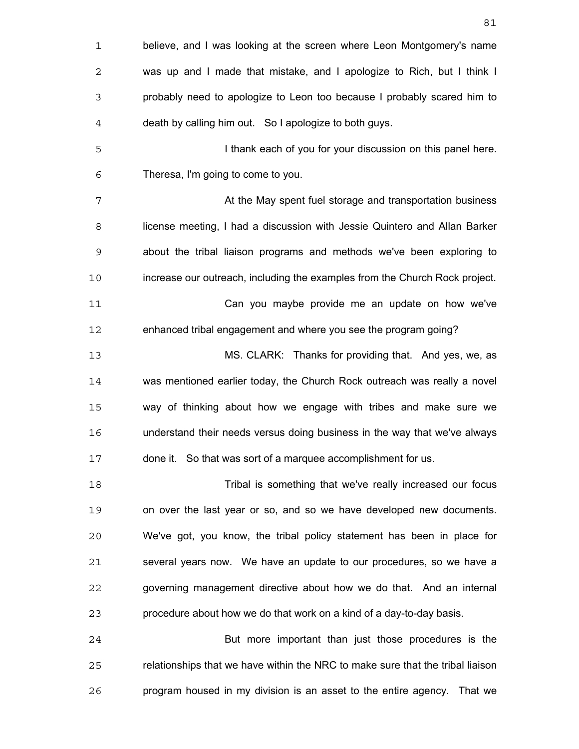| $\mathbf 1$    | believe, and I was looking at the screen where Leon Montgomery's name          |
|----------------|--------------------------------------------------------------------------------|
| 2              | was up and I made that mistake, and I apologize to Rich, but I think I         |
| 3              | probably need to apologize to Leon too because I probably scared him to        |
| $\overline{4}$ | death by calling him out. So I apologize to both guys.                         |
| 5              | I thank each of you for your discussion on this panel here.                    |
| 6              | Theresa, I'm going to come to you.                                             |
| 7              | At the May spent fuel storage and transportation business                      |
| 8              | license meeting, I had a discussion with Jessie Quintero and Allan Barker      |
| 9              | about the tribal liaison programs and methods we've been exploring to          |
| 10             | increase our outreach, including the examples from the Church Rock project.    |
| 11             | Can you maybe provide me an update on how we've                                |
| 12             | enhanced tribal engagement and where you see the program going?                |
| 13             | MS. CLARK: Thanks for providing that. And yes, we, as                          |
| 14             | was mentioned earlier today, the Church Rock outreach was really a novel       |
| 15             | way of thinking about how we engage with tribes and make sure we               |
| 16             | understand their needs versus doing business in the way that we've always      |
| 17             | done it. So that was sort of a marquee accomplishment for us.                  |
| 18             | Tribal is something that we've really increased our focus                      |
| 19             | on over the last year or so, and so we have developed new documents.           |
| 20             | We've got, you know, the tribal policy statement has been in place for         |
| 21             | several years now. We have an update to our procedures, so we have a           |
| 22             | governing management directive about how we do that. And an internal           |
| 23             | procedure about how we do that work on a kind of a day-to-day basis.           |
| 24             | But more important than just those procedures is the                           |
| 25             | relationships that we have within the NRC to make sure that the tribal liaison |
| 26             | program housed in my division is an asset to the entire agency. That we        |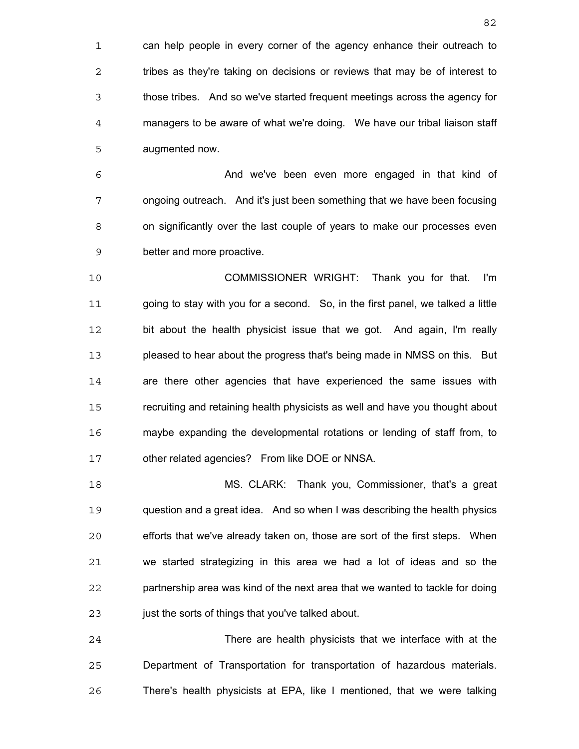can help people in every corner of the agency enhance their outreach to 2 tribes as they're taking on decisions or reviews that may be of interest to those tribes. And so we've started frequent meetings across the agency for managers to be aware of what we're doing. We have our tribal liaison staff augmented now.

And we've been even more engaged in that kind of ongoing outreach. And it's just been something that we have been focusing on significantly over the last couple of years to make our processes even better and more proactive.

COMMISSIONER WRIGHT: Thank you for that. I'm going to stay with you for a second. So, in the first panel, we talked a little bit about the health physicist issue that we got. And again, I'm really pleased to hear about the progress that's being made in NMSS on this. But are there other agencies that have experienced the same issues with recruiting and retaining health physicists as well and have you thought about maybe expanding the developmental rotations or lending of staff from, to other related agencies? From like DOE or NNSA.

MS. CLARK: Thank you, Commissioner, that's a great question and a great idea. And so when I was describing the health physics efforts that we've already taken on, those are sort of the first steps. When we started strategizing in this area we had a lot of ideas and so the partnership area was kind of the next area that we wanted to tackle for doing 23 just the sorts of things that you've talked about.

There are health physicists that we interface with at the Department of Transportation for transportation of hazardous materials. There's health physicists at EPA, like I mentioned, that we were talking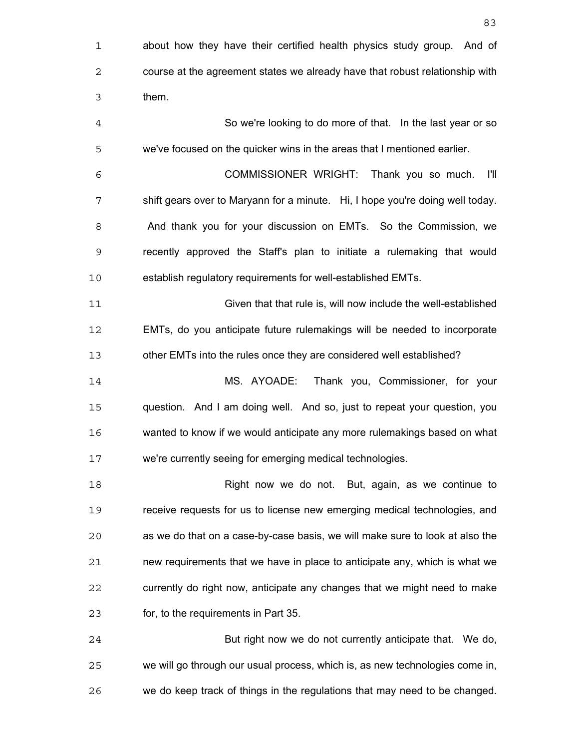about how they have their certified health physics study group. And of course at the agreement states we already have that robust relationship with them. So we're looking to do more of that. In the last year or so we've focused on the quicker wins in the areas that I mentioned earlier. COMMISSIONER WRIGHT: Thank you so much. I'll shift gears over to Maryann for a minute. Hi, I hope you're doing well today. And thank you for your discussion on EMTs. So the Commission, we recently approved the Staff's plan to initiate a rulemaking that would establish regulatory requirements for well-established EMTs. Given that that rule is, will now include the well-established EMTs, do you anticipate future rulemakings will be needed to incorporate other EMTs into the rules once they are considered well established? MS. AYOADE: Thank you, Commissioner, for your question. And I am doing well. And so, just to repeat your question, you wanted to know if we would anticipate any more rulemakings based on what we're currently seeing for emerging medical technologies. Right now we do not. But, again, as we continue to receive requests for us to license new emerging medical technologies, and as we do that on a case-by-case basis, we will make sure to look at also the new requirements that we have in place to anticipate any, which is what we currently do right now, anticipate any changes that we might need to make for, to the requirements in Part 35. But right now we do not currently anticipate that. We do, we will go through our usual process, which is, as new technologies come in, we do keep track of things in the regulations that may need to be changed.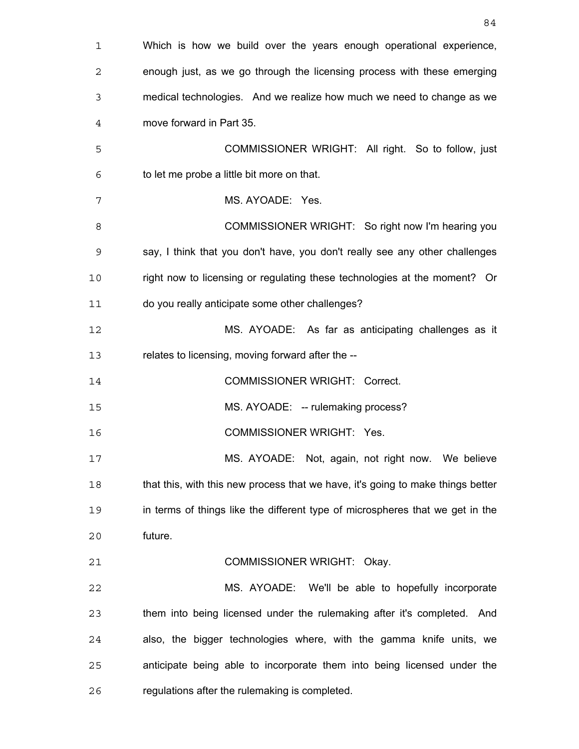| $\mathbf 1$ | Which is how we build over the years enough operational experience,             |
|-------------|---------------------------------------------------------------------------------|
| 2           | enough just, as we go through the licensing process with these emerging         |
| 3           | medical technologies. And we realize how much we need to change as we           |
| 4           | move forward in Part 35.                                                        |
| 5           | COMMISSIONER WRIGHT: All right. So to follow, just                              |
| 6           | to let me probe a little bit more on that.                                      |
| 7           | MS. AYOADE: Yes.                                                                |
| 8           | COMMISSIONER WRIGHT: So right now I'm hearing you                               |
| 9           | say, I think that you don't have, you don't really see any other challenges     |
| 10          | right now to licensing or regulating these technologies at the moment? Or       |
| 11          | do you really anticipate some other challenges?                                 |
| 12          | MS. AYOADE: As far as anticipating challenges as it                             |
| 13          | relates to licensing, moving forward after the --                               |
| 14          | <b>COMMISSIONER WRIGHT: Correct.</b>                                            |
| 15          | MS. AYOADE: -- rulemaking process?                                              |
| 16          | <b>COMMISSIONER WRIGHT: Yes.</b>                                                |
| 17          | MS. AYOADE: Not, again, not right now. We believe                               |
| 18          | that this, with this new process that we have, it's going to make things better |
| 19          | in terms of things like the different type of microspheres that we get in the   |
| 20          | future.                                                                         |
| 21          | COMMISSIONER WRIGHT: Okay.                                                      |
| 22          | MS. AYOADE:<br>We'll be able to hopefully incorporate                           |
| 23          | them into being licensed under the rulemaking after it's completed. And         |
| 24          | also, the bigger technologies where, with the gamma knife units, we             |
| 25          | anticipate being able to incorporate them into being licensed under the         |
| 26          | regulations after the rulemaking is completed.                                  |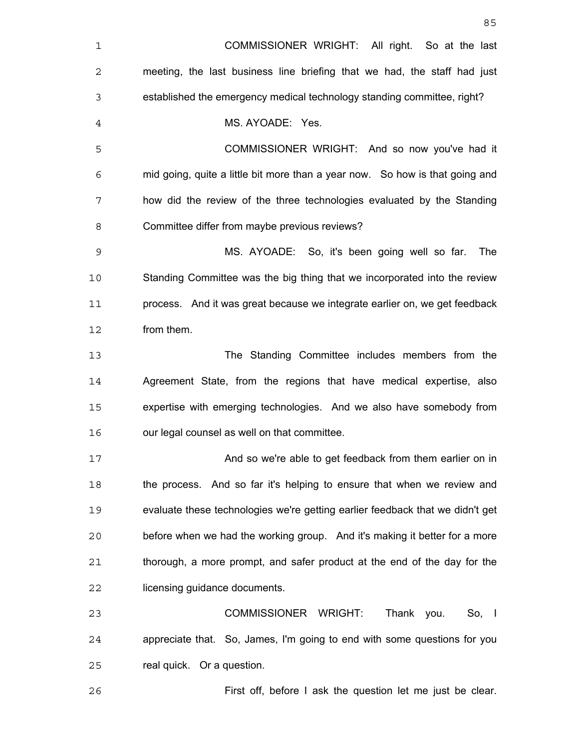| 1              | COMMISSIONER WRIGHT: All right. So at the last                                |
|----------------|-------------------------------------------------------------------------------|
| 2              | meeting, the last business line briefing that we had, the staff had just      |
| 3              | established the emergency medical technology standing committee, right?       |
| $\overline{4}$ | MS. AYOADE: Yes.                                                              |
| 5              | COMMISSIONER WRIGHT: And so now you've had it                                 |
| 6              | mid going, quite a little bit more than a year now. So how is that going and  |
| 7              | how did the review of the three technologies evaluated by the Standing        |
| 8              | Committee differ from maybe previous reviews?                                 |
| 9              | MS. AYOADE: So, it's been going well so far.<br>The                           |
| 10             | Standing Committee was the big thing that we incorporated into the review     |
| 11             | process. And it was great because we integrate earlier on, we get feedback    |
| 12             | from them.                                                                    |
| 13             | The Standing Committee includes members from the                              |
| 14             | Agreement State, from the regions that have medical expertise, also           |
| 15             | expertise with emerging technologies. And we also have somebody from          |
| 16             | our legal counsel as well on that committee.                                  |
| 17             | And so we're able to get feedback from them earlier on in                     |
| 18             | the process. And so far it's helping to ensure that when we review and        |
| 19             | evaluate these technologies we're getting earlier feedback that we didn't get |
| 20             | before when we had the working group. And it's making it better for a more    |
| 21             | thorough, a more prompt, and safer product at the end of the day for the      |
| 22             | licensing guidance documents.                                                 |
| 23             | COMMISSIONER WRIGHT:<br>Thank you.<br>So, 1                                   |
| 24             | appreciate that. So, James, I'm going to end with some questions for you      |
| 25             | real quick. Or a question.                                                    |
|                |                                                                               |

<u>85 and 2001 and 2001 and 2001 and 2001 and 2001 and 2001 and 2001 and 2001 and 2001 and 2001 and 2001 and 200</u>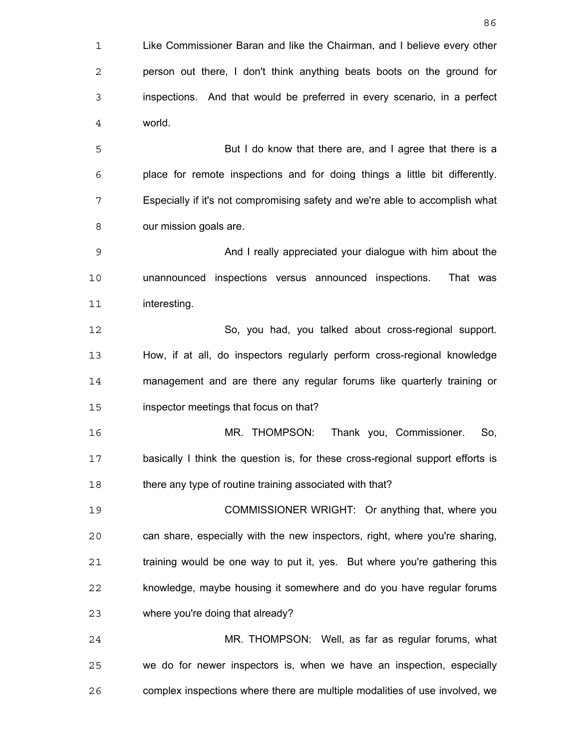Like Commissioner Baran and like the Chairman, and I believe every other person out there, I don't think anything beats boots on the ground for inspections. And that would be preferred in every scenario, in a perfect world. But I do know that there are, and I agree that there is a place for remote inspections and for doing things a little bit differently. Especially if it's not compromising safety and we're able to accomplish what our mission goals are. And I really appreciated your dialogue with him about the unannounced inspections versus announced inspections. That was interesting. So, you had, you talked about cross-regional support. How, if at all, do inspectors regularly perform cross-regional knowledge

management and are there any regular forums like quarterly training or inspector meetings that focus on that?

MR. THOMPSON: Thank you, Commissioner. So, basically I think the question is, for these cross-regional support efforts is 18 there any type of routine training associated with that?

COMMISSIONER WRIGHT: Or anything that, where you can share, especially with the new inspectors, right, where you're sharing, training would be one way to put it, yes. But where you're gathering this knowledge, maybe housing it somewhere and do you have regular forums where you're doing that already?

MR. THOMPSON: Well, as far as regular forums, what we do for newer inspectors is, when we have an inspection, especially complex inspections where there are multiple modalities of use involved, we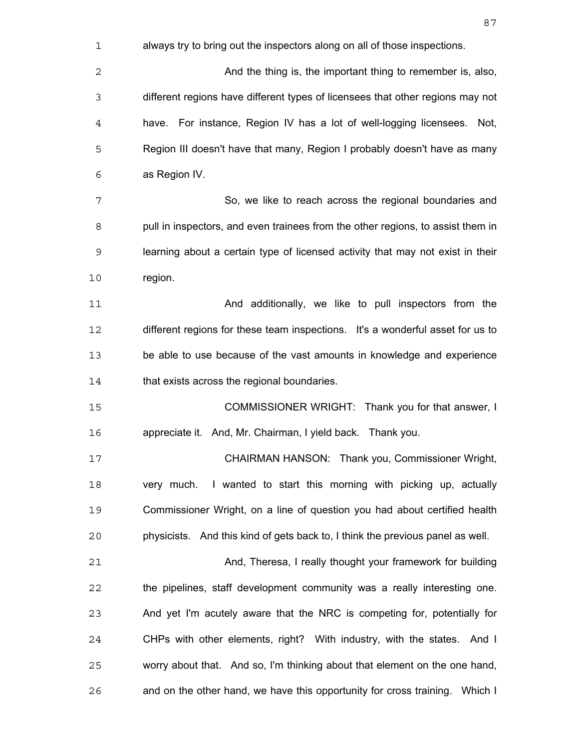| 1  | always try to bring out the inspectors along on all of those inspections.       |
|----|---------------------------------------------------------------------------------|
| 2  | And the thing is, the important thing to remember is, also,                     |
| 3  | different regions have different types of licensees that other regions may not  |
| 4  | have. For instance, Region IV has a lot of well-logging licensees. Not,         |
| 5  | Region III doesn't have that many, Region I probably doesn't have as many       |
| 6  | as Region IV.                                                                   |
| 7  | So, we like to reach across the regional boundaries and                         |
| 8  | pull in inspectors, and even trainees from the other regions, to assist them in |
| 9  | learning about a certain type of licensed activity that may not exist in their  |
| 10 | region.                                                                         |
| 11 | And additionally, we like to pull inspectors from the                           |
| 12 | different regions for these team inspections. It's a wonderful asset for us to  |
| 13 | be able to use because of the vast amounts in knowledge and experience          |
| 14 | that exists across the regional boundaries.                                     |
| 15 | COMMISSIONER WRIGHT: Thank you for that answer, I                               |
| 16 | appreciate it. And, Mr. Chairman, I yield back. Thank you.                      |
| 17 | CHAIRMAN HANSON: Thank you, Commissioner Wright,                                |
| 18 | very much. I wanted to start this morning with picking up, actually             |
| 19 | Commissioner Wright, on a line of question you had about certified health       |
| 20 | physicists. And this kind of gets back to, I think the previous panel as well.  |
| 21 | And, Theresa, I really thought your framework for building                      |
| 22 | the pipelines, staff development community was a really interesting one.        |
| 23 | And yet I'm acutely aware that the NRC is competing for, potentially for        |
| 24 | CHPs with other elements, right? With industry, with the states. And I          |
| 25 | worry about that. And so, I'm thinking about that element on the one hand,      |
| 26 | and on the other hand, we have this opportunity for cross training. Which I     |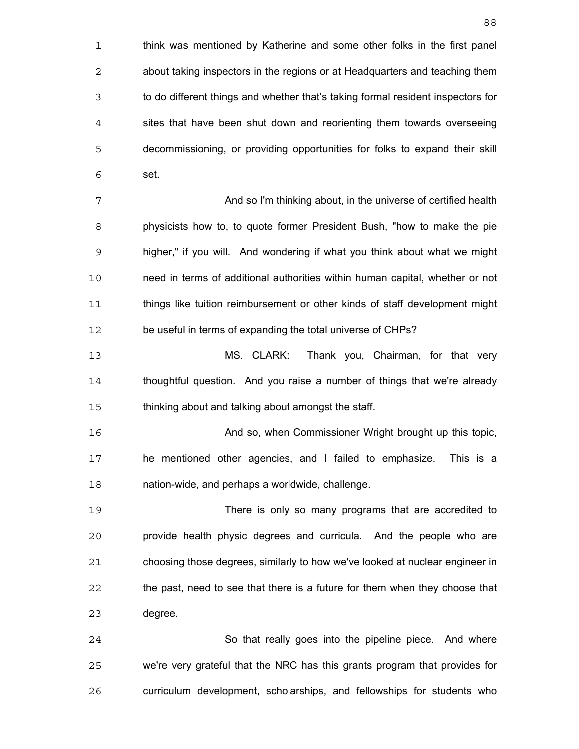think was mentioned by Katherine and some other folks in the first panel about taking inspectors in the regions or at Headquarters and teaching them to do different things and whether that's taking formal resident inspectors for sites that have been shut down and reorienting them towards overseeing decommissioning, or providing opportunities for folks to expand their skill set. And so I'm thinking about, in the universe of certified health physicists how to, to quote former President Bush, "how to make the pie higher," if you will. And wondering if what you think about what we might need in terms of additional authorities within human capital, whether or not things like tuition reimbursement or other kinds of staff development might 12 be useful in terms of expanding the total universe of CHPs? MS. CLARK: Thank you, Chairman, for that very thoughtful question. And you raise a number of things that we're already thinking about and talking about amongst the staff. And so, when Commissioner Wright brought up this topic, he mentioned other agencies, and I failed to emphasize. This is a nation-wide, and perhaps a worldwide, challenge. There is only so many programs that are accredited to provide health physic degrees and curricula. And the people who are choosing those degrees, similarly to how we've looked at nuclear engineer in the past, need to see that there is a future for them when they choose that degree. So that really goes into the pipeline piece. And where we're very grateful that the NRC has this grants program that provides for

curriculum development, scholarships, and fellowships for students who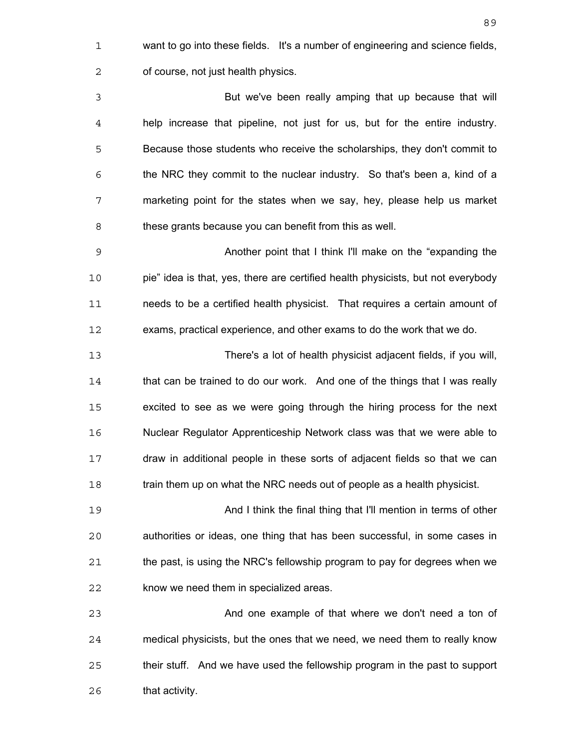want to go into these fields. It's a number of engineering and science fields, of course, not just health physics.

But we've been really amping that up because that will help increase that pipeline, not just for us, but for the entire industry. Because those students who receive the scholarships, they don't commit to the NRC they commit to the nuclear industry. So that's been a, kind of a marketing point for the states when we say, hey, please help us market these grants because you can benefit from this as well.

Another point that I think I'll make on the "expanding the pie" idea is that, yes, there are certified health physicists, but not everybody needs to be a certified health physicist. That requires a certain amount of exams, practical experience, and other exams to do the work that we do.

There's a lot of health physicist adjacent fields, if you will, that can be trained to do our work. And one of the things that I was really excited to see as we were going through the hiring process for the next Nuclear Regulator Apprenticeship Network class was that we were able to draw in additional people in these sorts of adjacent fields so that we can 18 train them up on what the NRC needs out of people as a health physicist.

And I think the final thing that I'll mention in terms of other authorities or ideas, one thing that has been successful, in some cases in the past, is using the NRC's fellowship program to pay for degrees when we know we need them in specialized areas.

And one example of that where we don't need a ton of medical physicists, but the ones that we need, we need them to really know their stuff. And we have used the fellowship program in the past to support that activity.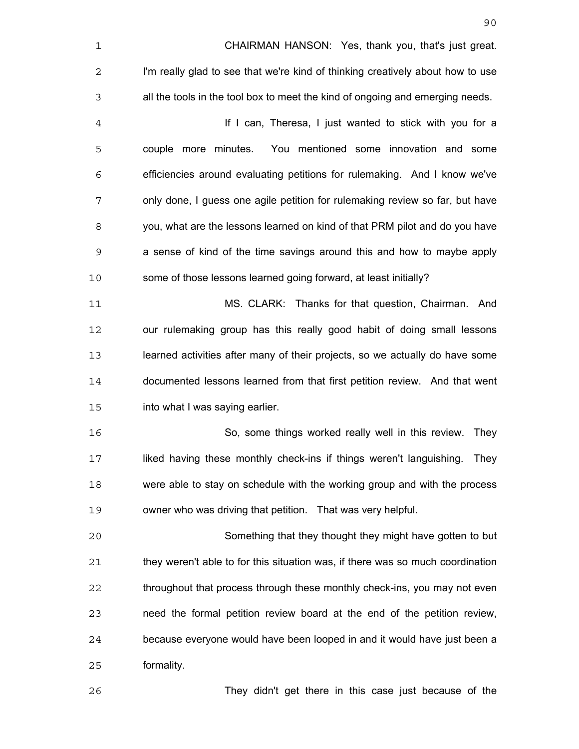| 1              | CHAIRMAN HANSON: Yes, thank you, that's just great.                            |
|----------------|--------------------------------------------------------------------------------|
| 2              | I'm really glad to see that we're kind of thinking creatively about how to use |
| $\mathsf 3$    | all the tools in the tool box to meet the kind of ongoing and emerging needs.  |
| $\overline{4}$ | If I can, Theresa, I just wanted to stick with you for a                       |
| 5              | You mentioned some innovation and some<br>couple more minutes.                 |
| 6              | efficiencies around evaluating petitions for rulemaking. And I know we've      |
| 7              | only done, I guess one agile petition for rulemaking review so far, but have   |
| 8              | you, what are the lessons learned on kind of that PRM pilot and do you have    |
| 9              | a sense of kind of the time savings around this and how to maybe apply         |
| 10             | some of those lessons learned going forward, at least initially?               |
| 11             | MS. CLARK: Thanks for that question, Chairman. And                             |
| 12             | our rulemaking group has this really good habit of doing small lessons         |
| 13             | learned activities after many of their projects, so we actually do have some   |
| 14             | documented lessons learned from that first petition review. And that went      |
| 15             | into what I was saying earlier.                                                |
| 16             | So, some things worked really well in this review.<br>They                     |
| 17             | liked having these monthly check-ins if things weren't languishing. They       |
| 18             | were able to stay on schedule with the working group and with the process      |
| 19             | owner who was driving that petition. That was very helpful.                    |
| 20             | Something that they thought they might have gotten to but                      |
| 21             | they weren't able to for this situation was, if there was so much coordination |
| 22             | throughout that process through these monthly check-ins, you may not even      |
| 23             | need the formal petition review board at the end of the petition review,       |
| 24             | because everyone would have been looped in and it would have just been a       |
| 25             | formality.                                                                     |
| 26             | They didn't get there in this case just because of the                         |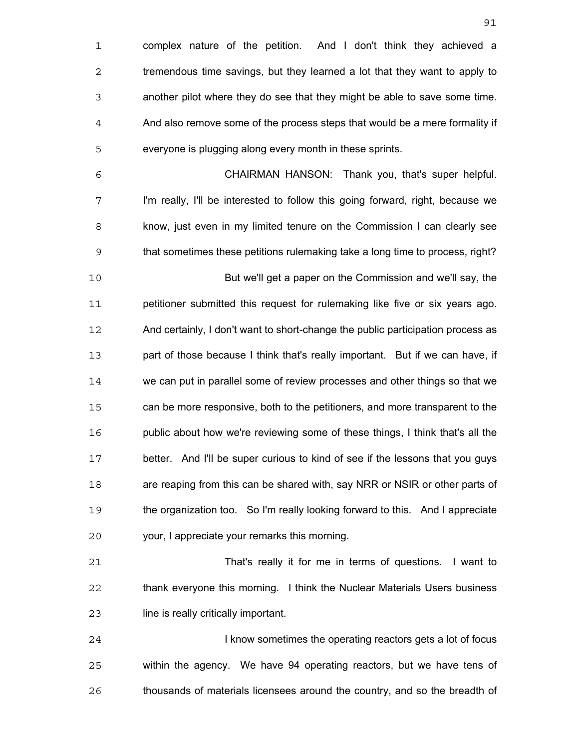complex nature of the petition. And I don't think they achieved a tremendous time savings, but they learned a lot that they want to apply to another pilot where they do see that they might be able to save some time. And also remove some of the process steps that would be a mere formality if everyone is plugging along every month in these sprints. CHAIRMAN HANSON: Thank you, that's super helpful. I'm really, I'll be interested to follow this going forward, right, because we know, just even in my limited tenure on the Commission I can clearly see that sometimes these petitions rulemaking take a long time to process, right? But we'll get a paper on the Commission and we'll say, the petitioner submitted this request for rulemaking like five or six years ago. And certainly, I don't want to short-change the public participation process as part of those because I think that's really important. But if we can have, if we can put in parallel some of review processes and other things so that we can be more responsive, both to the petitioners, and more transparent to the 16 public about how we're reviewing some of these things, I think that's all the better. And I'll be super curious to kind of see if the lessons that you guys are reaping from this can be shared with, say NRR or NSIR or other parts of the organization too. So I'm really looking forward to this. And I appreciate your, I appreciate your remarks this morning. That's really it for me in terms of questions. I want to thank everyone this morning. I think the Nuclear Materials Users business

line is really critically important.

**I know sometimes the operating reactors gets a lot of focus** within the agency. We have 94 operating reactors, but we have tens of thousands of materials licensees around the country, and so the breadth of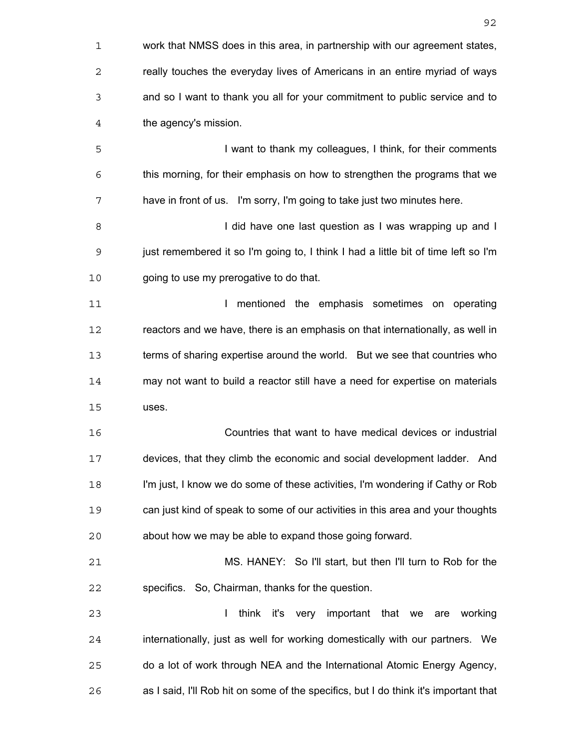| $\mathbf 1$ | work that NMSS does in this area, in partnership with our agreement states,          |
|-------------|--------------------------------------------------------------------------------------|
| 2           | really touches the everyday lives of Americans in an entire myriad of ways           |
| 3           | and so I want to thank you all for your commitment to public service and to          |
| 4           | the agency's mission.                                                                |
| 5           | I want to thank my colleagues, I think, for their comments                           |
| 6           | this morning, for their emphasis on how to strengthen the programs that we           |
| 7           | have in front of us. I'm sorry, I'm going to take just two minutes here.             |
| 8           | I did have one last question as I was wrapping up and I                              |
| 9           | just remembered it so I'm going to, I think I had a little bit of time left so I'm   |
| 10          | going to use my prerogative to do that.                                              |
| 11          | mentioned the emphasis sometimes on operating<br>L                                   |
| 12          | reactors and we have, there is an emphasis on that internationally, as well in       |
| 13          | terms of sharing expertise around the world. But we see that countries who           |
| 14          | may not want to build a reactor still have a need for expertise on materials         |
| 15          | uses.                                                                                |
| 16          | Countries that want to have medical devices or industrial                            |
| 17          | devices, that they climb the economic and social development ladder. And             |
| 18          | I'm just, I know we do some of these activities, I'm wondering if Cathy or Rob       |
| 19          | can just kind of speak to some of our activities in this area and your thoughts      |
| 20          | about how we may be able to expand those going forward.                              |
| 21          | MS. HANEY: So I'll start, but then I'll turn to Rob for the                          |
| 22          | specifics. So, Chairman, thanks for the question.                                    |
| 23          | L<br>think it's very important that we are working                                   |
| 24          | internationally, just as well for working domestically with our partners. We         |
| 25          | do a lot of work through NEA and the International Atomic Energy Agency,             |
| 26          | as I said, I'll Rob hit on some of the specifics, but I do think it's important that |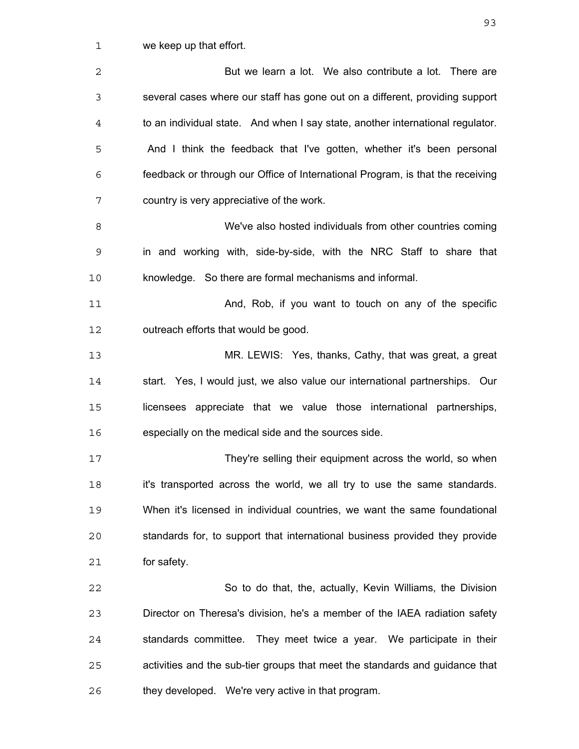we keep up that effort.

| $\overline{2}$ | But we learn a lot. We also contribute a lot. There are                        |
|----------------|--------------------------------------------------------------------------------|
| 3              | several cases where our staff has gone out on a different, providing support   |
| $\overline{4}$ | to an individual state. And when I say state, another international regulator. |
| 5              | And I think the feedback that I've gotten, whether it's been personal          |
| 6              | feedback or through our Office of International Program, is that the receiving |
| 7              | country is very appreciative of the work.                                      |
| 8              | We've also hosted individuals from other countries coming                      |
| 9              | in and working with, side-by-side, with the NRC Staff to share that            |
| 10             | knowledge. So there are formal mechanisms and informal.                        |
| 11             | And, Rob, if you want to touch on any of the specific                          |
| 12             | outreach efforts that would be good.                                           |
| 13             | MR. LEWIS: Yes, thanks, Cathy, that was great, a great                         |
| 14             | start. Yes, I would just, we also value our international partnerships. Our    |
| 15             | licensees appreciate that we value those international partnerships,           |
| 16             | especially on the medical side and the sources side.                           |
| 17             | They're selling their equipment across the world, so when                      |
| 18             | it's transported across the world, we all try to use the same standards.       |
| 19             | When it's licensed in individual countries, we want the same foundational      |
| 20             | standards for, to support that international business provided they provide    |
| 21             | for safety.                                                                    |
| 22             | So to do that, the, actually, Kevin Williams, the Division                     |
| 23             | Director on Theresa's division, he's a member of the IAEA radiation safety     |
| 24             | standards committee. They meet twice a year. We participate in their           |
| 25             | activities and the sub-tier groups that meet the standards and guidance that   |
| 26             | they developed. We're very active in that program.                             |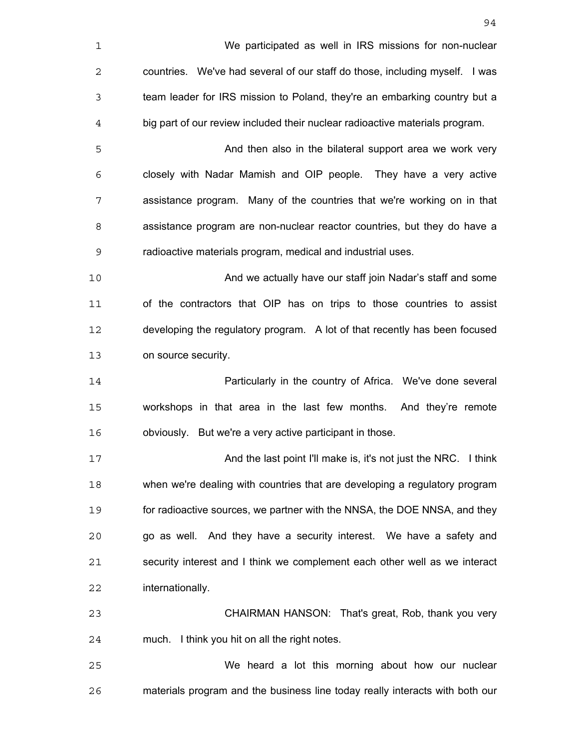| $\mathbf 1$ | We participated as well in IRS missions for non-nuclear                      |
|-------------|------------------------------------------------------------------------------|
| $\mathbf 2$ | countries. We've had several of our staff do those, including myself. I was  |
| 3           | team leader for IRS mission to Poland, they're an embarking country but a    |
| 4           | big part of our review included their nuclear radioactive materials program. |
| 5           | And then also in the bilateral support area we work very                     |
| 6           | closely with Nadar Mamish and OIP people. They have a very active            |
| 7           | assistance program. Many of the countries that we're working on in that      |
| 8           | assistance program are non-nuclear reactor countries, but they do have a     |
| 9           | radioactive materials program, medical and industrial uses.                  |
| 10          | And we actually have our staff join Nadar's staff and some                   |
| 11          | of the contractors that OIP has on trips to those countries to assist        |
| 12          | developing the regulatory program. A lot of that recently has been focused   |
| 13          | on source security.                                                          |
| 14          | Particularly in the country of Africa. We've done several                    |
| 15          | workshops in that area in the last few months. And they're remote            |
| 16          | obviously. But we're a very active participant in those.                     |
| 17          | And the last point I'll make is, it's not just the NRC. I think              |
| 18          | when we're dealing with countries that are developing a regulatory program   |
| 19          | for radioactive sources, we partner with the NNSA, the DOE NNSA, and they    |
| 20          | go as well. And they have a security interest. We have a safety and          |
| 21          | security interest and I think we complement each other well as we interact   |
| 22          | internationally.                                                             |
| 23          | CHAIRMAN HANSON: That's great, Rob, thank you very                           |
| 24          | much. I think you hit on all the right notes.                                |
| 25          | We heard a lot this morning about how our nuclear                            |
| 26          | materials program and the business line today really interacts with both our |